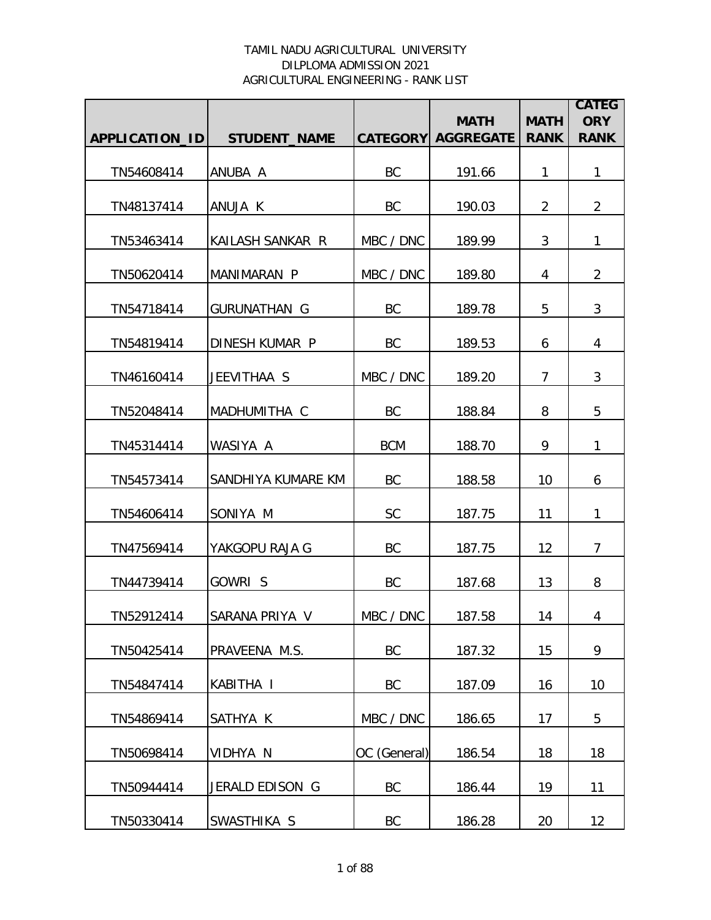|                |                     |              | <b>MATH</b>               | <b>MATH</b>    | <b>CATEG</b><br><b>ORY</b> |
|----------------|---------------------|--------------|---------------------------|----------------|----------------------------|
| APPLICATION_ID | <b>STUDENT_NAME</b> |              | <b>CATEGORY AGGREGATE</b> | <b>RANK</b>    | <b>RANK</b>                |
| TN54608414     | ANUBA A             | BC           | 191.66                    | $\mathbf{1}$   | $\mathbf{1}$               |
| TN48137414     | ANUJA K             | BC           | 190.03                    | $\overline{2}$ | $\overline{2}$             |
| TN53463414     | KAILASH SANKAR R    | MBC / DNC    | 189.99                    | 3              | 1                          |
| TN50620414     | MANIMARAN P         | MBC / DNC    | 189.80                    | 4              | $\overline{2}$             |
| TN54718414     | <b>GURUNATHAN G</b> | BC           | 189.78                    | 5              | 3                          |
| TN54819414     | DINESH KUMAR P      | BC           | 189.53                    | 6              | 4                          |
| TN46160414     | JEEVITHAA S         | MBC / DNC    | 189.20                    | $\overline{7}$ | 3                          |
| TN52048414     | MADHUMITHA C        | BC           | 188.84                    | 8              | 5                          |
| TN45314414     | WASIYA A            | <b>BCM</b>   | 188.70                    | 9              | $\mathbf{1}$               |
| TN54573414     | SANDHIYA KUMARE KM  | BC           | 188.58                    | 10             | 6                          |
| TN54606414     | SONIYA M            | SC           | 187.75                    | 11             | 1                          |
| TN47569414     | YAKGOPU RAJA G      | BC           | 187.75                    | 12             | $\overline{7}$             |
| TN44739414     | GOWRI S             | BC           | 187.68                    | 13             | 8                          |
| TN52912414     | SARANA PRIYA V      | MBC / DNC    | 187.58                    | 14             | 4                          |
| TN50425414     | PRAVEENA M.S.       | BC           | 187.32                    | 15             | 9                          |
| TN54847414     | KABITHA I           | BC           | 187.09                    | 16             | 10                         |
| TN54869414     | SATHYA K            | MBC / DNC    | 186.65                    | 17             | 5                          |
| TN50698414     | VIDHYA N            | OC (General) | 186.54                    | 18             | 18                         |
| TN50944414     | JERALD EDISON G     | BC           | 186.44                    | 19             | 11                         |
| TN50330414     | SWASTHIKA S         | BC           | 186.28                    | 20             | 12                         |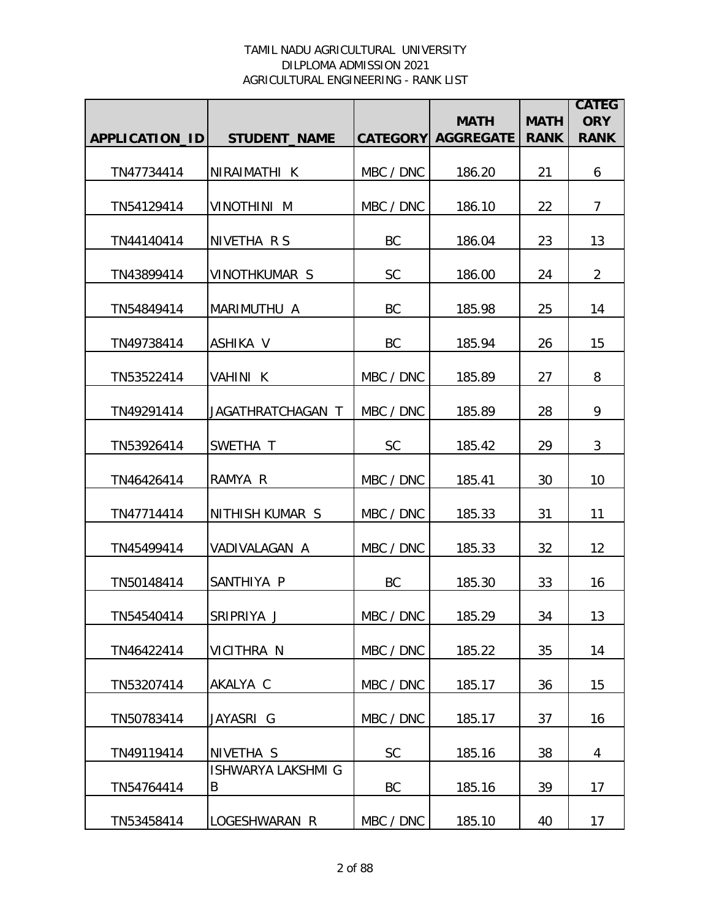|                |                                |           | <b>MATH</b>               | <b>MATH</b> | <b>CATEG</b><br><b>ORY</b> |
|----------------|--------------------------------|-----------|---------------------------|-------------|----------------------------|
| APPLICATION_ID | <b>STUDENT_NAME</b>            |           | <b>CATEGORY AGGREGATE</b> | <b>RANK</b> | <b>RANK</b>                |
| TN47734414     | NIRAIMATHI K                   | MBC / DNC | 186.20                    | 21          | 6                          |
| TN54129414     | <b>VINOTHINI M</b>             | MBC / DNC | 186.10                    | 22          | $\overline{7}$             |
| TN44140414     | NIVETHA R S                    | <b>BC</b> | 186.04                    | 23          | 13                         |
| TN43899414     | <b>VINOTHKUMAR S</b>           | SC        | 186.00                    | 24          | $\overline{2}$             |
| TN54849414     | MARIMUTHU A                    | <b>BC</b> | 185.98                    | 25          | 14                         |
| TN49738414     | <b>ASHIKA V</b>                | BC        | 185.94                    | 26          | 15                         |
| TN53522414     | VAHINI K                       | MBC / DNC | 185.89                    | 27          | 8                          |
| TN49291414     | JAGATHRATCHAGAN T              | MBC / DNC | 185.89                    | 28          | 9                          |
| TN53926414     | SWETHA T                       | SC        | 185.42                    | 29          | 3                          |
| TN46426414     | RAMYA R                        | MBC / DNC | 185.41                    | 30          | 10                         |
| TN47714414     | NITHISH KUMAR S                | MBC / DNC | 185.33                    | 31          | 11                         |
| TN45499414     | VADIVALAGAN A                  | MBC / DNC | 185.33                    | 32          | 12                         |
| TN50148414     | SANTHIYA P                     | <b>BC</b> | 185.30                    | 33          | 16                         |
| TN54540414     | ISRIPRIYA J                    | MBC / DNC | 185.29                    | 34          | 13                         |
| TN46422414     | VICITHRA N                     | MBC / DNC | 185.22                    | 35          | 14                         |
| TN53207414     | AKALYA C                       | MBC / DNC | 185.17                    | 36          | 15                         |
| TN50783414     | JAYASRI G                      | MBC / DNC | 185.17                    | 37          | 16                         |
| TN49119414     | NIVETHA S                      | <b>SC</b> | 185.16                    | 38          | 4                          |
| TN54764414     | <b>ISHWARYA LAKSHMI G</b><br>B | BC        | 185.16                    | 39          | 17                         |
| TN53458414     | LOGESHWARAN R                  | MBC / DNC | 185.10                    | 40          | 17                         |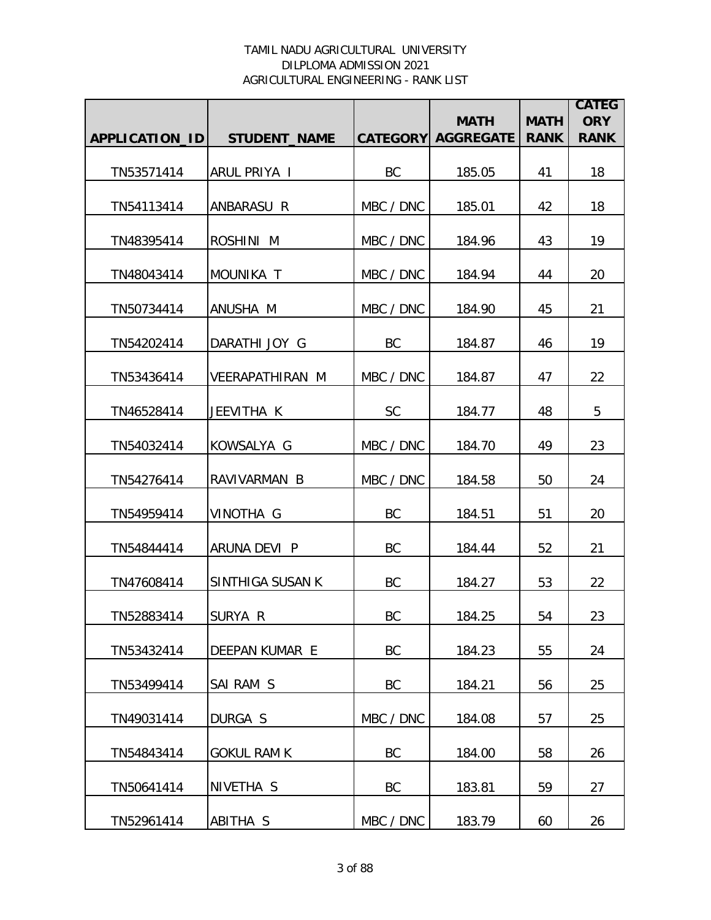|                |                        |           | <b>MATH</b>               | <b>MATH</b> | <b>CATEG</b><br><b>ORY</b> |
|----------------|------------------------|-----------|---------------------------|-------------|----------------------------|
| APPLICATION_ID | <b>STUDENT NAME</b>    |           | <b>CATEGORY AGGREGATE</b> | <b>RANK</b> | <b>RANK</b>                |
| TN53571414     | ARUL PRIYA I           | BC        | 185.05                    | 41          | 18                         |
| TN54113414     | ANBARASU R             | MBC / DNC | 185.01                    | 42          | 18                         |
| TN48395414     | ROSHINI M              | MBC / DNC | 184.96                    | 43          | 19                         |
| TN48043414     | MOUNIKA T              | MBC / DNC | 184.94                    | 44          | 20                         |
| TN50734414     | ANUSHA M               | MBC / DNC | 184.90                    | 45          | 21                         |
| TN54202414     | DARATHI JOY G          | BC        | 184.87                    | 46          | 19                         |
| TN53436414     | <b>VEERAPATHIRAN M</b> | MBC / DNC | 184.87                    | 47          | 22                         |
| TN46528414     | JEEVITHA K             | <b>SC</b> | 184.77                    | 48          | 5                          |
| TN54032414     | KOWSALYA G             | MBC / DNC | 184.70                    | 49          | 23                         |
| TN54276414     | RAVIVARMAN B           | MBC / DNC | 184.58                    | 50          | 24                         |
| TN54959414     | VINOTHA G              | BC        | 184.51                    | 51          | 20                         |
| TN54844414     | ARUNA DEVI P           | BC        | 184.44                    | 52          | 21                         |
| TN47608414     | SINTHIGA SUSAN K       | BC        | 184.27                    | 53          | 22                         |
| TN52883414     | SURYA R                | BC        | 184.25                    | 54          | 23                         |
| TN53432414     | <b>DEEPAN KUMAR E</b>  | <b>BC</b> | 184.23                    | 55          | 24                         |
| TN53499414     | SAI RAM S              | BC        | 184.21                    | 56          | 25                         |
| TN49031414     | DURGA S                | MBC / DNC | 184.08                    | 57          | 25                         |
| TN54843414     | <b>GOKUL RAM K</b>     | BC        | 184.00                    | 58          | 26                         |
| TN50641414     | NIVETHA S              | BC        | 183.81                    | 59          | 27                         |
| TN52961414     | ABITHA S               | MBC / DNC | 183.79                    | 60          | 26                         |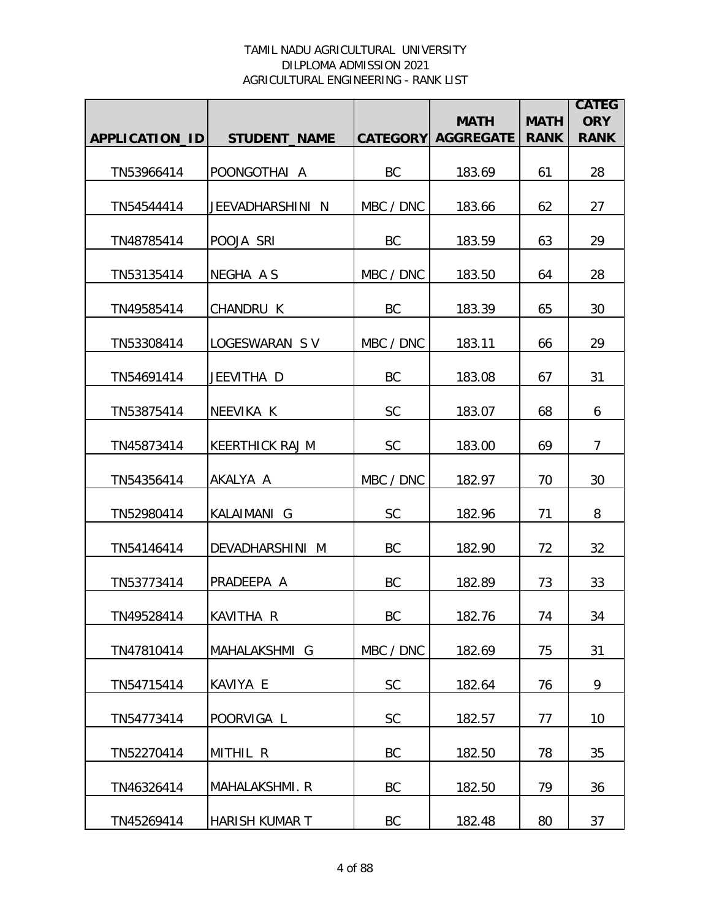|                |                        |           | <b>MATH</b>               | <b>MATH</b> | <b>CATEG</b><br><b>ORY</b> |
|----------------|------------------------|-----------|---------------------------|-------------|----------------------------|
| APPLICATION_ID | <b>STUDENT NAME</b>    |           | <b>CATEGORY AGGREGATE</b> | <b>RANK</b> | <b>RANK</b>                |
| TN53966414     | POONGOTHAI A           | BC        | 183.69                    | 61          | 28                         |
| TN54544414     | JEEVADHARSHINI N       | MBC / DNC | 183.66                    | 62          | 27                         |
| TN48785414     | POOJA SRI              | BC        | 183.59                    | 63          | 29                         |
| TN53135414     | NEGHA A S              | MBC / DNC | 183.50                    | 64          | 28                         |
| TN49585414     | CHANDRU K              | BC        | 183.39                    | 65          | 30                         |
| TN53308414     | LOGESWARAN SV          | MBC / DNC | 183.11                    | 66          | 29                         |
| TN54691414     | JEEVITHA D             | BC        | 183.08                    | 67          | 31                         |
| TN53875414     | NEEVIKA K              | SC        | 183.07                    | 68          | 6                          |
| TN45873414     | <b>KEERTHICK RAJ M</b> | <b>SC</b> | 183.00                    | 69          | 7                          |
| TN54356414     | AKALYA A               | MBC / DNC | 182.97                    | 70          | 30                         |
| TN52980414     | KALAIMANI G            | <b>SC</b> | 182.96                    | 71          | 8                          |
| TN54146414     | DEVADHARSHINI M        | BC        | 182.90                    | 72          | 32                         |
| TN53773414     | PRADEEPA A             | BC        | 182.89                    | 73          | 33                         |
| TN49528414     | KAVITHA R              | BC        | 182.76                    | 74          | 34                         |
| TN47810414     | MAHALAKSHMI G          | MBC / DNC | 182.69                    | 75          | 31                         |
| TN54715414     | KAVIYA E               | <b>SC</b> | 182.64                    | 76          | 9                          |
| TN54773414     | POORVIGA L             | <b>SC</b> | 182.57                    | 77          | 10                         |
| TN52270414     | MITHIL R               | BC        | 182.50                    | 78          | 35                         |
| TN46326414     | MAHALAKSHMI. R         | BC        | 182.50                    | 79          | 36                         |
| TN45269414     | HARISH KUMAR T         | BC        | 182.48                    | 80          | 37                         |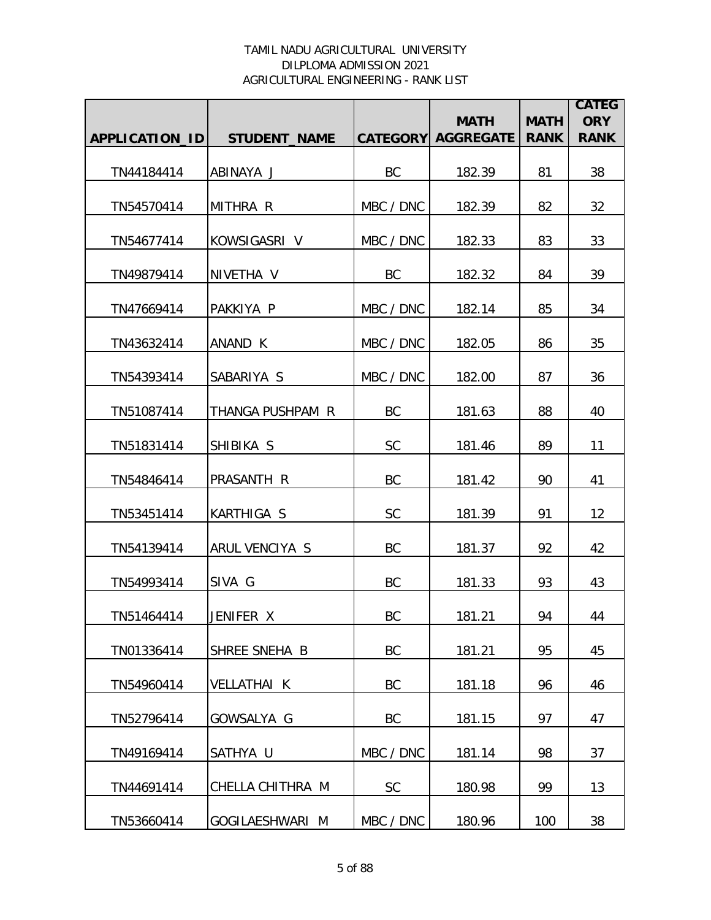|                |                      |           | <b>MATH</b>               | <b>MATH</b> | <b>CATEG</b><br><b>ORY</b> |
|----------------|----------------------|-----------|---------------------------|-------------|----------------------------|
| APPLICATION_ID | <b>STUDENT_NAME</b>  |           | <b>CATEGORY AGGREGATE</b> | <b>RANK</b> | <b>RANK</b>                |
| TN44184414     | ABINAYA J            | BC        | 182.39                    | 81          | 38                         |
| TN54570414     | MITHRA R             | MBC / DNC | 182.39                    | 82          | 32                         |
| TN54677414     | KOWSIGASRI V         | MBC / DNC | 182.33                    | 83          | 33                         |
| TN49879414     | NIVETHA V            | <b>BC</b> | 182.32                    | 84          | 39                         |
| TN47669414     | PAKKIYA P            | MBC / DNC | 182.14                    | 85          | 34                         |
| TN43632414     | ANAND K              | MBC / DNC | 182.05                    | 86          | 35                         |
| TN54393414     | SABARIYA S           | MBC / DNC | 182.00                    | 87          | 36                         |
| TN51087414     | THANGA PUSHPAM R     | BC        | 181.63                    | 88          | 40                         |
| TN51831414     | SHIBIKA S            | <b>SC</b> | 181.46                    | 89          | 11                         |
| TN54846414     | PRASANTH R           | BC        | 181.42                    | 90          | 41                         |
| TN53451414     | <b>KARTHIGA S</b>    | <b>SC</b> | 181.39                    | 91          | 12                         |
| TN54139414     | ARUL VENCIYA S       | BC        | 181.37                    | 92          | 42                         |
| TN54993414     | SIVA G               | BC        | 181.33                    | 93          | 43                         |
| TN51464414     | JENIFER X            | BC        | 181.21                    | 94          | 44                         |
| TN01336414     | <b>SHREE SNEHA B</b> | <b>BC</b> | 181.21                    | 95          | 45                         |
| TN54960414     | <b>VELLATHAI K</b>   | BC        | 181.18                    | 96          | 46                         |
| TN52796414     | GOWSALYA G           | BC        | 181.15                    | 97          | 47                         |
| TN49169414     | SATHYA U             | MBC / DNC | 181.14                    | 98          | 37                         |
| TN44691414     | CHELLA CHITHRA M     | <b>SC</b> | 180.98                    | 99          | 13                         |
| TN53660414     | GOGILAESHWARI M      | MBC / DNC | 180.96                    | 100         | 38                         |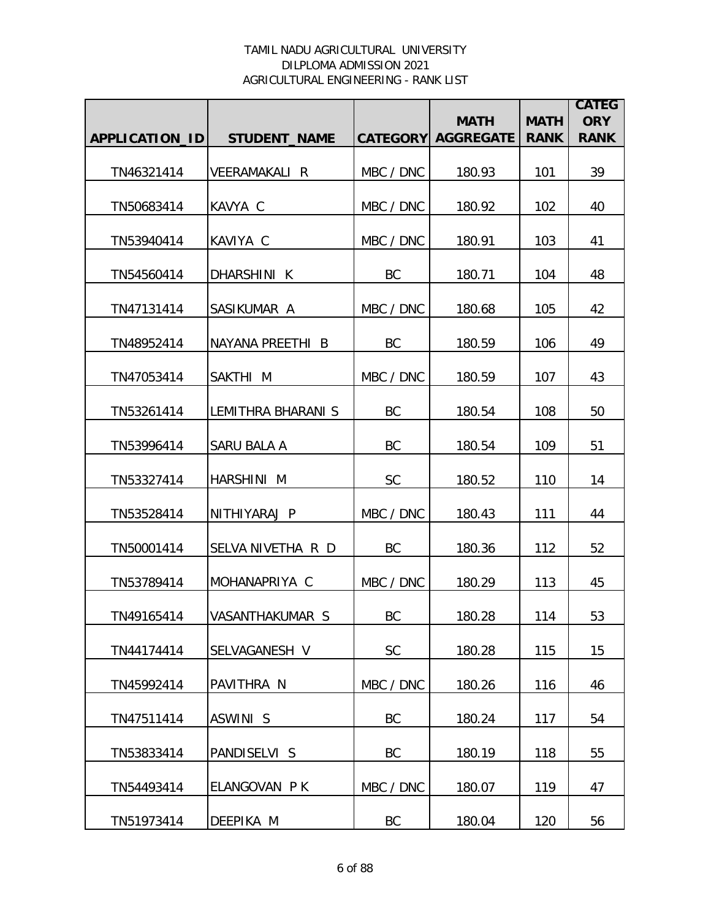|                       |                           |           | <b>MATH</b>               | <b>MATH</b> | <b>CATEG</b><br><b>ORY</b> |
|-----------------------|---------------------------|-----------|---------------------------|-------------|----------------------------|
| <b>APPLICATION ID</b> | <b>STUDENT NAME</b>       |           | <b>CATEGORY AGGREGATE</b> | <b>RANK</b> | <b>RANK</b>                |
| TN46321414            | <b>VEERAMAKALI R</b>      | MBC / DNC | 180.93                    | 101         | 39                         |
| TN50683414            | KAVYA C                   | MBC / DNC | 180.92                    | 102         | 40                         |
| TN53940414            | KAVIYA C                  | MBC / DNC | 180.91                    | 103         | 41                         |
| TN54560414            | DHARSHINI K               | <b>BC</b> | 180.71                    | 104         | 48                         |
| TN47131414            | SASIKUMAR A               | MBC / DNC | 180.68                    | 105         | 42                         |
| TN48952414            | NAYANA PREETHI B          | BC        | 180.59                    | 106         | 49                         |
| TN47053414            | SAKTHI M                  | MBC / DNC | 180.59                    | 107         | 43                         |
| TN53261414            | <b>LEMITHRA BHARANI S</b> | BC        | 180.54                    | 108         | 50                         |
| TN53996414            | SARU BALA A               | BC        | 180.54                    | 109         | 51                         |
| TN53327414            | HARSHINI M                | <b>SC</b> | 180.52                    | 110         | 14                         |
| TN53528414            | NITHIYARAJ P              | MBC / DNC | 180.43                    | 111         | 44                         |
| TN50001414            | SELVA NIVETHA R D         | BC        | 180.36                    | 112         | 52                         |
| TN53789414            | MOHANAPRIYA C             | MBC / DNC | 180.29                    | 113         | 45                         |
| TN49165414            | VASANTHAKUMAR S           | BC.       | 180.28                    | 114         | 53                         |
| TN44174414            | SELVAGANESH V             | <b>SC</b> | 180.28                    | 115         | 15                         |
| TN45992414            | PAVITHRA N                | MBC / DNC | 180.26                    | 116         | 46                         |
| TN47511414            | <b>ASWINI S</b>           | BC        | 180.24                    | 117         | 54                         |
| TN53833414            | PANDISELVI S              | BC        | 180.19                    | 118         | 55                         |
| TN54493414            | ELANGOVAN P K             | MBC / DNC | 180.07                    | 119         | 47                         |
| TN51973414            | DEEPIKA M                 | BC        | 180.04                    | 120         | 56                         |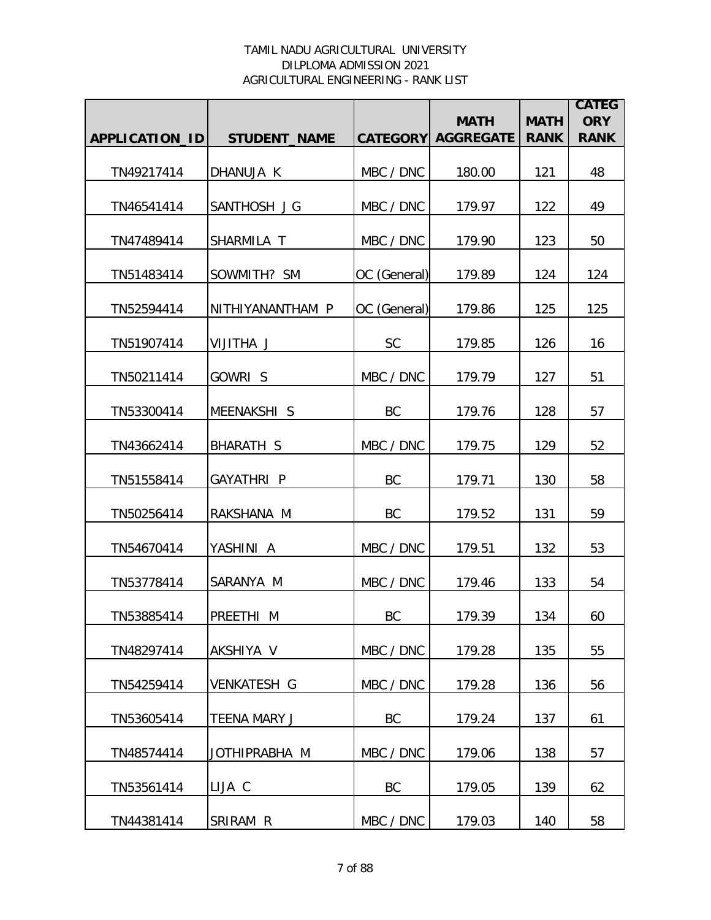|                |                     |              | <b>MATH</b>               | <b>MATH</b> | <b>CATEG</b><br><b>ORY</b> |
|----------------|---------------------|--------------|---------------------------|-------------|----------------------------|
| APPLICATION_ID | <b>STUDENT_NAME</b> |              | <b>CATEGORY AGGREGATE</b> | <b>RANK</b> | <b>RANK</b>                |
| TN49217414     | DHANUJA K           | MBC / DNC    | 180.00                    | 121         | 48                         |
| TN46541414     | SANTHOSH J G        | MBC / DNC    | 179.97                    | 122         | 49                         |
| TN47489414     | SHARMILA T          | MBC / DNC    | 179.90                    | 123         | 50                         |
| TN51483414     | SOWMITH? SM         | OC (General) | 179.89                    | 124         | 124                        |
| TN52594414     | NITHIYANANTHAM P    | OC (General) | 179.86                    | 125         | 125                        |
| TN51907414     | <b>VIJITHA J</b>    | <b>SC</b>    | 179.85                    | 126         | 16                         |
| TN50211414     | GOWRI S             | MBC / DNC    | 179.79                    | 127         | 51                         |
| TN53300414     | MEENAKSHI S         | BC           | 179.76                    | 128         | 57                         |
| TN43662414     | <b>BHARATH S</b>    | MBC / DNC    | 179.75                    | 129         | 52                         |
| TN51558414     | <b>GAYATHRI P</b>   | BC           | 179.71                    | 130         | 58                         |
| TN50256414     | RAKSHANA M          | <b>BC</b>    | 179.52                    | 131         | 59                         |
| TN54670414     | YASHINI A           | MBC / DNC    | 179.51                    | 132         | 53                         |
| TN53778414     | SARANYA M           | MBC / DNC    | 179.46                    | 133         | 54                         |
| TN53885414     | <b>PREETHI M</b>    | BC           | 179.39                    | 134         | 60                         |
| TN48297414     | AKSHIYA V           | MBC / DNC    | 179.28                    | 135         | 55                         |
| TN54259414     | <b>VENKATESH G</b>  | MBC / DNC    | 179.28                    | 136         | 56                         |
| TN53605414     | <b>TEENA MARY J</b> | BC           | 179.24                    | 137         | 61                         |
| TN48574414     | JOTHIPRABHA M       | MBC / DNC    | 179.06                    | 138         | 57                         |
| TN53561414     | LIJA C              | BC           | 179.05                    | 139         | 62                         |
| TN44381414     | SRIRAM R            | MBC / DNC    | 179.03                    | 140         | 58                         |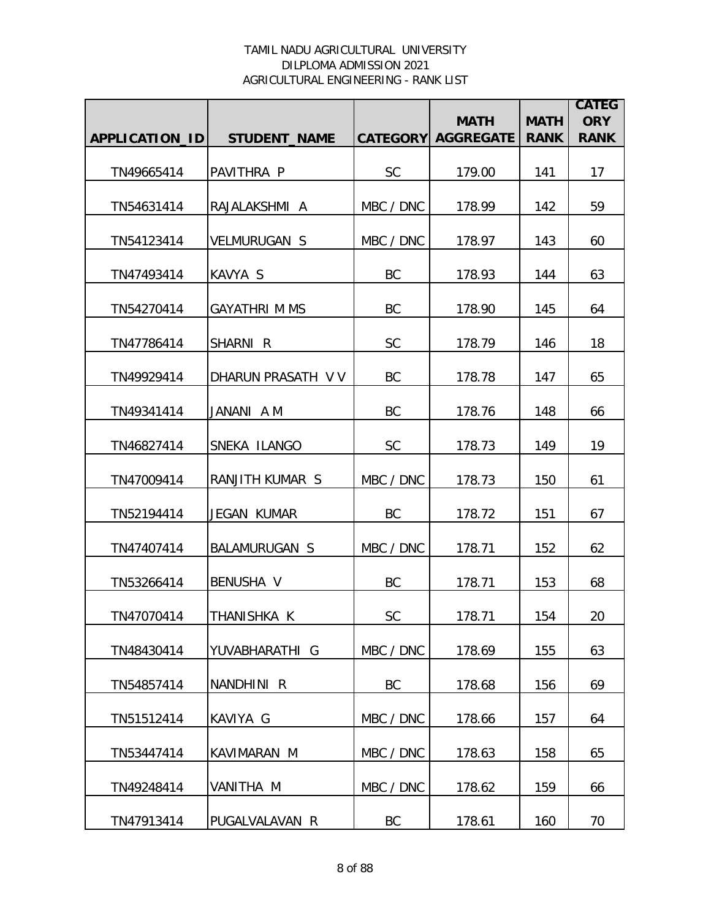|                       |                      |           | <b>MATH</b>               | <b>MATH</b> | <b>CATEG</b><br><b>ORY</b> |
|-----------------------|----------------------|-----------|---------------------------|-------------|----------------------------|
| <b>APPLICATION ID</b> | <b>STUDENT NAME</b>  |           | <b>CATEGORY AGGREGATE</b> | <b>RANK</b> | <b>RANK</b>                |
| TN49665414            | PAVITHRA P           | <b>SC</b> | 179.00                    | 141         | 17                         |
| TN54631414            | RAJALAKSHMI A        | MBC / DNC | 178.99                    | 142         | 59                         |
| TN54123414            | <b>VELMURUGAN S</b>  | MBC / DNC | 178.97                    | 143         | 60                         |
| TN47493414            | KAVYA S              | BC        | 178.93                    | 144         | 63                         |
| TN54270414            | <b>GAYATHRI M MS</b> | BC        | 178.90                    | 145         | 64                         |
| TN47786414            | SHARNI R             | SC        | 178.79                    | 146         | 18                         |
| TN49929414            | DHARUN PRASATH V V   | BC        | 178.78                    | 147         | 65                         |
| TN49341414            | JANANI A M           | BC        | 178.76                    | 148         | 66                         |
| TN46827414            | SNEKA ILANGO         | <b>SC</b> | 178.73                    | 149         | 19                         |
| TN47009414            | RANJITH KUMAR S      | MBC / DNC | 178.73                    | 150         | 61                         |
| TN52194414            | JEGAN KUMAR          | <b>BC</b> | 178.72                    | 151         | 67                         |
| TN47407414            | <b>BALAMURUGAN S</b> | MBC / DNC | 178.71                    | 152         | 62                         |
| TN53266414            | BENUSHA V            | BC        | 178.71                    | 153         | 68                         |
| TN47070414            | THANISHKA K          | <b>SC</b> | 178.71                    | 154         | 20                         |
| TN48430414            | YUVABHARATHI G       | MBC / DNC | 178.69                    | 155         | 63                         |
| TN54857414            | NANDHINI R           | BC        | 178.68                    | 156         | 69                         |
| TN51512414            | KAVIYA G             | MBC / DNC | 178.66                    | 157         | 64                         |
| TN53447414            | KAVIMARAN M          | MBC / DNC | 178.63                    | 158         | 65                         |
| TN49248414            | VANITHA M            | MBC / DNC | 178.62                    | 159         | 66                         |
| TN47913414            | PUGALVALAVAN R       | BC        | 178.61                    | 160         | 70                         |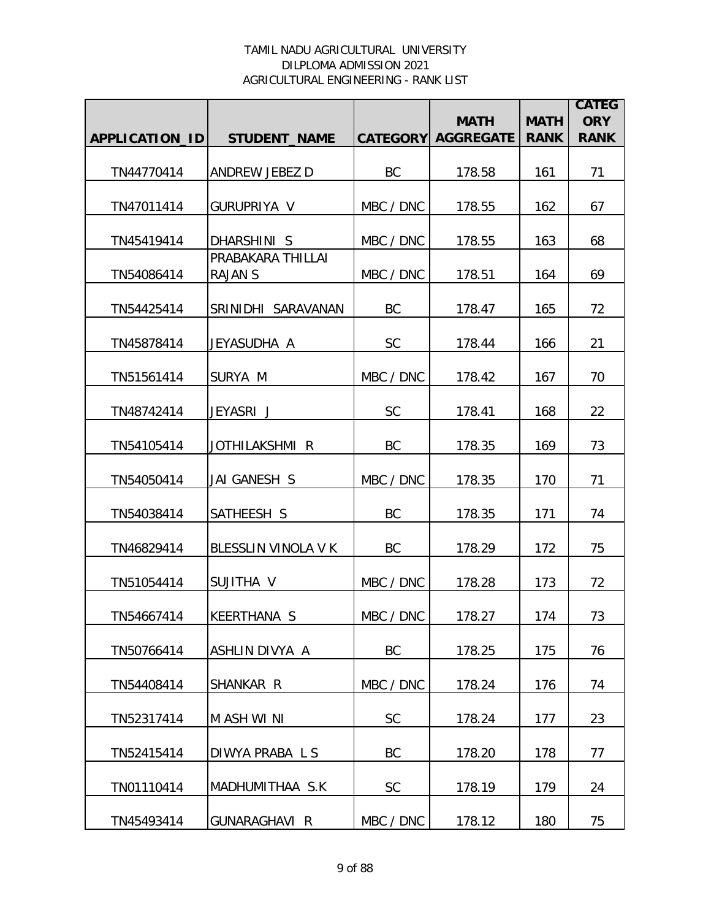|                |                                     |           | <b>MATH</b>               | <b>MATH</b> | <b>CATEG</b><br><b>ORY</b> |
|----------------|-------------------------------------|-----------|---------------------------|-------------|----------------------------|
| APPLICATION_ID | <b>STUDENT_NAME</b>                 |           | <b>CATEGORY AGGREGATE</b> | <b>RANK</b> | <b>RANK</b>                |
| TN44770414     | ANDREW JEBEZ D                      | BC        | 178.58                    | 161         | 71                         |
| TN47011414     | GURUPRIYA V                         | MBC / DNC | 178.55                    | 162         | 67                         |
| TN45419414     | DHARSHINI S                         | MBC / DNC | 178.55                    | 163         | 68                         |
| TN54086414     | PRABAKARA THILLAI<br><b>RAJAN S</b> | MBC / DNC | 178.51                    | 164         | 69                         |
| TN54425414     | SRINIDHI SARAVANAN                  | BC        | 178.47                    | 165         | 72                         |
| TN45878414     | JEYASUDHA A                         | <b>SC</b> | 178.44                    | 166         | 21                         |
| TN51561414     | SURYA M                             | MBC / DNC | 178.42                    | 167         | 70                         |
| TN48742414     | JEYASRI J                           | <b>SC</b> | 178.41                    | 168         | 22                         |
| TN54105414     | JOTHILAKSHMI R                      | <b>BC</b> | 178.35                    | 169         | 73                         |
| TN54050414     | JAI GANESH S                        | MBC / DNC | 178.35                    | 170         | 71                         |
| TN54038414     | SATHEESH S                          | BC        | 178.35                    | 171         | 74                         |
| TN46829414     | BLESSLIN VINOLA V K                 | BC        | 178.29                    | 172         | 75                         |
| TN51054414     | SUJITHA V                           | MBC / DNC | 178.28                    | 173         | 72                         |
| TN54667414     | KEERTHANA S                         | MBC / DNC | 178.27                    | 174         | 73                         |
| TN50766414     | ASHLIN DIVYA A                      | <b>BC</b> | 178.25                    | 175         | 76                         |
| TN54408414     | SHANKAR R                           | MBC / DNC | 178.24                    | 176         | 74                         |
| TN52317414     | M ASH WI NI                         | <b>SC</b> | 178.24                    | 177         | 23                         |
| TN52415414     | DIWYA PRABALS                       | BC        | 178.20                    | 178         | 77                         |
| TN01110414     | MADHUMITHAA S.K                     | <b>SC</b> | 178.19                    | 179         | 24                         |
| TN45493414     | <b>GUNARAGHAVI R</b>                | MBC / DNC | 178.12                    | 180         | 75                         |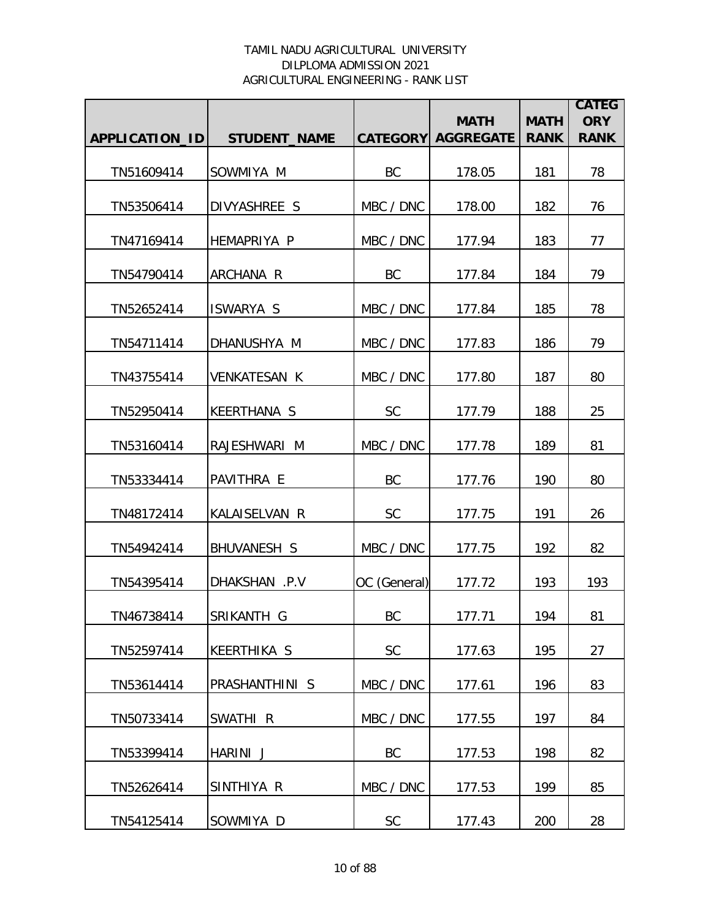|                |                     |              | <b>MATH</b>               | <b>MATH</b> | <b>CATEG</b><br><b>ORY</b> |
|----------------|---------------------|--------------|---------------------------|-------------|----------------------------|
| APPLICATION_ID | <b>STUDENT_NAME</b> |              | <b>CATEGORY AGGREGATE</b> | <b>RANK</b> | <b>RANK</b>                |
| TN51609414     | SOWMIYA M           | BC           | 178.05                    | 181         | 78                         |
| TN53506414     | DIVYASHREE S        | MBC / DNC    | 178.00                    | 182         | 76                         |
| TN47169414     | <b>HEMAPRIYA P</b>  | MBC / DNC    | 177.94                    | 183         | 77                         |
| TN54790414     | ARCHANA R           | BC           | 177.84                    | 184         | 79                         |
| TN52652414     | <b>ISWARYA S</b>    | MBC / DNC    | 177.84                    | 185         | 78                         |
| TN54711414     | DHANUSHYA M         | MBC / DNC    | 177.83                    | 186         | 79                         |
| TN43755414     | <b>VENKATESAN K</b> | MBC / DNC    | 177.80                    | 187         | 80                         |
| TN52950414     | <b>KEERTHANA S</b>  | <b>SC</b>    | 177.79                    | 188         | 25                         |
| TN53160414     | RAJESHWARI M        | MBC / DNC    | 177.78                    | 189         | 81                         |
| TN53334414     | PAVITHRA E          | BC           | 177.76                    | 190         | 80                         |
| TN48172414     | KALAISELVAN R       | <b>SC</b>    | 177.75                    | 191         | 26                         |
| TN54942414     | <b>BHUVANESH S</b>  | MBC / DNC    | 177.75                    | 192         | 82                         |
| TN54395414     | DHAKSHAN .P.V       | OC (General) | 177.72                    | 193         | 193                        |
| TN46738414     | SRIKANTH G          | BC           | 177.71                    | 194         | 81                         |
| TN52597414     | <b>KEERTHIKA S</b>  | <b>SC</b>    | 177.63                    | 195         | 27                         |
| TN53614414     | PRASHANTHINI S      | MBC / DNC    | 177.61                    | 196         | 83                         |
| TN50733414     | SWATHI <sub>R</sub> | MBC / DNC    | 177.55                    | 197         | 84                         |
| TN53399414     | HARINI J            | BC           | 177.53                    | 198         | 82                         |
| TN52626414     | SINTHIYA R          | MBC / DNC    | 177.53                    | 199         | 85                         |
| TN54125414     | SOWMIYA D           | <b>SC</b>    | 177.43                    | 200         | 28                         |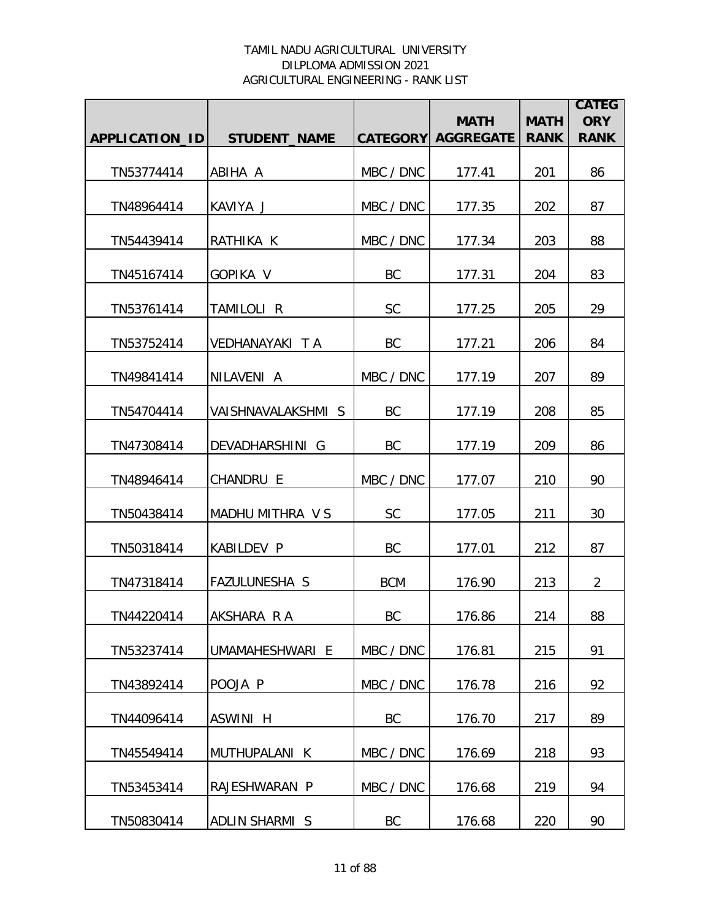|                |                      |            | <b>MATH</b>               | <b>MATH</b> | <b>CATEG</b><br><b>ORY</b> |
|----------------|----------------------|------------|---------------------------|-------------|----------------------------|
| APPLICATION_ID | <b>STUDENT_NAME</b>  |            | <b>CATEGORY AGGREGATE</b> | <b>RANK</b> | <b>RANK</b>                |
| TN53774414     | ABIHA A              | MBC / DNC  | 177.41                    | 201         | 86                         |
| TN48964414     | KAVIYA J             | MBC / DNC  | 177.35                    | 202         | 87                         |
| TN54439414     | RATHIKA K            | MBC / DNC  | 177.34                    | 203         | 88                         |
| TN45167414     | GOPIKA V             | BC         | 177.31                    | 204         | 83                         |
| TN53761414     | TAMILOLI R           | <b>SC</b>  | 177.25                    | 205         | 29                         |
| TN53752414     | VEDHANAYAKI TA       | BC         | 177.21                    | 206         | 84                         |
| TN49841414     | NILAVENI A           | MBC / DNC  | 177.19                    | 207         | 89                         |
| TN54704414     | VAISHNAVALAKSHMI S   | <b>BC</b>  | 177.19                    | 208         | 85                         |
| TN47308414     | DEVADHARSHINI G      | BC         | 177.19                    | 209         | 86                         |
| TN48946414     | CHANDRU E            | MBC / DNC  | 177.07                    | 210         | 90                         |
| TN50438414     | MADHU MITHRA V S     | <b>SC</b>  | 177.05                    | 211         | 30                         |
| TN50318414     | <b>KABILDEV P</b>    | BC         | 177.01                    | 212         | 87                         |
| TN47318414     | <b>FAZULUNESHA S</b> | <b>BCM</b> | 176.90                    | 213         | $\overline{2}$             |
| TN44220414     | AKSHARA RA           | BC         | 176.86                    | 214         | 88                         |
| TN53237414     | UMAMAHESHWARI E      | MBC / DNC  | 176.81                    | 215         | 91                         |
| TN43892414     | POOJA P              | MBC / DNC  | 176.78                    | 216         | 92                         |
| TN44096414     | ASWINI H             | BC         | 176.70                    | 217         | 89                         |
| TN45549414     | MUTHUPALANI K        | MBC / DNC  | 176.69                    | 218         | 93                         |
| TN53453414     | RAJESHWARAN P        | MBC / DNC  | 176.68                    | 219         | 94                         |
| TN50830414     | ADLIN SHARMI S       | BC         | 176.68                    | 220         | 90                         |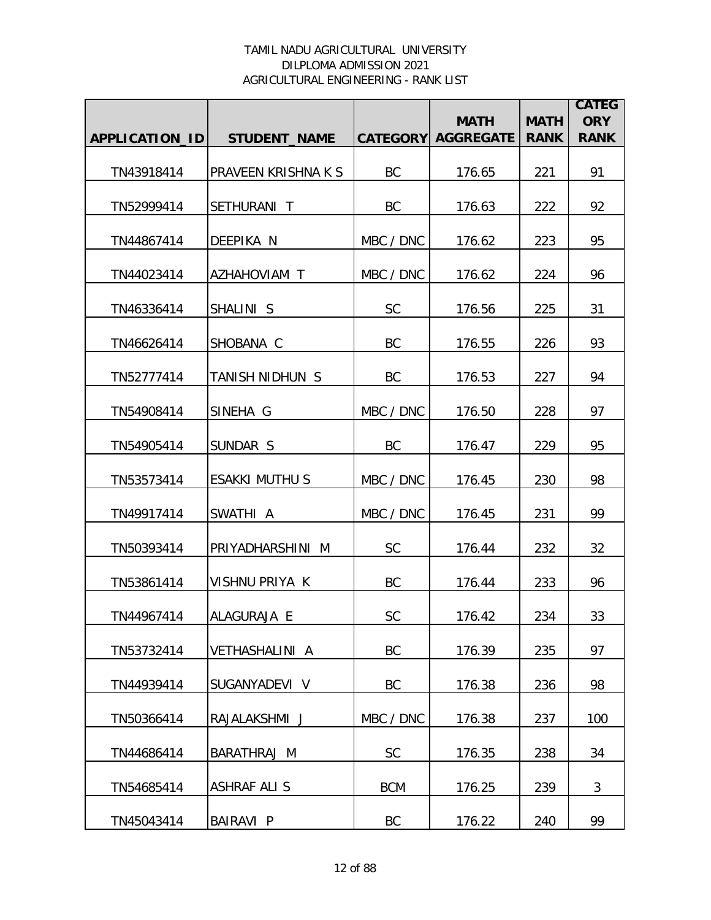|                |                            |            | <b>MATH</b>               | <b>MATH</b> | <b>CATEG</b><br><b>ORY</b> |
|----------------|----------------------------|------------|---------------------------|-------------|----------------------------|
| APPLICATION_ID | <b>STUDENT_NAME</b>        |            | <b>CATEGORY AGGREGATE</b> | <b>RANK</b> | <b>RANK</b>                |
| TN43918414     | <b>PRAVEEN KRISHNA K S</b> | <b>BC</b>  | 176.65                    | 221         | 91                         |
| TN52999414     | SETHURANI T                | <b>BC</b>  | 176.63                    | 222         | 92                         |
| TN44867414     | <b>DEEPIKA N</b>           | MBC / DNC  | 176.62                    | 223         | 95                         |
| TN44023414     | AZHAHOVIAM T               | MBC / DNC  | 176.62                    | 224         | 96                         |
| TN46336414     | SHALINI S                  | SC         | 176.56                    | 225         | 31                         |
| TN46626414     | SHOBANA C                  | BC         | 176.55                    | 226         | 93                         |
| TN52777414     | TANISH NIDHUN S            | BC         | 176.53                    | 227         | 94                         |
| TN54908414     | SINEHA G                   | MBC / DNC  | 176.50                    | 228         | 97                         |
| TN54905414     | SUNDAR S                   | <b>BC</b>  | 176.47                    | 229         | 95                         |
| TN53573414     | <b>ESAKKI MUTHU S</b>      | MBC / DNC  | 176.45                    | 230         | 98                         |
| TN49917414     | SWATHI A                   | MBC / DNC  | 176.45                    | 231         | 99                         |
| TN50393414     | PRIYADHARSHINI M           | <b>SC</b>  | 176.44                    | 232         | 32                         |
| TN53861414     | VISHNU PRIYA K             | BC         | 176.44                    | 233         | 96                         |
| TN44967414     | ALAGURAJA E                | SC         | 176.42                    | 234         | 33                         |
| TN53732414     | <b>VETHASHALINI A</b>      | BC         | 176.39                    | 235         | 97                         |
| TN44939414     | SUGANYADEVI V              | BC         | 176.38                    | 236         | 98                         |
| TN50366414     | RAJALAKSHMI J              | MBC / DNC  | 176.38                    | 237         | 100                        |
| TN44686414     | BARATHRAJ M                | SC         | 176.35                    | 238         | 34                         |
| TN54685414     | <b>ASHRAF ALI S</b>        | <b>BCM</b> | 176.25                    | 239         | 3                          |
| TN45043414     | BAIRAVI P                  | BC         | 176.22                    | 240         | 99                         |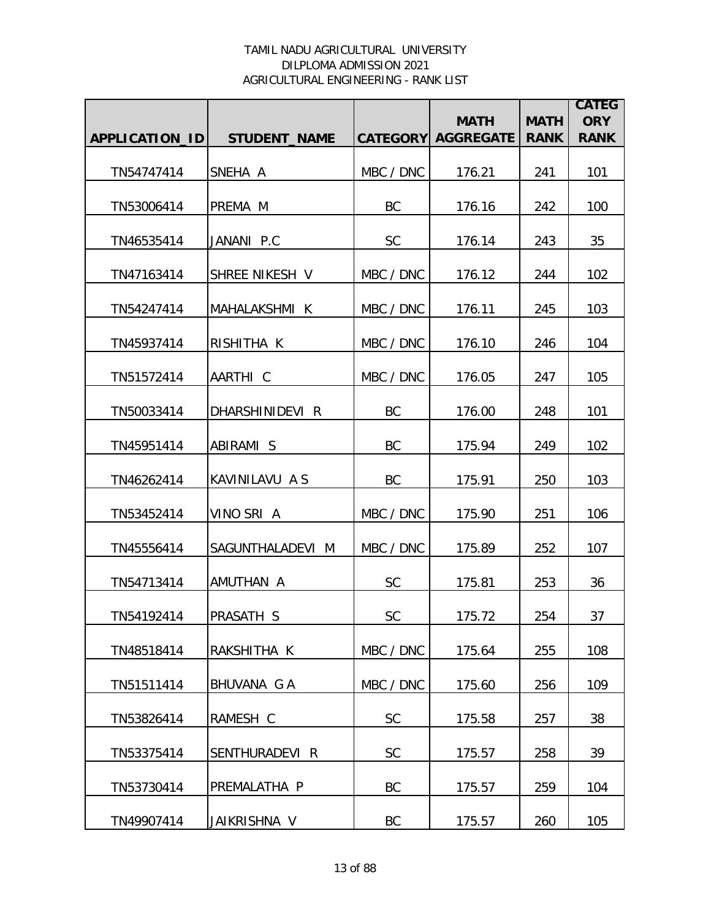|                |                     |           | <b>MATH</b>               | <b>MATH</b> | <b>CATEG</b><br><b>ORY</b> |
|----------------|---------------------|-----------|---------------------------|-------------|----------------------------|
| APPLICATION_ID | <b>STUDENT_NAME</b> |           | <b>CATEGORY AGGREGATE</b> | <b>RANK</b> | <b>RANK</b>                |
| TN54747414     | SNEHA A             | MBC / DNC | 176.21                    | 241         | 101                        |
| TN53006414     | PREMA M             | BC        | 176.16                    | 242         | 100                        |
| TN46535414     | JANANI P.C          | <b>SC</b> | 176.14                    | 243         | 35                         |
| TN47163414     | SHREE NIKESH V      | MBC / DNC | 176.12                    | 244         | 102                        |
| TN54247414     | MAHALAKSHMI K       | MBC / DNC | 176.11                    | 245         | 103                        |
| TN45937414     | RISHITHA K          | MBC / DNC | 176.10                    | 246         | 104                        |
| TN51572414     | AARTHI C            | MBC / DNC | 176.05                    | 247         | 105                        |
| TN50033414     | DHARSHINIDEVI R     | BC        | 176.00                    | 248         | 101                        |
| TN45951414     | ABIRAMI S           | <b>BC</b> | 175.94                    | 249         | 102                        |
| TN46262414     | KAVINILAVU A S      | <b>BC</b> | 175.91                    | 250         | 103                        |
| TN53452414     | VINO SRI A          | MBC / DNC | 175.90                    | 251         | 106                        |
| TN45556414     | SAGUNTHALADEVI M    | MBC / DNC | 175.89                    | 252         | 107                        |
| TN54713414     | AMUTHAN A           | <b>SC</b> | 175.81                    | 253         | 36                         |
| TN54192414     | PRASATH S           | <b>SC</b> | 175.72                    | 254         | 37                         |
| TN48518414     | RAKSHITHA K         | MBC / DNC | 175.64                    | 255         | 108                        |
| TN51511414     | BHUVANA G A         | MBC / DNC | 175.60                    | 256         | 109                        |
| TN53826414     | RAMESH C            | <b>SC</b> | 175.58                    | 257         | 38                         |
| TN53375414     | SENTHURADEVI R      | <b>SC</b> | 175.57                    | 258         | 39                         |
| TN53730414     | PREMALATHA P        | BC        | 175.57                    | 259         | 104                        |
| TN49907414     | JAIKRISHNA V        | BC        | 175.57                    | 260         | 105                        |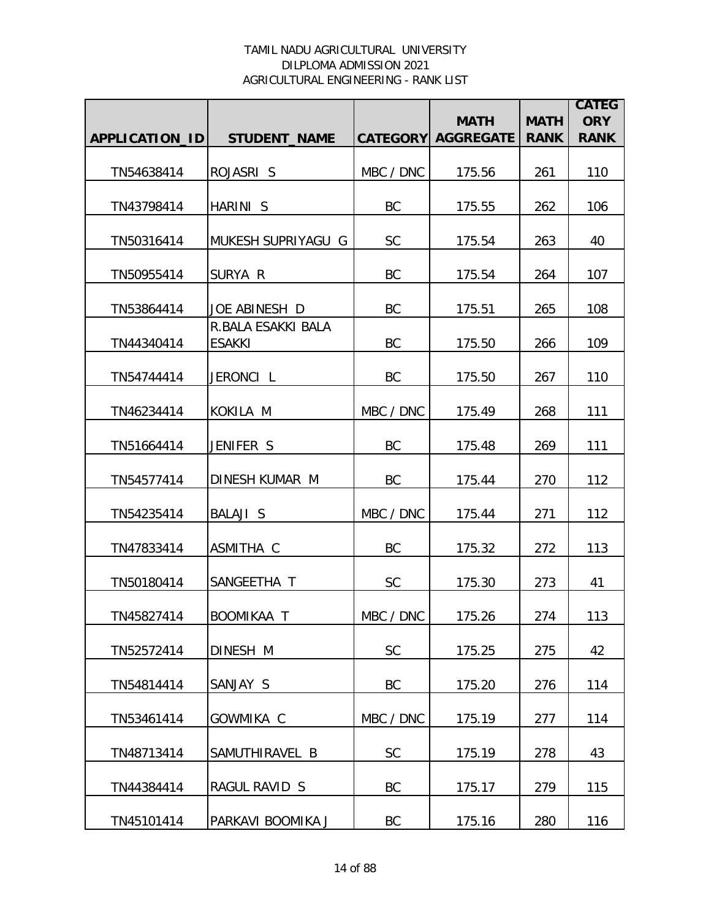|                |                                     |           | <b>MATH</b>               | <b>MATH</b> | <b>CATEG</b><br><b>ORY</b> |
|----------------|-------------------------------------|-----------|---------------------------|-------------|----------------------------|
| APPLICATION_ID | <b>STUDENT_NAME</b>                 |           | <b>CATEGORY AGGREGATE</b> | <b>RANK</b> | <b>RANK</b>                |
| TN54638414     | ROJASRI S                           | MBC / DNC | 175.56                    | 261         | 110                        |
| TN43798414     | HARINI S                            | BC        | 175.55                    | 262         | 106                        |
| TN50316414     | MUKESH SUPRIYAGU G                  | <b>SC</b> | 175.54                    | 263         | 40                         |
| TN50955414     | SURYA R                             | BC        | 175.54                    | 264         | 107                        |
| TN53864414     | JOE ABINESH D                       | BC        | 175.51                    | 265         | 108                        |
| TN44340414     | R.BALA ESAKKI BALA<br><b>ESAKKI</b> | BC        | 175.50                    | 266         | 109                        |
| TN54744414     | JERONCI L                           | BC        | 175.50                    | 267         | 110                        |
| TN46234414     | KOKILA M                            | MBC / DNC | 175.49                    | 268         | 111                        |
| TN51664414     | JENIFER S                           | <b>BC</b> | 175.48                    | 269         | 111                        |
| TN54577414     | DINESH KUMAR M                      | <b>BC</b> | 175.44                    | 270         | 112                        |
| TN54235414     | BALAJI S                            | MBC / DNC | 175.44                    | 271         | 112                        |
| TN47833414     | ASMITHA C                           | BC        | 175.32                    | 272         | 113                        |
| TN50180414     | SANGEETHA T                         | <b>SC</b> | 175.30                    | 273         | 41                         |
| TN45827414     | <b>BOOMIKAA T</b>                   | MBC / DNC | 175.26                    | 274         | 113                        |
| TN52572414     | DINESH M                            | <b>SC</b> | 175.25                    | 275         | 42                         |
| TN54814414     | SANJAY S                            | BC        | 175.20                    | 276         | 114                        |
| TN53461414     | GOWMIKA C                           | MBC / DNC | 175.19                    | 277         | 114                        |
| TN48713414     | SAMUTHIRAVEL B                      | <b>SC</b> | 175.19                    | 278         | 43                         |
| TN44384414     | RAGUL RAVID S                       | BC        | 175.17                    | 279         | 115                        |
| TN45101414     | PARKAVI BOOMIKA J                   | BC        | 175.16                    | 280         | 116                        |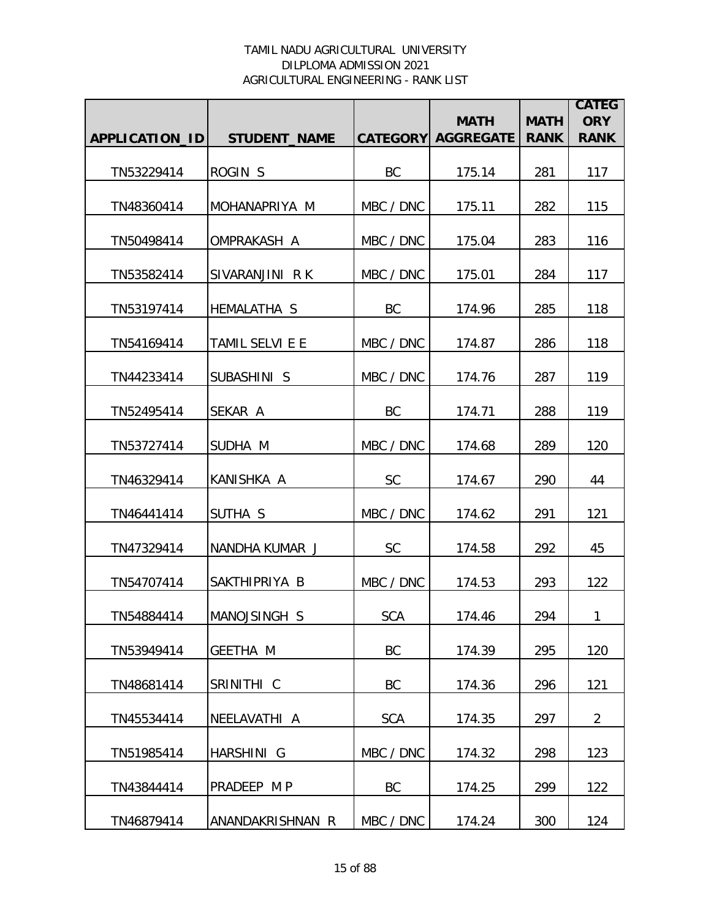|                |                     |            |                                          |                            | <b>CATEG</b>              |
|----------------|---------------------|------------|------------------------------------------|----------------------------|---------------------------|
| APPLICATION_ID | <b>STUDENT_NAME</b> |            | <b>MATH</b><br><b>CATEGORY AGGREGATE</b> | <b>MATH</b><br><b>RANK</b> | <b>ORY</b><br><b>RANK</b> |
|                |                     |            |                                          |                            |                           |
| TN53229414     | ROGIN <sub>S</sub>  | <b>BC</b>  | 175.14                                   | 281                        | 117                       |
| TN48360414     | MOHANAPRIYA M       | MBC / DNC  | 175.11                                   | 282                        | 115                       |
| TN50498414     | OMPRAKASH A         | MBC / DNC  | 175.04                                   | 283                        | 116                       |
| TN53582414     | SIVARANJINI RK      | MBC / DNC  | 175.01                                   | 284                        | 117                       |
| TN53197414     | <b>HEMALATHA S</b>  | BC         | 174.96                                   | 285                        | 118                       |
| TN54169414     | TAMIL SELVI E E     | MBC / DNC  | 174.87                                   | 286                        | 118                       |
| TN44233414     | SUBASHINI S         | MBC / DNC  | 174.76                                   | 287                        | 119                       |
| TN52495414     | SEKAR A             | <b>BC</b>  | 174.71                                   | 288                        | 119                       |
| TN53727414     | SUDHA M             | MBC / DNC  | 174.68                                   | 289                        | 120                       |
| TN46329414     | KANISHKA A          | <b>SC</b>  | 174.67                                   | 290                        | 44                        |
| TN46441414     | SUTHA S             | MBC / DNC  | 174.62                                   | 291                        | 121                       |
| TN47329414     | NANDHA KUMAR J      | <b>SC</b>  | 174.58                                   | 292                        | 45                        |
| TN54707414     | SAKTHIPRIYA B       | MBC / DNC  | 174.53                                   | 293                        | 122                       |
| TN54884414     | MANOJSINGH S        | <b>SCA</b> | 174.46                                   | 294                        | 1                         |
| TN53949414     | <b>GEETHA M</b>     | BC         | 174.39                                   | 295                        | 120                       |
| TN48681414     | SRINITHI C          | BC         | 174.36                                   | 296                        | 121                       |
| TN45534414     | NEELAVATHI A        | <b>SCA</b> | 174.35                                   | 297                        | $\overline{2}$            |
| TN51985414     | HARSHINI G          | MBC / DNC  | 174.32                                   | 298                        | 123                       |
| TN43844414     | PRADEEP M P         | <b>BC</b>  | 174.25                                   | 299                        | 122                       |
| TN46879414     | ANANDAKRISHNAN R    | MBC / DNC  | 174.24                                   | 300                        | 124                       |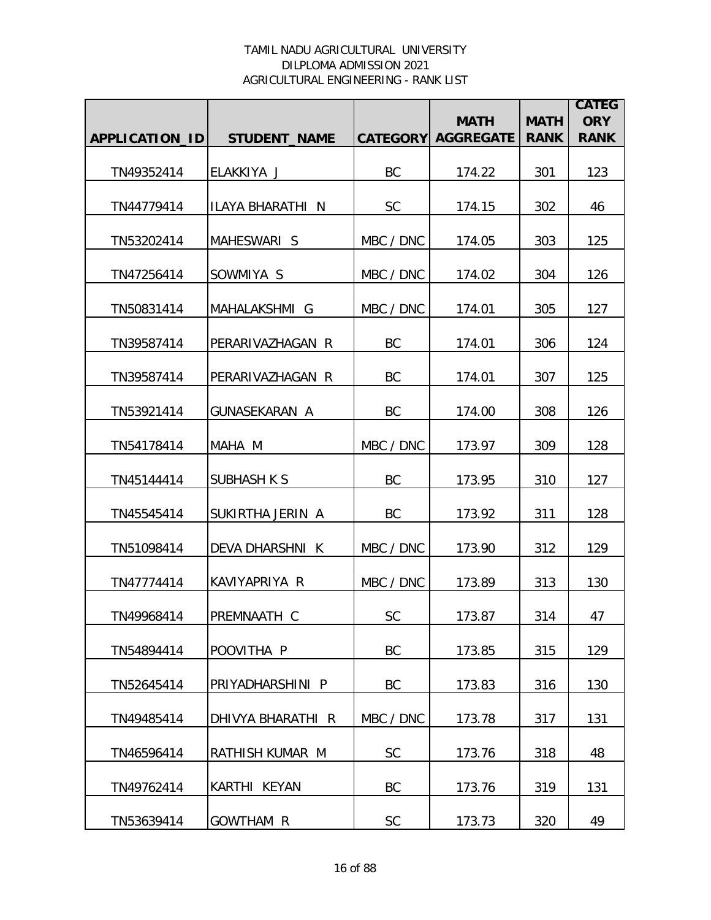|                |                      |                 | <b>MATH</b>      | <b>MATH</b> | <b>CATEG</b><br><b>ORY</b> |
|----------------|----------------------|-----------------|------------------|-------------|----------------------------|
| APPLICATION_ID | <b>STUDENT NAME</b>  | <b>CATEGORY</b> | <b>AGGREGATE</b> | <b>RANK</b> | <b>RANK</b>                |
| TN49352414     | ELAKKIYA J           | BC              | 174.22           | 301         | 123                        |
| TN44779414     | ILAYA BHARATHI N     | <b>SC</b>       | 174.15           | 302         | 46                         |
| TN53202414     | MAHESWARI S          | MBC / DNC       | 174.05           | 303         | 125                        |
| TN47256414     | SOWMIYA S            | MBC / DNC       | 174.02           | 304         | 126                        |
| TN50831414     | MAHALAKSHMI G        | MBC / DNC       | 174.01           | 305         | 127                        |
| TN39587414     | PERARIVAZHAGAN R     | BC              | 174.01           | 306         | 124                        |
| TN39587414     | PERARIVAZHAGAN R     | BC              | 174.01           | 307         | 125                        |
| TN53921414     | <b>GUNASEKARAN A</b> | BC              | 174.00           | 308         | 126                        |
| TN54178414     | MAHA M               | MBC / DNC       | 173.97           | 309         | 128                        |
| TN45144414     | <b>SUBHASH K S</b>   | BC              | 173.95           | 310         | 127                        |
| TN45545414     | SUKIRTHA JERIN A     | <b>BC</b>       | 173.92           | 311         | 128                        |
| TN51098414     | DEVA DHARSHNI K      | MBC / DNC       | 173.90           | 312         | 129                        |
| TN47774414     | KAVIYAPRIYA R        | MBC / DNC       | 173.89           | 313         | 130                        |
| TN49968414     | PREMNAATH C          | <b>SC</b>       | 173.87           | 314         | 47                         |
| TN54894414     | POOVITHA P           | BC              | 173.85           | 315         | 129                        |
| TN52645414     | PRIYADHARSHINI P     | BC              | 173.83           | 316         | 130                        |
| TN49485414     | DHIVYA BHARATHI R    | MBC / DNC       | 173.78           | 317         | 131                        |
| TN46596414     | RATHISH KUMAR M      | <b>SC</b>       | 173.76           | 318         | 48                         |
| TN49762414     | KARTHI KEYAN         | BC              | 173.76           | 319         | 131                        |
| TN53639414     | GOWTHAM R            | SC              | 173.73           | 320         | 49                         |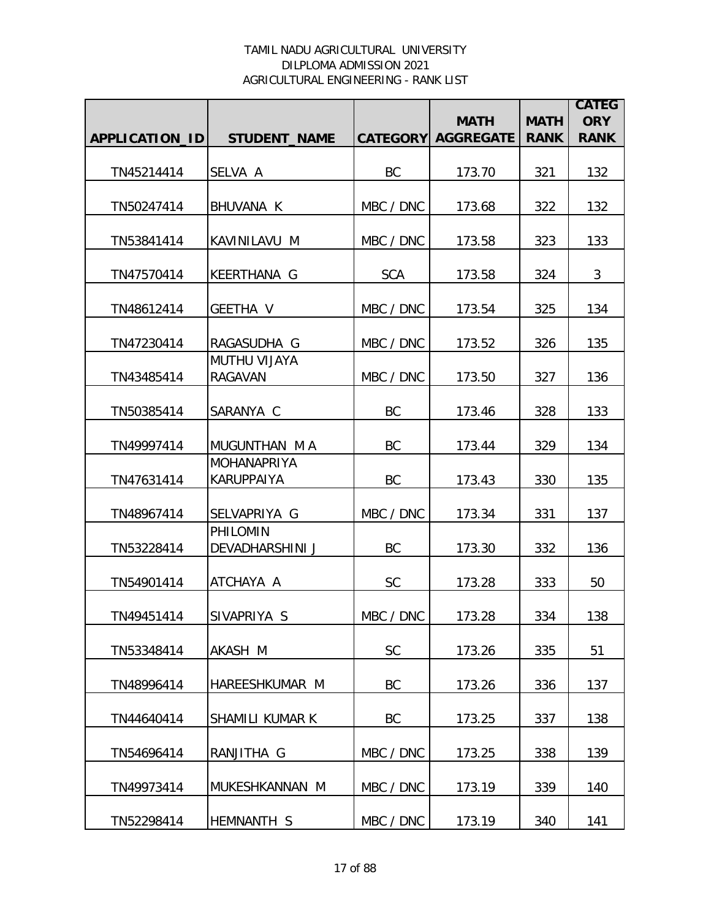|                |                                           |            |                                          |                            | <b>CATEG</b>              |
|----------------|-------------------------------------------|------------|------------------------------------------|----------------------------|---------------------------|
| APPLICATION_ID | <b>STUDENT_NAME</b>                       |            | <b>MATH</b><br><b>CATEGORY AGGREGATE</b> | <b>MATH</b><br><b>RANK</b> | <b>ORY</b><br><b>RANK</b> |
|                |                                           |            |                                          |                            |                           |
| TN45214414     | SELVA A                                   | BC         | 173.70                                   | 321                        | 132                       |
| TN50247414     | <b>BHUVANA K</b>                          | MBC / DNC  | 173.68                                   | 322                        | 132                       |
| TN53841414     | KAVINILAVU M                              | MBC / DNC  | 173.58                                   | 323                        | 133                       |
| TN47570414     | <b>KEERTHANA G</b>                        | <b>SCA</b> | 173.58                                   | 324                        | 3                         |
| TN48612414     | GEETHA V                                  | MBC / DNC  | 173.54                                   | 325                        | 134                       |
| TN47230414     | RAGASUDHA G                               | MBC / DNC  | 173.52                                   | 326                        | 135                       |
| TN43485414     | <b>MUTHU VIJAYA</b><br><b>RAGAVAN</b>     | MBC / DNC  | 173.50                                   | 327                        | 136                       |
| TN50385414     | SARANYA C                                 | <b>BC</b>  | 173.46                                   | 328                        | 133                       |
| TN49997414     | MUGUNTHAN M A                             | <b>BC</b>  | 173.44                                   | 329                        | 134                       |
| TN47631414     | <b>MOHANAPRIYA</b><br><b>KARUPPAIYA</b>   | <b>BC</b>  | 173.43                                   | 330                        | 135                       |
| TN48967414     | SELVAPRIYA G                              | MBC / DNC  | 173.34                                   | 331                        | 137                       |
| TN53228414     | <b>PHILOMIN</b><br><b>DEVADHARSHINI J</b> | BC         | 173.30                                   | 332                        | 136                       |
| TN54901414     | ATCHAYA A                                 | <b>SC</b>  | 173.28                                   | 333                        | 50                        |
| TN49451414     | SIVAPRIYA S                               | MBC / DNC  | 173.28                                   | 334                        | 138                       |
| TN53348414     | AKASH M                                   | SC         | 173.26                                   | 335                        | 51                        |
| TN48996414     | HAREESHKUMAR M                            | BC         | 173.26                                   | 336                        | 137                       |
| TN44640414     | SHAMILI KUMAR K                           | BC         | 173.25                                   | 337                        | 138                       |
| TN54696414     | RANJITHA G                                | MBC / DNC  | 173.25                                   | 338                        | 139                       |
| TN49973414     | MUKESHKANNAN M                            | MBC / DNC  | 173.19                                   | 339                        | 140                       |
| TN52298414     | HEMNANTH S                                | MBC / DNC  | 173.19                                   | 340                        | 141                       |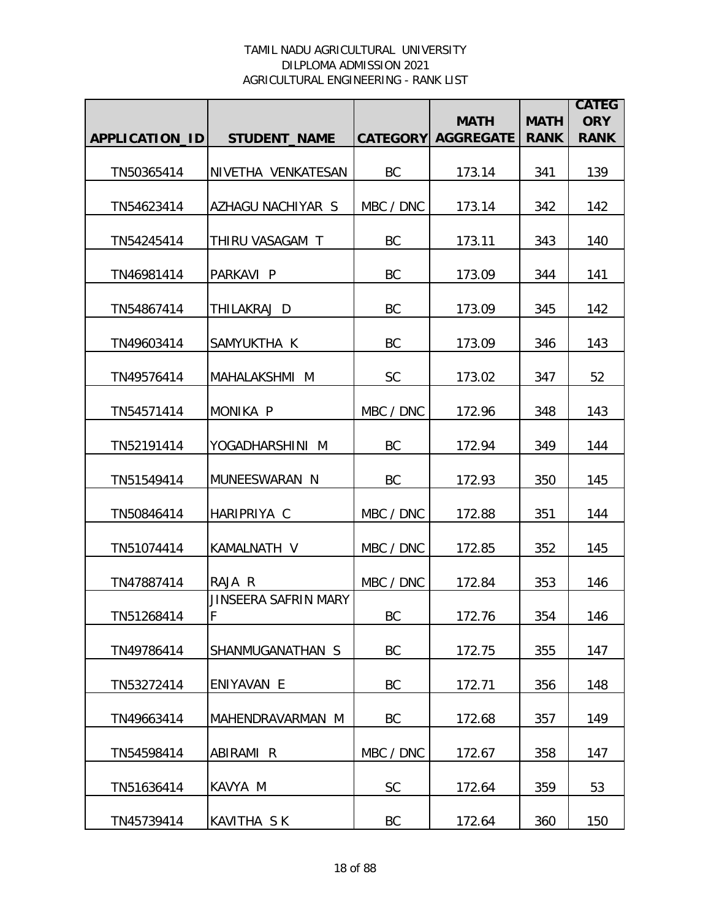|                |                           |                 |                                 |                            | <b>CATEG</b><br><b>ORY</b> |
|----------------|---------------------------|-----------------|---------------------------------|----------------------------|----------------------------|
| APPLICATION_ID | <b>STUDENT_NAME</b>       | <b>CATEGORY</b> | <b>MATH</b><br><b>AGGREGATE</b> | <b>MATH</b><br><b>RANK</b> | <b>RANK</b>                |
|                |                           |                 |                                 |                            |                            |
| TN50365414     | NIVETHA VENKATESAN        | <b>BC</b>       | 173.14                          | 341                        | 139                        |
| TN54623414     | AZHAGU NACHIYAR S         | MBC / DNC       | 173.14                          | 342                        | 142                        |
| TN54245414     | THIRU VASAGAM T           | BC              | 173.11                          | 343                        | 140                        |
| TN46981414     | PARKAVI P                 | BC              | 173.09                          | 344                        | 141                        |
| TN54867414     | THILAKRAJ D               | BC              | 173.09                          | 345                        | 142                        |
| TN49603414     | SAMYUKTHA K               | BC              | 173.09                          | 346                        | 143                        |
| TN49576414     | MAHALAKSHMI M             | <b>SC</b>       | 173.02                          | 347                        | 52                         |
| TN54571414     | MONIKA P                  | MBC / DNC       | 172.96                          | 348                        | 143                        |
| TN52191414     | YOGADHARSHINI M           | <b>BC</b>       | 172.94                          | 349                        | 144                        |
| TN51549414     | MUNEESWARAN N             | <b>BC</b>       | 172.93                          | 350                        | 145                        |
| TN50846414     | HARIPRIYA C               | MBC / DNC       | 172.88                          | 351                        | 144                        |
| TN51074414     | KAMALNATH V               | MBC / DNC       | 172.85                          | 352                        | 145                        |
| TN47887414     | RAJA R                    | MBC / DNC       | 172.84                          | 353                        | 146                        |
| TN51268414     | JINSEERA SAFRIN MARY<br>F | BC              | 172.76                          | 354                        | 146                        |
| TN49786414     | SHANMUGANATHAN S          | BC              | 172.75                          | 355                        | 147                        |
| TN53272414     | ENIYAVAN E                | BC              | 172.71                          | 356                        | 148                        |
| TN49663414     | MAHENDRAVARMAN M          | <b>BC</b>       | 172.68                          | 357                        | 149                        |
| TN54598414     | ABIRAMI R                 | MBC / DNC       | 172.67                          | 358                        | 147                        |
| TN51636414     | KAVYA M                   | <b>SC</b>       | 172.64                          | 359                        | 53                         |
| TN45739414     | KAVITHA SK                | BC              | 172.64                          | 360                        | 150                        |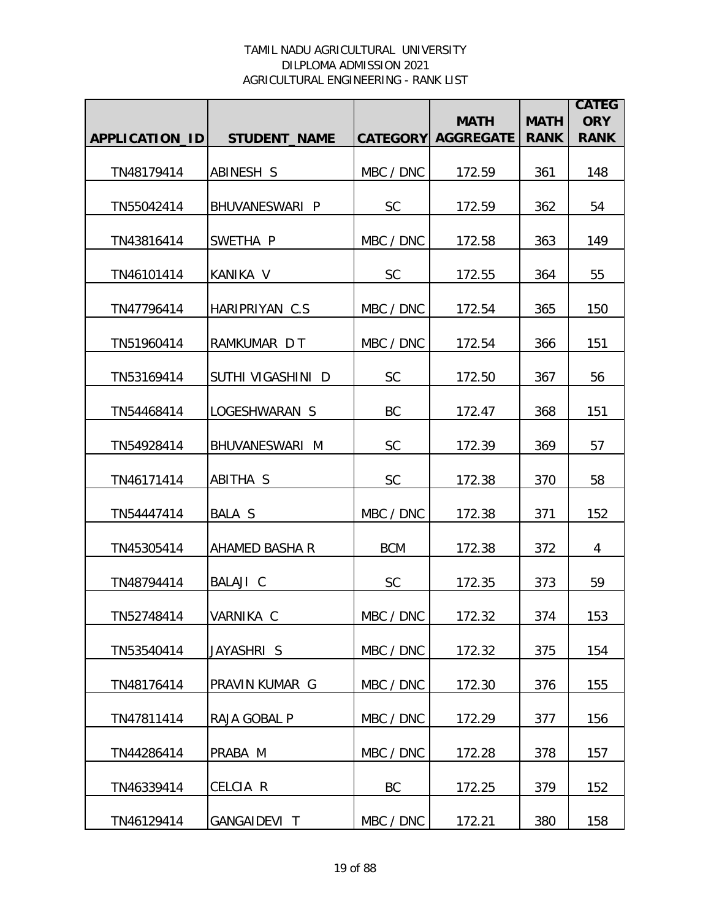|                |                     |            | <b>MATH</b>               | <b>MATH</b> | <b>CATEG</b><br><b>ORY</b> |
|----------------|---------------------|------------|---------------------------|-------------|----------------------------|
| APPLICATION_ID | <b>STUDENT NAME</b> |            | <b>CATEGORY AGGREGATE</b> | <b>RANK</b> | <b>RANK</b>                |
| TN48179414     | ABINESH S           | MBC / DNC  | 172.59                    | 361         | 148                        |
| TN55042414     | BHUVANESWARI P      | <b>SC</b>  | 172.59                    | 362         | 54                         |
| TN43816414     | SWETHA P            | MBC / DNC  | 172.58                    | 363         | 149                        |
| TN46101414     | KANIKA V            | <b>SC</b>  | 172.55                    | 364         | 55                         |
| TN47796414     | HARIPRIYAN C.S.     | MBC / DNC  | 172.54                    | 365         | 150                        |
| TN51960414     | RAMKUMAR D T        | MBC / DNC  | 172.54                    | 366         | 151                        |
| TN53169414     | SUTHI VIGASHINI D   | SC         | 172.50                    | 367         | 56                         |
| TN54468414     | LOGESHWARAN S       | BC         | 172.47                    | 368         | 151                        |
| TN54928414     | BHUVANESWARI M      | <b>SC</b>  | 172.39                    | 369         | 57                         |
| TN46171414     | ABITHA S            | <b>SC</b>  | 172.38                    | 370         | 58                         |
| TN54447414     | BALA S              | MBC / DNC  | 172.38                    | 371         | 152                        |
| TN45305414     | AHAMED BASHA R      | <b>BCM</b> | 172.38                    | 372         | 4                          |
| TN48794414     | BALAJI C            | <b>SC</b>  | 172.35                    | 373         | 59                         |
| TN52748414     | VARNIKA C           | MBC / DNC  | 172.32                    | 374         | 153                        |
| TN53540414     | JAYASHRI S          | MBC / DNC  | 172.32                    | 375         | 154                        |
| TN48176414     | PRAVIN KUMAR G      | MBC / DNC  | 172.30                    | 376         | 155                        |
| TN47811414     | RAJA GOBAL P        | MBC / DNC  | 172.29                    | 377         | 156                        |
| TN44286414     | PRABA M             | MBC / DNC  | 172.28                    | 378         | 157                        |
| TN46339414     | CELCIA R            | BC         | 172.25                    | 379         | 152                        |
| TN46129414     | GANGAIDEVI T        | MBC / DNC  | 172.21                    | 380         | 158                        |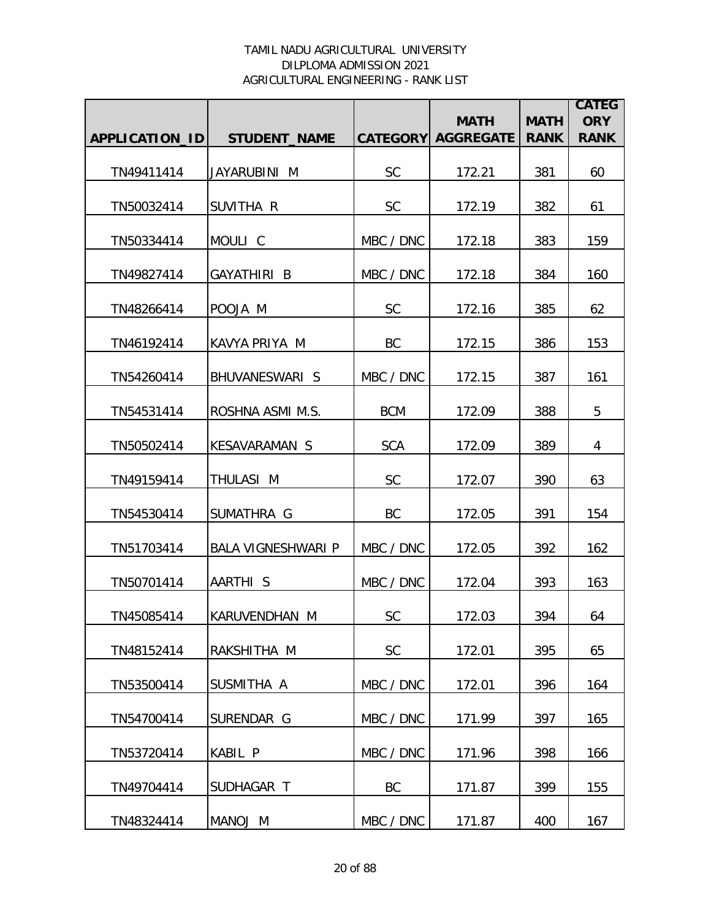|                |                           |            | <b>MATH</b>               | <b>MATH</b> | <b>CATEG</b><br><b>ORY</b> |
|----------------|---------------------------|------------|---------------------------|-------------|----------------------------|
| APPLICATION_ID | <b>STUDENT_NAME</b>       |            | <b>CATEGORY AGGREGATE</b> | <b>RANK</b> | <b>RANK</b>                |
| TN49411414     | JAYARUBINI M              | <b>SC</b>  | 172.21                    | 381         | 60                         |
| TN50032414     | SUVITHA R                 | <b>SC</b>  | 172.19                    | 382         | 61                         |
| TN50334414     | MOULI C                   | MBC / DNC  | 172.18                    | 383         | 159                        |
| TN49827414     | GAYATHIRI B               | MBC / DNC  | 172.18                    | 384         | 160                        |
| TN48266414     | POOJA M                   | <b>SC</b>  | 172.16                    | 385         | 62                         |
| TN46192414     | KAVYA PRIYA M             | BC         | 172.15                    | 386         | 153                        |
| TN54260414     | BHUVANESWARI S            | MBC / DNC  | 172.15                    | 387         | 161                        |
| TN54531414     | ROSHNA ASMI M.S.          | <b>BCM</b> | 172.09                    | 388         | 5                          |
| TN50502414     | <b>KESAVARAMAN S</b>      | <b>SCA</b> | 172.09                    | 389         | 4                          |
| TN49159414     | THULASI M                 | SC         | 172.07                    | 390         | 63                         |
| TN54530414     | SUMATHRA G                | BC         | 172.05                    | 391         | 154                        |
| TN51703414     | <b>BALA VIGNESHWARI P</b> | MBC / DNC  | 172.05                    | 392         | 162                        |
| TN50701414     | AARTHI S                  | MBC / DNC  | 172.04                    | 393         | 163                        |
| TN45085414     | KARUVENDHAN M             | <b>SC</b>  | 172.03                    | 394         | 64                         |
| TN48152414     | RAKSHITHA M               | <b>SC</b>  | 172.01                    | 395         | 65                         |
| TN53500414     | SUSMITHA A                | MBC / DNC  | 172.01                    | 396         | 164                        |
| TN54700414     | SURENDAR G                | MBC / DNC  | 171.99                    | 397         | 165                        |
| TN53720414     | KABIL P                   | MBC / DNC  | 171.96                    | 398         | 166                        |
| TN49704414     | SUDHAGAR T                | BC         | 171.87                    | 399         | 155                        |
| TN48324414     | MANOJ M                   | MBC / DNC  | 171.87                    | 400         | 167                        |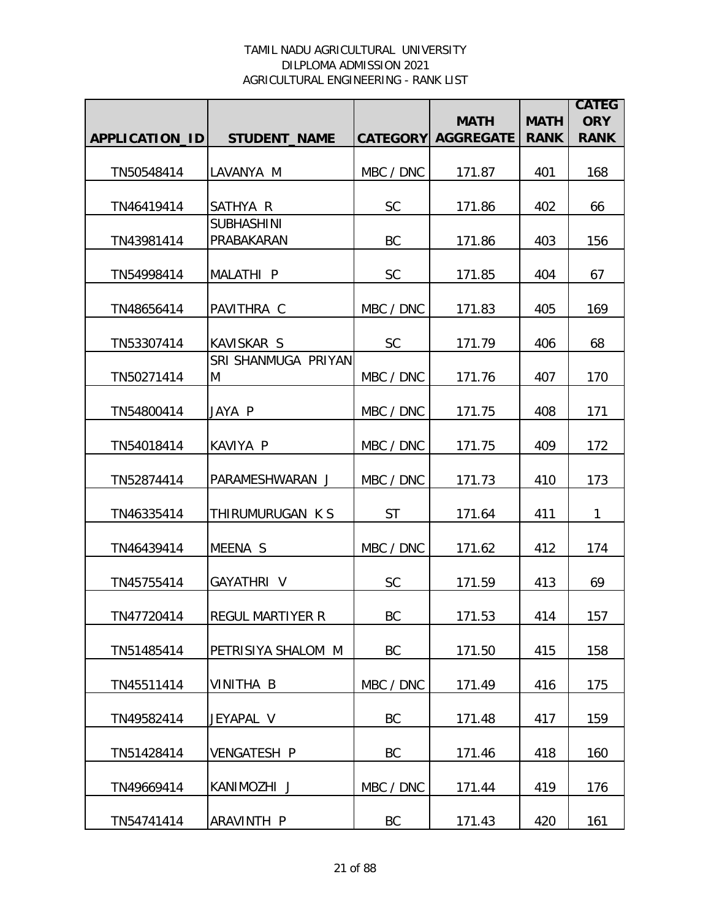|                |                          |           |                                          |                            | <b>CATEG</b>              |
|----------------|--------------------------|-----------|------------------------------------------|----------------------------|---------------------------|
| APPLICATION_ID | <b>STUDENT_NAME</b>      |           | <b>MATH</b><br><b>CATEGORY AGGREGATE</b> | <b>MATH</b><br><b>RANK</b> | <b>ORY</b><br><b>RANK</b> |
|                |                          |           |                                          |                            |                           |
| TN50548414     | LAVANYA M                | MBC / DNC | 171.87                                   | 401                        | 168                       |
| TN46419414     | SATHYA R                 | <b>SC</b> | 171.86                                   | 402                        | 66                        |
|                | <b>SUBHASHINI</b>        |           |                                          |                            |                           |
| TN43981414     | PRABAKARAN               | BC        | 171.86                                   | 403                        | 156                       |
| TN54998414     | MALATHI P                | <b>SC</b> | 171.85                                   | 404                        | 67                        |
| TN48656414     | PAVITHRA C               | MBC / DNC | 171.83                                   | 405                        | 169                       |
| TN53307414     | <b>KAVISKAR S</b>        | <b>SC</b> | 171.79                                   | 406                        | 68                        |
| TN50271414     | SRI SHANMUGA PRIYAN<br>M | MBC / DNC | 171.76                                   | 407                        | 170                       |
|                |                          |           |                                          |                            |                           |
| TN54800414     | JAYA P                   | MBC / DNC | 171.75                                   | 408                        | 171                       |
| TN54018414     | KAVIYA P                 | MBC / DNC | 171.75                                   | 409                        | 172                       |
| TN52874414     | PARAMESHWARAN J          | MBC / DNC | 171.73                                   | 410                        | 173                       |
| TN46335414     | THIRUMURUGAN K S         | <b>ST</b> | 171.64                                   | 411                        | 1                         |
| TN46439414     | MEENA S                  | MBC / DNC | 171.62                                   | 412                        | 174                       |
| TN45755414     | GAYATHRI V               | SC        | 171.59                                   | 413                        | 69                        |
| TN47720414     | <b>REGUL MARTIYER R</b>  | BC        | 171.53                                   | 414                        | 157                       |
| TN51485414     | PETRISIYA SHALOM M       | BC        | 171.50                                   | 415                        | 158                       |
| TN45511414     | VINITHA B                | MBC / DNC | 171.49                                   | 416                        | 175                       |
| TN49582414     | JEYAPAL V                | <b>BC</b> | 171.48                                   | 417                        | 159                       |
| TN51428414     | <b>VENGATESH P</b>       | BC        | 171.46                                   | 418                        | 160                       |
| TN49669414     | KANIMOZHI J              | MBC / DNC | 171.44                                   | 419                        | 176                       |
| TN54741414     | ARAVINTH P               | BC        | 171.43                                   | 420                        | 161                       |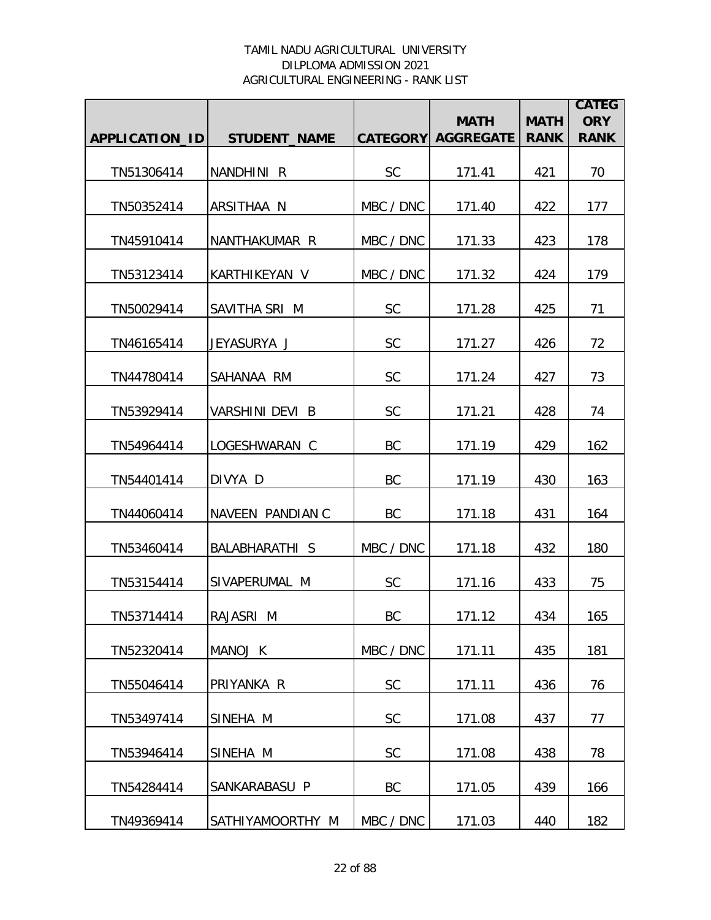|                |                       |           | <b>MATH</b>               | <b>MATH</b> | <b>CATEG</b><br><b>ORY</b> |
|----------------|-----------------------|-----------|---------------------------|-------------|----------------------------|
| APPLICATION_ID | <b>STUDENT_NAME</b>   |           | <b>CATEGORY AGGREGATE</b> | <b>RANK</b> | <b>RANK</b>                |
| TN51306414     | NANDHINI R            | <b>SC</b> | 171.41                    | 421         | 70                         |
| TN50352414     | ARSITHAA N            | MBC / DNC | 171.40                    | 422         | 177                        |
| TN45910414     | NANTHAKUMAR R         | MBC / DNC | 171.33                    | 423         | 178                        |
| TN53123414     | KARTHIKEYAN V         | MBC / DNC | 171.32                    | 424         | 179                        |
| TN50029414     | SAVITHA SRI M         | <b>SC</b> | 171.28                    | 425         | 71                         |
| TN46165414     | JEYASURYA J           | <b>SC</b> | 171.27                    | 426         | 72                         |
| TN44780414     | SAHANAA RM            | <b>SC</b> | 171.24                    | 427         | 73                         |
| TN53929414     | VARSHINI DEVI B       | SC        | 171.21                    | 428         | 74                         |
| TN54964414     | LOGESHWARAN C         | BC        | 171.19                    | 429         | 162                        |
| TN54401414     | DIVYA D               | BC        | 171.19                    | 430         | 163                        |
| TN44060414     | NAVEEN PANDIAN C      | BC        | 171.18                    | 431         | 164                        |
| TN53460414     | <b>BALABHARATHI S</b> | MBC / DNC | 171.18                    | 432         | 180                        |
| TN53154414     | SIVAPERUMAL M         | <b>SC</b> | 171.16                    | 433         | 75                         |
| TN53714414     | RAJASRI M             | BC        | 171.12                    | 434         | 165                        |
| TN52320414     | MANOJ K               | MBC / DNC | 171.11                    | 435         | 181                        |
| TN55046414     | PRIYANKA R            | <b>SC</b> | 171.11                    | 436         | 76                         |
| TN53497414     | SINEHA M              | <b>SC</b> | 171.08                    | 437         | 77                         |
| TN53946414     | SINEHA M              | SC        | 171.08                    | 438         | 78                         |
| TN54284414     | SANKARABASU P         | BC        | 171.05                    | 439         | 166                        |
| TN49369414     | SATHIYAMOORTHY M      | MBC / DNC | 171.03                    | 440         | 182                        |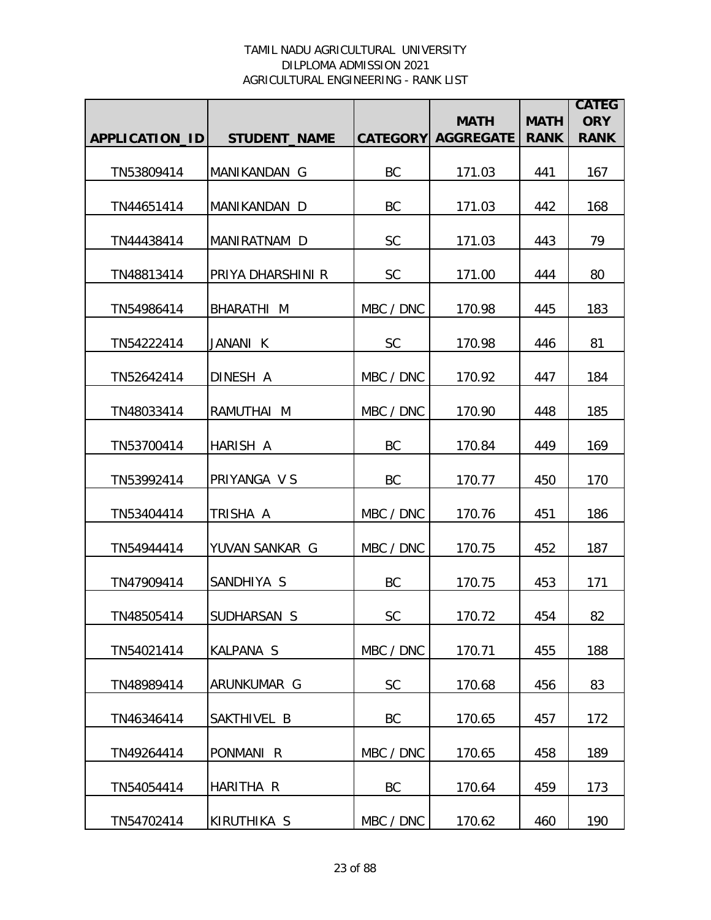|                |                     |           | <b>MATH</b>               | <b>MATH</b> | <b>CATEG</b><br><b>ORY</b> |
|----------------|---------------------|-----------|---------------------------|-------------|----------------------------|
| APPLICATION_ID | <b>STUDENT_NAME</b> |           | <b>CATEGORY AGGREGATE</b> | <b>RANK</b> | <b>RANK</b>                |
| TN53809414     | MANIKANDAN G        | BC        | 171.03                    | 441         | 167                        |
| TN44651414     | MANIKANDAN D        | BC        | 171.03                    | 442         | 168                        |
| TN44438414     | MANIRATNAM D        | <b>SC</b> | 171.03                    | 443         | 79                         |
| TN48813414     | PRIYA DHARSHINI R   | <b>SC</b> | 171.00                    | 444         | 80                         |
| TN54986414     | BHARATHI M          | MBC / DNC | 170.98                    | 445         | 183                        |
| TN54222414     | JANANI K            | <b>SC</b> | 170.98                    | 446         | 81                         |
| TN52642414     | DINESH A            | MBC / DNC | 170.92                    | 447         | 184                        |
| TN48033414     | RAMUTHAI M          | MBC / DNC | 170.90                    | 448         | 185                        |
| TN53700414     | HARISH A            | <b>BC</b> | 170.84                    | 449         | 169                        |
| TN53992414     | PRIYANGA V S        | BC        | 170.77                    | 450         | 170                        |
| TN53404414     | TRISHA A            | MBC / DNC | 170.76                    | 451         | 186                        |
| TN54944414     | YUVAN SANKAR G      | MBC / DNC | 170.75                    | 452         | 187                        |
| TN47909414     | SANDHIYA S          | BC        | 170.75                    | 453         | 171                        |
| TN48505414     | ISUDHARSAN S        | <b>SC</b> | 170.72                    | 454         | 82                         |
| TN54021414     | <b>KALPANA S</b>    | MBC / DNC | 170.71                    | 455         | 188                        |
| TN48989414     | ARUNKUMAR G         | <b>SC</b> | 170.68                    | 456         | 83                         |
| TN46346414     | SAKTHIVEL B         | BC        | 170.65                    | 457         | 172                        |
| TN49264414     | PONMANI R           | MBC / DNC | 170.65                    | 458         | 189                        |
| TN54054414     | HARITHA R           | <b>BC</b> | 170.64                    | 459         | 173                        |
| TN54702414     | KIRUTHIKA S         | MBC / DNC | 170.62                    | 460         | 190                        |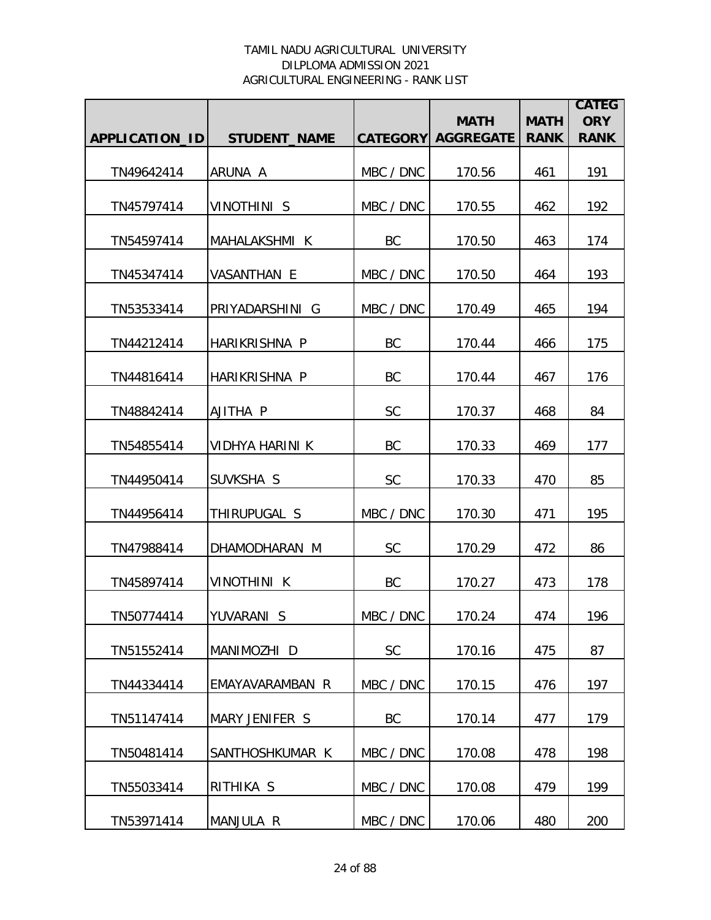|                |                     |                 | <b>MATH</b>      | <b>MATH</b> | <b>CATEG</b><br><b>ORY</b> |
|----------------|---------------------|-----------------|------------------|-------------|----------------------------|
| APPLICATION_ID | <b>STUDENT_NAME</b> | <b>CATEGORY</b> | <b>AGGREGATE</b> | <b>RANK</b> | <b>RANK</b>                |
| TN49642414     | ARUNA A             | MBC / DNC       | 170.56           | 461         | 191                        |
| TN45797414     | VINOTHINI S         | MBC / DNC       | 170.55           | 462         | 192                        |
| TN54597414     | MAHALAKSHMI K       | BC              | 170.50           | 463         | 174                        |
| TN45347414     | VASANTHAN E         | MBC / DNC       | 170.50           | 464         | 193                        |
| TN53533414     | PRIYADARSHINI G     | MBC / DNC       | 170.49           | 465         | 194                        |
| TN44212414     | HARIKRISHNA P       | BC              | 170.44           | 466         | 175                        |
| TN44816414     | HARIKRISHNA P       | BC              | 170.44           | 467         | 176                        |
| TN48842414     | AJITHA P            | <b>SC</b>       | 170.37           | 468         | 84                         |
| TN54855414     | VIDHYA HARINI K     | BC              | 170.33           | 469         | 177                        |
| TN44950414     | SUVKSHA S           | <b>SC</b>       | 170.33           | 470         | 85                         |
| TN44956414     | THIRUPUGAL S        | MBC / DNC       | 170.30           | 471         | 195                        |
| TN47988414     | DHAMODHARAN M       | <b>SC</b>       | 170.29           | 472         | 86                         |
| TN45897414     | <b>VINOTHINI K</b>  | BC              | 170.27           | 473         | 178                        |
| TN50774414     | YUVARANI S          | MBC / DNC       | 170.24           | 474         | 196                        |
| TN51552414     | MANIMOZHI D         | <b>SC</b>       | 170.16           | 475         | 87                         |
| TN44334414     | EMAYAVARAMBAN R     | MBC / DNC       | 170.15           | 476         | 197                        |
| TN51147414     | MARY JENIFER S      | BC              | 170.14           | 477         | 179                        |
| TN50481414     | SANTHOSHKUMAR K     | MBC / DNC       | 170.08           | 478         | 198                        |
| TN55033414     | RITHIKA S           | MBC / DNC       | 170.08           | 479         | 199                        |
| TN53971414     | MANJULA R           | MBC / DNC       | 170.06           | 480         | 200                        |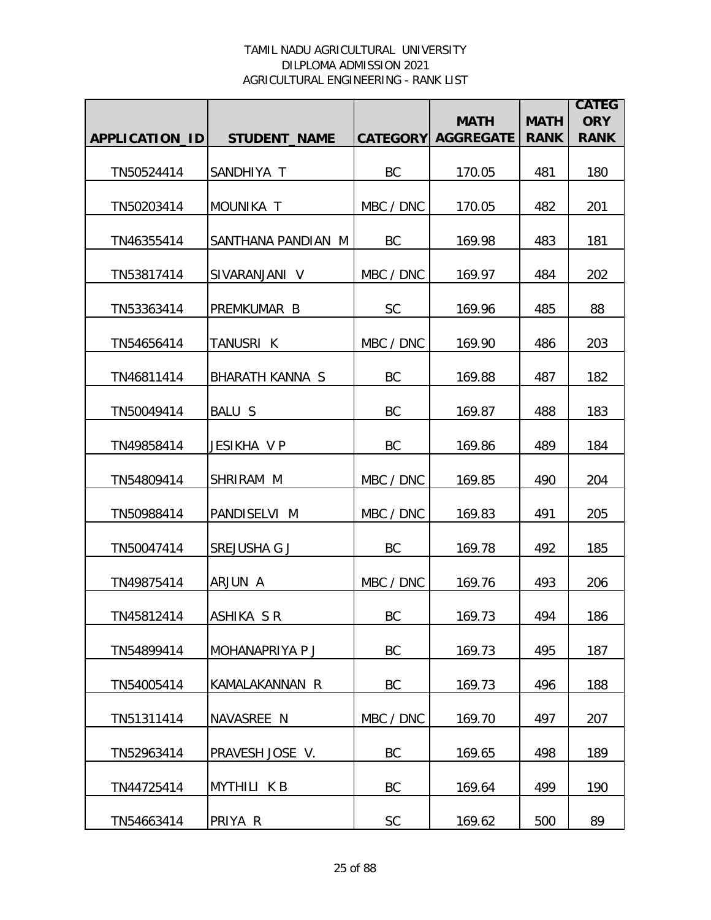|                |                     |           | <b>MATH</b>               | <b>MATH</b> | <b>CATEG</b><br><b>ORY</b> |
|----------------|---------------------|-----------|---------------------------|-------------|----------------------------|
| APPLICATION_ID | <b>STUDENT_NAME</b> |           | <b>CATEGORY AGGREGATE</b> | <b>RANK</b> | <b>RANK</b>                |
| TN50524414     | SANDHIYA T          | BC        | 170.05                    | 481         | 180                        |
| TN50203414     | MOUNIKA T           | MBC / DNC | 170.05                    | 482         | 201                        |
| TN46355414     | SANTHANA PANDIAN M  | BC        | 169.98                    | 483         | 181                        |
| TN53817414     | SIVARANJANI V       | MBC / DNC | 169.97                    | 484         | 202                        |
| TN53363414     | PREMKUMAR B         | <b>SC</b> | 169.96                    | 485         | 88                         |
| TN54656414     | TANUSRI K           | MBC / DNC | 169.90                    | 486         | 203                        |
| TN46811414     | BHARATH KANNA S     | BC        | 169.88                    | 487         | 182                        |
| TN50049414     | <b>BALU S</b>       | BC        | 169.87                    | 488         | 183                        |
| TN49858414     | JESIKHA V P         | BC        | 169.86                    | 489         | 184                        |
| TN54809414     | SHRIRAM M           | MBC / DNC | 169.85                    | 490         | 204                        |
| TN50988414     | PANDISELVI M        | MBC / DNC | 169.83                    | 491         | 205                        |
| TN50047414     | SREJUSHA G J        | BC        | 169.78                    | 492         | 185                        |
| TN49875414     | ARJUN A             | MBC / DNC | 169.76                    | 493         | 206                        |
| TN45812414     | ASHIKA SR           | BC        | 169.73                    | 494         | 186                        |
| TN54899414     | MOHANAPRIYA P J     | BC        | 169.73                    | 495         | 187                        |
| TN54005414     | KAMALAKANNAN R      | BC        | 169.73                    | 496         | 188                        |
| TN51311414     | NAVASREE N          | MBC / DNC | 169.70                    | 497         | 207                        |
| TN52963414     | PRAVESH JOSE V.     | BC        | 169.65                    | 498         | 189                        |
| TN44725414     | <b>MYTHILI KB</b>   | BC        | 169.64                    | 499         | 190                        |
| TN54663414     | PRIYA R             | SC        | 169.62                    | 500         | 89                         |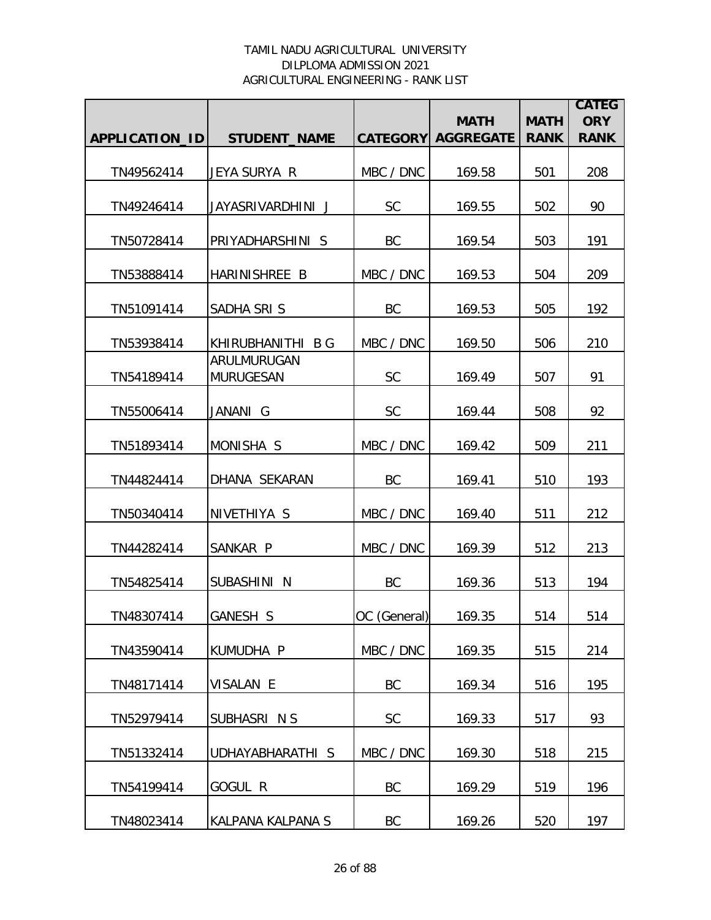|                |                                 |                 | <b>MATH</b>      | <b>MATH</b> | <b>CATEG</b><br><b>ORY</b> |
|----------------|---------------------------------|-----------------|------------------|-------------|----------------------------|
| APPLICATION_ID | <b>STUDENT_NAME</b>             | <b>CATEGORY</b> | <b>AGGREGATE</b> | <b>RANK</b> | <b>RANK</b>                |
| TN49562414     | JEYA SURYA R                    | MBC / DNC       | 169.58           | 501         | 208                        |
| TN49246414     | JAYASRIVARDHINI J               | <b>SC</b>       | 169.55           | 502         | 90                         |
| TN50728414     | PRIYADHARSHINI S                | BC              | 169.54           | 503         | 191                        |
| TN53888414     | HARINISHREE B                   | MBC / DNC       | 169.53           | 504         | 209                        |
| TN51091414     | SADHA SRIS                      | BC              | 169.53           | 505         | 192                        |
| TN53938414     | KHIRUBHANITHI B G               | MBC / DNC       | 169.50           | 506         | 210                        |
| TN54189414     | ARULMURUGAN<br><b>MURUGESAN</b> | <b>SC</b>       | 169.49           | 507         | 91                         |
| TN55006414     | JANANI G                        | SC              | 169.44           | 508         | 92                         |
| TN51893414     | MONISHA S                       | MBC / DNC       | 169.42           | 509         | 211                        |
| TN44824414     | DHANA SEKARAN                   | BC              | 169.41           | 510         | 193                        |
| TN50340414     | NIVETHIYA S                     | MBC / DNC       | 169.40           | 511         | 212                        |
| TN44282414     | SANKAR P                        | MBC / DNC       | 169.39           | 512         | 213                        |
| TN54825414     | SUBASHINI N                     | BC              | 169.36           | 513         | 194                        |
| TN48307414     | GANESH S                        | OC (General)    | 169.35           | 514         | 514                        |
| TN43590414     | KUMUDHA P                       | MBC / DNC       | 169.35           | 515         | 214                        |
| TN48171414     | VISALAN E                       | BC              | 169.34           | 516         | 195                        |
| TN52979414     | SUBHASRI N S                    | <b>SC</b>       | 169.33           | 517         | 93                         |
| TN51332414     | UDHAYABHARATHI S                | MBC / DNC       | 169.30           | 518         | 215                        |
| TN54199414     | GOGUL R                         | BC              | 169.29           | 519         | 196                        |
| TN48023414     | KALPANA KALPANA S               | BC              | 169.26           | 520         | 197                        |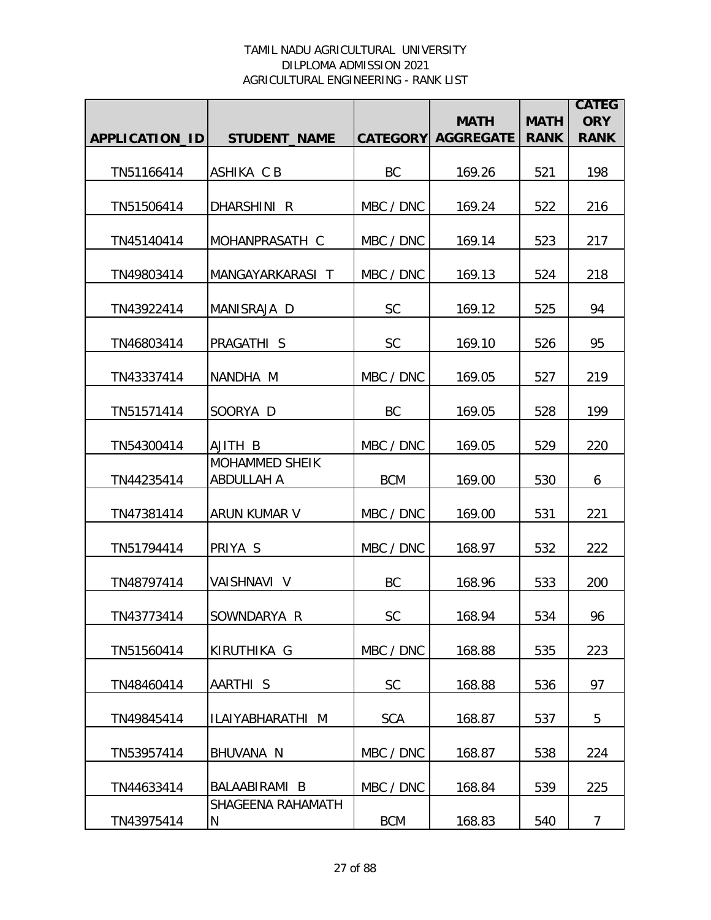|                |                                     |                 | <b>MATH</b>      | <b>MATH</b> | <b>CATEG</b><br><b>ORY</b> |
|----------------|-------------------------------------|-----------------|------------------|-------------|----------------------------|
| APPLICATION_ID | <b>STUDENT_NAME</b>                 | <b>CATEGORY</b> | <b>AGGREGATE</b> | <b>RANK</b> | <b>RANK</b>                |
| TN51166414     | ASHIKA C B                          | BC              | 169.26           | 521         | 198                        |
| TN51506414     | DHARSHINI R                         | MBC / DNC       | 169.24           | 522         | 216                        |
| TN45140414     | MOHANPRASATH C                      | MBC / DNC       | 169.14           | 523         | 217                        |
| TN49803414     | MANGAYARKARASI T                    | MBC / DNC       | 169.13           | 524         | 218                        |
| TN43922414     | MANISRAJA D                         | <b>SC</b>       | 169.12           | 525         | 94                         |
| TN46803414     | PRAGATHI S                          | <b>SC</b>       | 169.10           | 526         | 95                         |
| TN43337414     | NANDHA M                            | MBC / DNC       | 169.05           | 527         | 219                        |
| TN51571414     | SOORYA D                            | BC              | 169.05           | 528         | 199                        |
| TN54300414     | AJITH B                             | MBC / DNC       | 169.05           | 529         | 220                        |
| TN44235414     | <b>MOHAMMED SHEIK</b><br>ABDULLAH A | <b>BCM</b>      | 169.00           | 530         | 6                          |
| TN47381414     | <b>ARUN KUMAR V</b>                 | MBC / DNC       | 169.00           | 531         | 221                        |
| TN51794414     | PRIYA S                             | MBC / DNC       | 168.97           | 532         | 222                        |
| TN48797414     | VAISHNAVI V                         | BC              | 168.96           | 533         | 200                        |
| TN43773414     | SOWNDARYA R                         | <b>SC</b>       | 168.94           | 534         | 96                         |
| TN51560414     | KIRUTHIKA G                         | MBC / DNC       | 168.88           | 535         | 223                        |
| TN48460414     | AARTHI S                            | <b>SC</b>       | 168.88           | 536         | 97                         |
| TN49845414     | ILAIYABHARATHI M                    | <b>SCA</b>      | 168.87           | 537         | 5                          |
| TN53957414     | BHUVANA N                           | MBC / DNC       | 168.87           | 538         | 224                        |
| TN44633414     | BALAABIRAMI B                       | MBC / DNC       | 168.84           | 539         | 225                        |
| TN43975414     | SHAGEENA RAHAMATH<br>N              | <b>BCM</b>      | 168.83           | 540         | 7                          |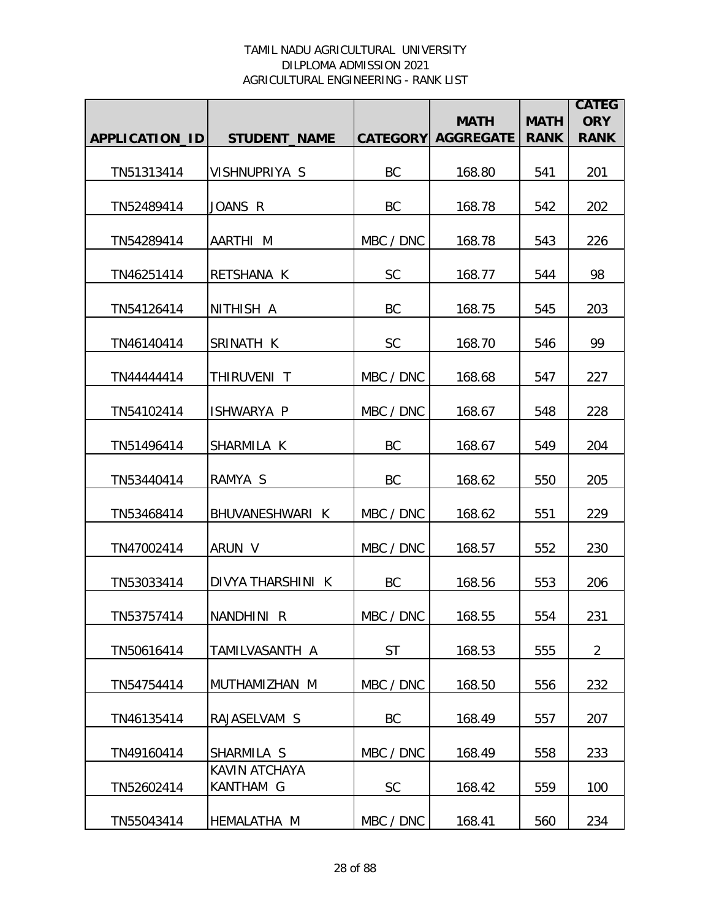|                       |                            |           | <b>MATH</b>               | <b>MATH</b> | <b>CATEG</b><br><b>ORY</b> |
|-----------------------|----------------------------|-----------|---------------------------|-------------|----------------------------|
| <b>APPLICATION ID</b> | <b>STUDENT_NAME</b>        |           | <b>CATEGORY AGGREGATE</b> | <b>RANK</b> | <b>RANK</b>                |
| TN51313414            | VISHNUPRIYA S              | BC        | 168.80                    | 541         | 201                        |
| TN52489414            | JOANS R                    | BC        | 168.78                    | 542         | 202                        |
| TN54289414            | AARTHI M                   | MBC / DNC | 168.78                    | 543         | 226                        |
| TN46251414            | RETSHANA K                 | <b>SC</b> | 168.77                    | 544         | 98                         |
| TN54126414            | NITHISH A                  | BC        | 168.75                    | 545         | 203                        |
| TN46140414            | SRINATH K                  | <b>SC</b> | 168.70                    | 546         | 99                         |
| TN4444414             | THIRUVENI T                | MBC / DNC | 168.68                    | 547         | 227                        |
| TN54102414            | ISHWARYA P                 | MBC / DNC | 168.67                    | 548         | 228                        |
| TN51496414            | SHARMILA K                 | BC        | 168.67                    | 549         | 204                        |
| TN53440414            | RAMYA S                    | BC        | 168.62                    | 550         | 205                        |
| TN53468414            | BHUVANESHWARI K            | MBC / DNC | 168.62                    | 551         | 229                        |
| TN47002414            | ARUN V                     | MBC / DNC | 168.57                    | 552         | 230                        |
| TN53033414            | DIVYA THARSHINI K          | BC        | 168.56                    | 553         | 206                        |
| TN53757414            | NANDHINI R                 | MBC / DNC | 168.55                    | 554         | 231                        |
| TN50616414            | TAMILVASANTH A             | <b>ST</b> | 168.53                    | 555         | $\overline{2}$             |
| TN54754414            | MUTHAMIZHAN M              | MBC / DNC | 168.50                    | 556         | 232                        |
| TN46135414            | RAJASELVAM S               | BC        | 168.49                    | 557         | 207                        |
| TN49160414            | SHARMILA S                 | MBC / DNC | 168.49                    | 558         | 233                        |
| TN52602414            | KAVIN ATCHAYA<br>KANTHAM G | <b>SC</b> | 168.42                    | 559         | 100                        |
| TN55043414            | HEMALATHA M                | MBC / DNC | 168.41                    | 560         | 234                        |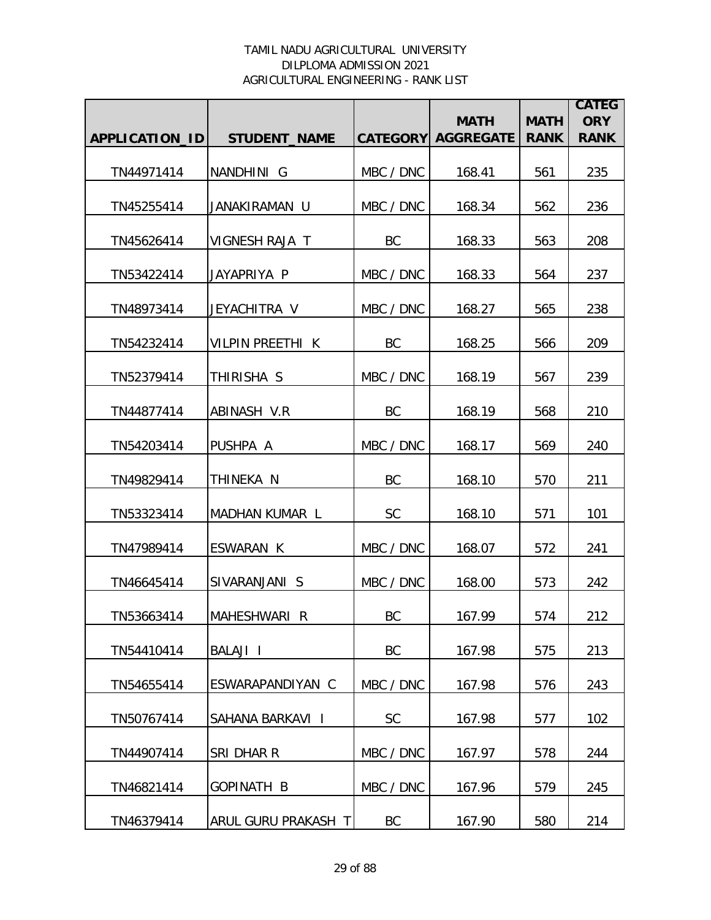|                |                         |           | <b>MATH</b>               | <b>MATH</b> | <b>CATEG</b><br><b>ORY</b> |
|----------------|-------------------------|-----------|---------------------------|-------------|----------------------------|
| APPLICATION_ID | <b>STUDENT_NAME</b>     |           | <b>CATEGORY AGGREGATE</b> | <b>RANK</b> | <b>RANK</b>                |
| TN44971414     | NANDHINI G              | MBC / DNC | 168.41                    | 561         | 235                        |
| TN45255414     | JANAKIRAMAN U           | MBC / DNC | 168.34                    | 562         | 236                        |
| TN45626414     | VIGNESH RAJA T          | BC        | 168.33                    | 563         | 208                        |
| TN53422414     | JAYAPRIYA P             | MBC / DNC | 168.33                    | 564         | 237                        |
| TN48973414     | JEYACHITRA V            | MBC / DNC | 168.27                    | 565         | 238                        |
| TN54232414     | <b>VILPIN PREETHI K</b> | BC        | 168.25                    | 566         | 209                        |
| TN52379414     | THIRISHA S              | MBC / DNC | 168.19                    | 567         | 239                        |
| TN44877414     | ABINASH V.R             | BC        | 168.19                    | 568         | 210                        |
| TN54203414     | PUSHPA A                | MBC / DNC | 168.17                    | 569         | 240                        |
| TN49829414     | THINEKA N               | BC        | 168.10                    | 570         | 211                        |
| TN53323414     | MADHAN KUMAR L          | <b>SC</b> | 168.10                    | 571         | 101                        |
| TN47989414     | ESWARAN K               | MBC / DNC | 168.07                    | 572         | 241                        |
| TN46645414     | SIVARANJANI S           | MBC / DNC | 168.00                    | 573         | 242                        |
| TN53663414     | MAHESHWARI R            | BC.       | 167.99                    | 574         | 212                        |
| TN54410414     | BALAJI I                | BC        | 167.98                    | 575         | 213                        |
| TN54655414     | ESWARAPANDIYAN C        | MBC / DNC | 167.98                    | 576         | 243                        |
| TN50767414     | SAHANA BARKAVI I        | <b>SC</b> | 167.98                    | 577         | 102                        |
| TN44907414     | SRI DHAR R              | MBC / DNC | 167.97                    | 578         | 244                        |
| TN46821414     | GOPINATH B              | MBC / DNC | 167.96                    | 579         | 245                        |
| TN46379414     | ARUL GURU PRAKASH T     | BC        | 167.90                    | 580         | 214                        |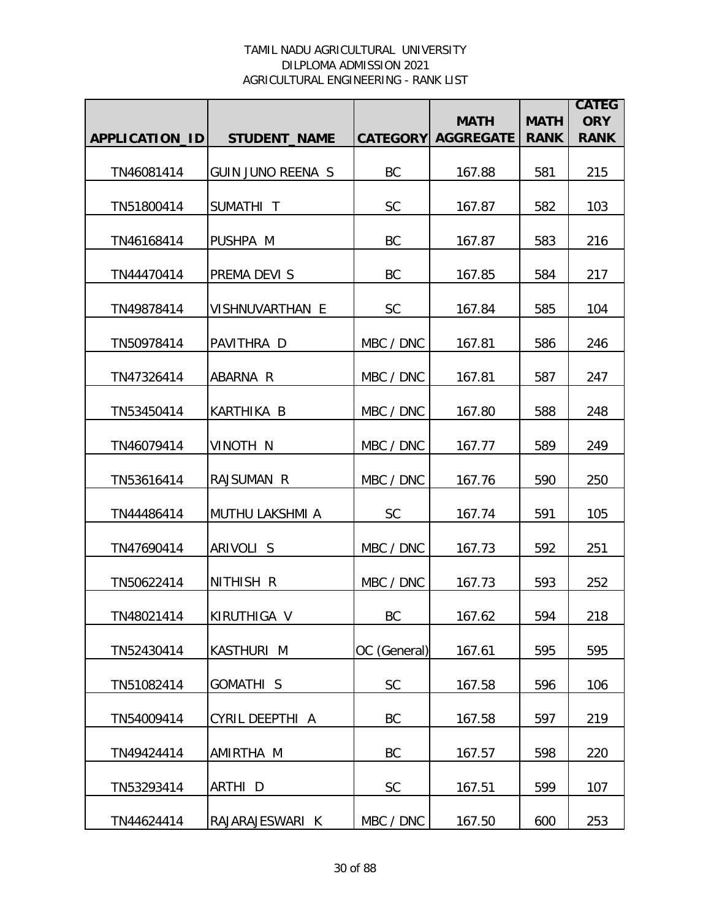|                |                          |              |                                          |                            | <b>CATEG</b>              |
|----------------|--------------------------|--------------|------------------------------------------|----------------------------|---------------------------|
| APPLICATION_ID | <b>STUDENT_NAME</b>      |              | <b>MATH</b><br><b>CATEGORY AGGREGATE</b> | <b>MATH</b><br><b>RANK</b> | <b>ORY</b><br><b>RANK</b> |
|                |                          |              |                                          |                            |                           |
| TN46081414     | <b>GUIN JUNO REENA S</b> | BC           | 167.88                                   | 581                        | 215                       |
| TN51800414     | SUMATHI T                | <b>SC</b>    | 167.87                                   | 582                        | 103                       |
| TN46168414     | PUSHPA M                 | BC           | 167.87                                   | 583                        | 216                       |
| TN44470414     | PREMA DEVI S             | BC           | 167.85                                   | 584                        | 217                       |
| TN49878414     | VISHNUVARTHAN E          | <b>SC</b>    | 167.84                                   | 585                        | 104                       |
| TN50978414     | PAVITHRA D               | MBC / DNC    | 167.81                                   | 586                        | 246                       |
| TN47326414     | ABARNA R                 | MBC / DNC    | 167.81                                   | 587                        | 247                       |
| TN53450414     | <b>KARTHIKA B</b>        | MBC / DNC    | 167.80                                   | 588                        | 248                       |
| TN46079414     | VINOTH N                 | MBC / DNC    | 167.77                                   | 589                        | 249                       |
| TN53616414     | RAJSUMAN R               | MBC / DNC    | 167.76                                   | 590                        | 250                       |
| TN44486414     | <b>MUTHU LAKSHMI A</b>   | <b>SC</b>    | 167.74                                   | 591                        | 105                       |
| TN47690414     | ARIVOLI S                | MBC / DNC    | 167.73                                   | 592                        | 251                       |
| TN50622414     | NITHISH R                | MBC / DNC    | 167.73                                   | 593                        | 252                       |
| TN48021414     | KIRUTHIGA V              | BC           | 167.62                                   | 594                        | 218                       |
| TN52430414     | <b>KASTHURI M</b>        | OC (General) | 167.61                                   | 595                        | 595                       |
| TN51082414     | GOMATHI S                | <b>SC</b>    | 167.58                                   | 596                        | 106                       |
| TN54009414     | CYRIL DEEPTHI A          | BC           | 167.58                                   | 597                        | 219                       |
| TN49424414     | AMIRTHA M                | BC           | 167.57                                   | 598                        | 220                       |
| TN53293414     | ARTHI D                  | SC           | 167.51                                   | 599                        | 107                       |
| TN44624414     | RAJARAJESWARI K          | MBC / DNC    | 167.50                                   | 600                        | 253                       |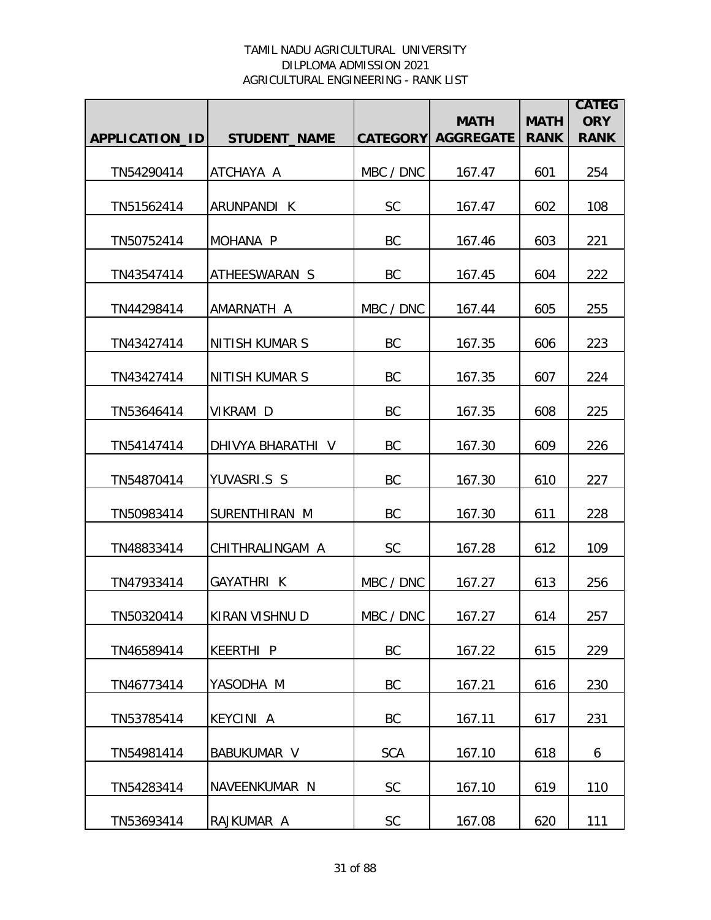|                |                       |            | <b>MATH</b>               | <b>MATH</b> | <b>CATEG</b><br><b>ORY</b> |
|----------------|-----------------------|------------|---------------------------|-------------|----------------------------|
| APPLICATION_ID | <b>STUDENT_NAME</b>   |            | <b>CATEGORY AGGREGATE</b> | <b>RANK</b> | <b>RANK</b>                |
| TN54290414     | ATCHAYA A             | MBC / DNC  | 167.47                    | 601         | 254                        |
| TN51562414     | ARUNPANDI K           | <b>SC</b>  | 167.47                    | 602         | 108                        |
| TN50752414     | MOHANA P              | BC         | 167.46                    | 603         | 221                        |
| TN43547414     | ATHEESWARAN S         | BC         | 167.45                    | 604         | 222                        |
| TN44298414     | AMARNATH A            | MBC / DNC  | 167.44                    | 605         | 255                        |
| TN43427414     | <b>NITISH KUMAR S</b> | <b>BC</b>  | 167.35                    | 606         | 223                        |
| TN43427414     | <b>NITISH KUMAR S</b> | <b>BC</b>  | 167.35                    | 607         | 224                        |
| TN53646414     | VIKRAM D              | <b>BC</b>  | 167.35                    | 608         | 225                        |
| TN54147414     | DHIVYA BHARATHI V     | BC         | 167.30                    | 609         | 226                        |
| TN54870414     | YUVASRI.S S           | BC         | 167.30                    | 610         | 227                        |
| TN50983414     | SURENTHIRAN M         | BC         | 167.30                    | 611         | 228                        |
| TN48833414     | CHITHRALINGAM A       | <b>SC</b>  | 167.28                    | 612         | 109                        |
| TN47933414     | GAYATHRI K            | MBC / DNC  | 167.27                    | 613         | 256                        |
| TN50320414     | KIRAN VISHNU D        | MBC / DNC  | 167.27                    | 614         | 257                        |
| TN46589414     | <b>KEERTHI P</b>      | BC         | 167.22                    | 615         | 229                        |
| TN46773414     | YASODHA M             | BC         | 167.21                    | 616         | 230                        |
| TN53785414     | <b>KEYCINI A</b>      | BC         | 167.11                    | 617         | 231                        |
| TN54981414     | <b>BABUKUMAR V</b>    | <b>SCA</b> | 167.10                    | 618         | 6                          |
| TN54283414     | NAVEENKUMAR N         | SC         | 167.10                    | 619         | 110                        |
| TN53693414     | RAJKUMAR A            | SC         | 167.08                    | 620         | 111                        |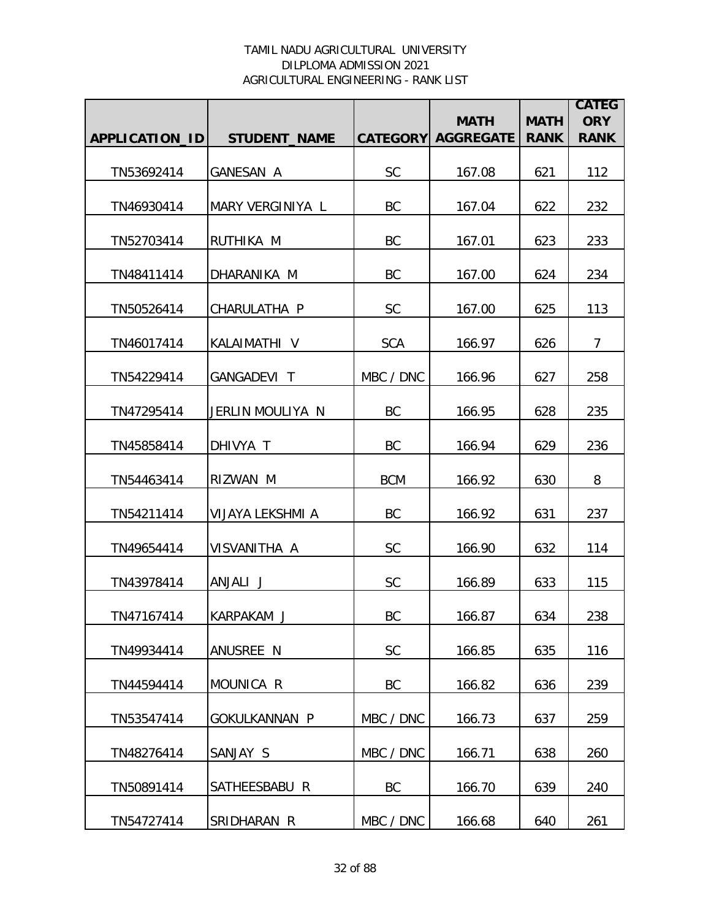|                |                      |                 | <b>MATH</b>      | <b>MATH</b> | <b>CATEG</b><br><b>ORY</b> |
|----------------|----------------------|-----------------|------------------|-------------|----------------------------|
| APPLICATION_ID | <b>STUDENT_NAME</b>  | <b>CATEGORY</b> | <b>AGGREGATE</b> | <b>RANK</b> | <b>RANK</b>                |
| TN53692414     | <b>GANESAN A</b>     | <b>SC</b>       | 167.08           | 621         | 112                        |
| TN46930414     | MARY VERGINIYA L     | BC              | 167.04           | 622         | 232                        |
| TN52703414     | RUTHIKA M            | BC              | 167.01           | 623         | 233                        |
| TN48411414     | DHARANIKA M          | BC              | 167.00           | 624         | 234                        |
| TN50526414     | CHARULATHA P         | <b>SC</b>       | 167.00           | 625         | 113                        |
| TN46017414     | KALAIMATHI V         | <b>SCA</b>      | 166.97           | 626         | $\overline{7}$             |
| TN54229414     | GANGADEVI T          | MBC / DNC       | 166.96           | 627         | 258                        |
| TN47295414     | JERLIN MOULIYA N     | BC              | 166.95           | 628         | 235                        |
| TN45858414     | DHIVYA T             | BC              | 166.94           | 629         | 236                        |
| TN54463414     | RIZWAN M             | <b>BCM</b>      | 166.92           | 630         | 8                          |
| TN54211414     | VIJAYA LEKSHMI A     | BC              | 166.92           | 631         | 237                        |
| TN49654414     | VISVANITHA A         | <b>SC</b>       | 166.90           | 632         | 114                        |
| TN43978414     | ANJALI J             | <b>SC</b>       | 166.89           | 633         | 115                        |
| TN47167414     | KARPAKAM J           | BC              | 166.87           | 634         | 238                        |
| TN49934414     | ANUSREE N            | <b>SC</b>       | 166.85           | 635         | 116                        |
| TN44594414     | MOUNICA R            | BC              | 166.82           | 636         | 239                        |
| TN53547414     | <b>GOKULKANNAN P</b> | MBC / DNC       | 166.73           | 637         | 259                        |
| TN48276414     | SANJAY S             | MBC / DNC       | 166.71           | 638         | 260                        |
| TN50891414     | SATHEESBABU R        | BC              | 166.70           | 639         | 240                        |
| TN54727414     | SRIDHARAN R          | MBC / DNC       | 166.68           | 640         | 261                        |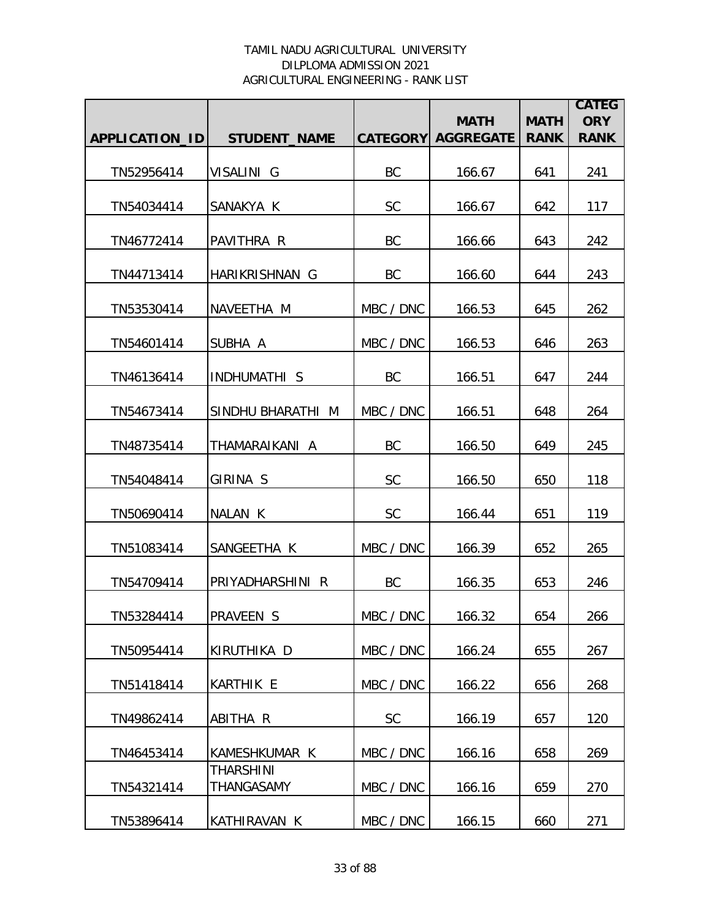|                |                                |                 |                                 |                            | <b>CATEG</b>              |
|----------------|--------------------------------|-----------------|---------------------------------|----------------------------|---------------------------|
| APPLICATION_ID | <b>STUDENT_NAME</b>            | <b>CATEGORY</b> | <b>MATH</b><br><b>AGGREGATE</b> | <b>MATH</b><br><b>RANK</b> | <b>ORY</b><br><b>RANK</b> |
|                |                                |                 |                                 |                            |                           |
| TN52956414     | VISALINI G                     | BC              | 166.67                          | 641                        | 241                       |
| TN54034414     | SANAKYA K                      | <b>SC</b>       | 166.67                          | 642                        | 117                       |
| TN46772414     | PAVITHRA R                     | BC              | 166.66                          | 643                        | 242                       |
| TN44713414     | HARIKRISHNAN G                 | BC              | 166.60                          | 644                        | 243                       |
| TN53530414     | NAVEETHA M                     | MBC / DNC       | 166.53                          | 645                        | 262                       |
| TN54601414     | SUBHA A                        | MBC / DNC       | 166.53                          | 646                        | 263                       |
| TN46136414     | INDHUMATHI S                   | BC              | 166.51                          | 647                        | 244                       |
| TN54673414     | SINDHU BHARATHI M              | MBC / DNC       | 166.51                          | 648                        | 264                       |
| TN48735414     | THAMARAIKANI A                 | <b>BC</b>       | 166.50                          | 649                        | 245                       |
| TN54048414     | GIRINA S                       | SC              | 166.50                          | 650                        | 118                       |
| TN50690414     | NALAN K                        | <b>SC</b>       | 166.44                          | 651                        | 119                       |
| TN51083414     | SANGEETHA K                    | MBC / DNC       | 166.39                          | 652                        | 265                       |
| TN54709414     | PRIYADHARSHINI R               | BC              | 166.35                          | 653                        | 246                       |
| TN53284414     | <b>PRAVEEN S</b>               | MBC / DNC       | 166.32                          | 654                        | 266                       |
| TN50954414     | KIRUTHIKA D                    | MBC / DNC       | 166.24                          | 655                        | 267                       |
| TN51418414     | <b>KARTHIK E</b>               | MBC / DNC       | 166.22                          | 656                        | 268                       |
| TN49862414     | ABITHA R                       | <b>SC</b>       | 166.19                          | 657                        | 120                       |
| TN46453414     | KAMESHKUMAR K                  | MBC / DNC       | 166.16                          | 658                        | 269                       |
| TN54321414     | <b>THARSHINI</b><br>THANGASAMY | MBC / DNC       | 166.16                          | 659                        | 270                       |
| TN53896414     | KATHIRAVAN K                   | MBC / DNC       | 166.15                          | 660                        | 271                       |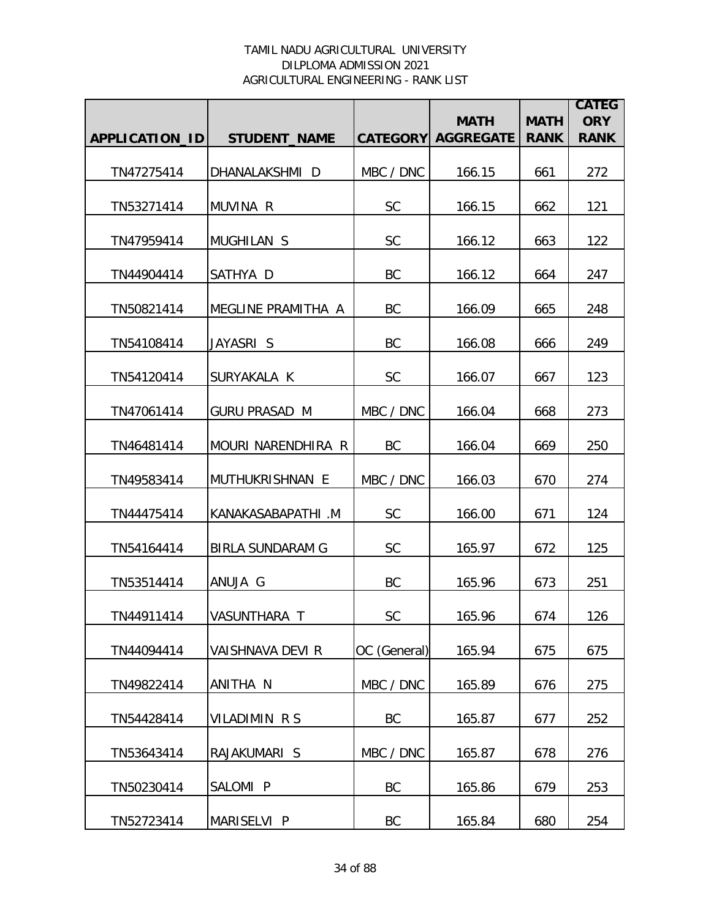|                |                         |                 |                                 |                            | <b>CATEG</b>              |
|----------------|-------------------------|-----------------|---------------------------------|----------------------------|---------------------------|
| APPLICATION_ID | <b>STUDENT_NAME</b>     | <b>CATEGORY</b> | <b>MATH</b><br><b>AGGREGATE</b> | <b>MATH</b><br><b>RANK</b> | <b>ORY</b><br><b>RANK</b> |
|                |                         |                 |                                 |                            |                           |
| TN47275414     | DHANALAKSHMI D          | MBC / DNC       | 166.15                          | 661                        | 272                       |
| TN53271414     | MUVINA R                | <b>SC</b>       | 166.15                          | 662                        | 121                       |
| TN47959414     | <b>MUGHILAN S</b>       | <b>SC</b>       | 166.12                          | 663                        | 122                       |
| TN44904414     | SATHYA D                | BC              | 166.12                          | 664                        | 247                       |
| TN50821414     | MEGLINE PRAMITHA A      | BC              | 166.09                          | 665                        | 248                       |
| TN54108414     | JAYASRI S               | BC              | 166.08                          | 666                        | 249                       |
| TN54120414     | SURYAKALA K             | <b>SC</b>       | 166.07                          | 667                        | 123                       |
| TN47061414     | <b>GURU PRASAD M</b>    | MBC / DNC       | 166.04                          | 668                        | 273                       |
| TN46481414     | MOURI NARENDHIRA R      | <b>BC</b>       | 166.04                          | 669                        | 250                       |
| TN49583414     | MUTHUKRISHNAN E         | MBC / DNC       | 166.03                          | 670                        | 274                       |
| TN44475414     | KANAKASABAPATHI .M      | <b>SC</b>       | 166.00                          | 671                        | 124                       |
| TN54164414     | <b>BIRLA SUNDARAM G</b> | <b>SC</b>       | 165.97                          | 672                        | 125                       |
| TN53514414     | ANUJA G                 | BC              | 165.96                          | 673                        | 251                       |
| TN44911414     | VASUNTHARA T            | <b>SC</b>       | 165.96                          | 674                        | 126                       |
| TN44094414     | VAISHNAVA DEVI R        | OC (General)    | 165.94                          | 675                        | 675                       |
| TN49822414     | ANITHA N                | MBC / DNC       | 165.89                          | 676                        | 275                       |
| TN54428414     | VILADIMIN R S           | BC              | 165.87                          | 677                        | 252                       |
| TN53643414     | RAJAKUMARI S            | MBC / DNC       | 165.87                          | 678                        | 276                       |
| TN50230414     | SALOMI P                | BC              | 165.86                          | 679                        | 253                       |
| TN52723414     | MARISELVI P             | BC              | 165.84                          | 680                        | 254                       |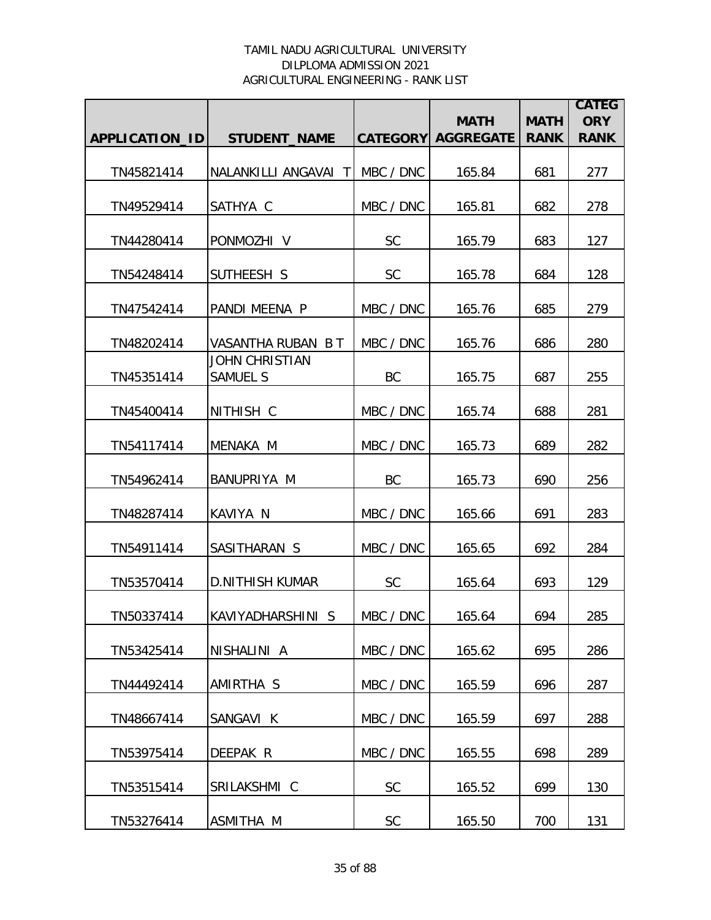|                |                                          |           | <b>MATH</b>               | <b>MATH</b> | <b>CATEG</b><br><b>ORY</b> |
|----------------|------------------------------------------|-----------|---------------------------|-------------|----------------------------|
| APPLICATION_ID | <b>STUDENT_NAME</b>                      |           | <b>CATEGORY AGGREGATE</b> | <b>RANK</b> | <b>RANK</b>                |
| TN45821414     | NALANKILLI ANGAVAI T                     | MBC / DNC | 165.84                    | 681         | 277                        |
| TN49529414     | SATHYA C                                 | MBC / DNC | 165.81                    | 682         | 278                        |
| TN44280414     | PONMOZHI V                               | <b>SC</b> | 165.79                    | 683         | 127                        |
| TN54248414     | SUTHEESH S                               | <b>SC</b> | 165.78                    | 684         | 128                        |
| TN47542414     | PANDI MEENA P                            | MBC / DNC | 165.76                    | 685         | 279                        |
| TN48202414     | VASANTHA RUBAN B T                       | MBC / DNC | 165.76                    | 686         | 280                        |
| TN45351414     | <b>JOHN CHRISTIAN</b><br><b>SAMUEL S</b> | BC        | 165.75                    | 687         | 255                        |
| TN45400414     | NITHISH C                                | MBC / DNC | 165.74                    | 688         | 281                        |
| TN54117414     | MENAKA M                                 | MBC / DNC | 165.73                    | 689         | 282                        |
| TN54962414     | BANUPRIYA M                              | BC        | 165.73                    | 690         | 256                        |
| TN48287414     | KAVIYA N                                 | MBC / DNC | 165.66                    | 691         | 283                        |
| TN54911414     | SASITHARAN S                             | MBC / DNC | 165.65                    | 692         | 284                        |
| TN53570414     | <b>D.NITHISH KUMAR</b>                   | <b>SC</b> | 165.64                    | 693         | 129                        |
| TN50337414     | KAVIYADHARSHINI S                        | MBC / DNC | 165.64                    | 694         | 285                        |
| TN53425414     | NISHALINI A                              | MBC / DNC | 165.62                    | 695         | 286                        |
| TN44492414     | AMIRTHA S                                | MBC / DNC | 165.59                    | 696         | 287                        |
| TN48667414     | SANGAVI K                                | MBC / DNC | 165.59                    | 697         | 288                        |
| TN53975414     | DEEPAK R                                 | MBC / DNC | 165.55                    | 698         | 289                        |
| TN53515414     | SRILAKSHMI C                             | <b>SC</b> | 165.52                    | 699         | 130                        |
| TN53276414     | ASMITHA M                                | SC        | 165.50                    | 700         | 131                        |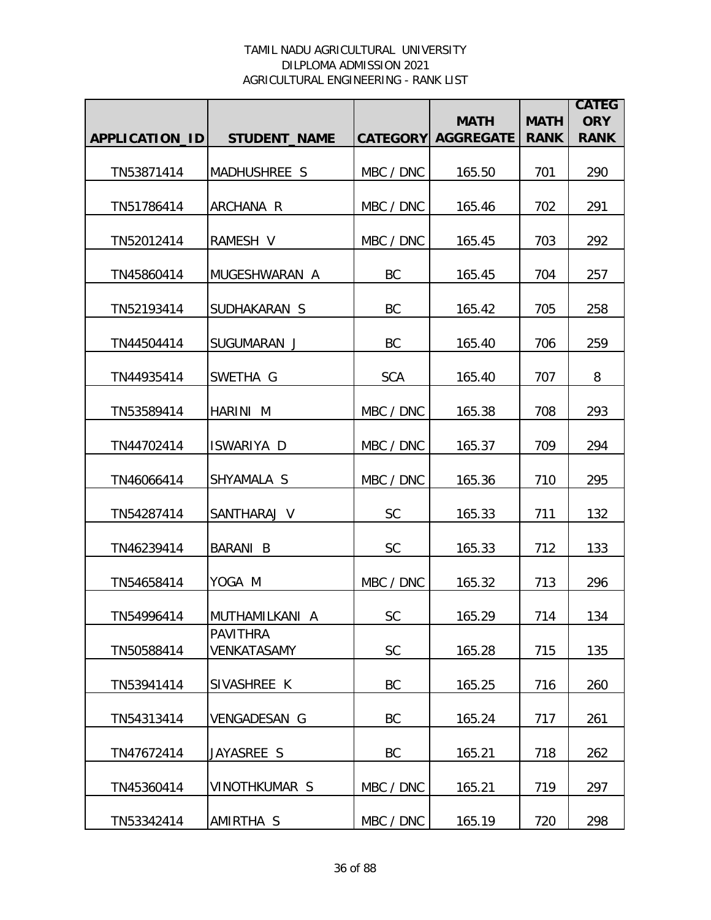|                |                                |            | <b>MATH</b>               | <b>MATH</b> | <b>CATEG</b><br><b>ORY</b> |
|----------------|--------------------------------|------------|---------------------------|-------------|----------------------------|
| APPLICATION_ID | <b>STUDENT NAME</b>            |            | <b>CATEGORY AGGREGATE</b> | <b>RANK</b> | <b>RANK</b>                |
| TN53871414     | MADHUSHREE S                   | MBC / DNC  | 165.50                    | 701         | 290                        |
| TN51786414     | ARCHANA R                      | MBC / DNC  | 165.46                    | 702         | 291                        |
| TN52012414     | RAMESH V                       | MBC / DNC  | 165.45                    | 703         | 292                        |
| TN45860414     | MUGESHWARAN A                  | BC         | 165.45                    | 704         | 257                        |
| TN52193414     | SUDHAKARAN S                   | BC         | 165.42                    | 705         | 258                        |
| TN44504414     | SUGUMARAN J                    | BC         | 165.40                    | 706         | 259                        |
| TN44935414     | SWETHA G                       | <b>SCA</b> | 165.40                    | 707         | 8                          |
| TN53589414     | HARINI M                       | MBC / DNC  | 165.38                    | 708         | 293                        |
| TN44702414     | ISWARIYA D                     | MBC / DNC  | 165.37                    | 709         | 294                        |
| TN46066414     | SHYAMALA S                     | MBC / DNC  | 165.36                    | 710         | 295                        |
| TN54287414     | SANTHARAJ V                    | <b>SC</b>  | 165.33                    | 711         | 132                        |
| TN46239414     | BARANI B                       | <b>SC</b>  | 165.33                    | 712         | 133                        |
| TN54658414     | YOGA M                         | MBC / DNC  | 165.32                    | 713         | 296                        |
| TN54996414     | MUTHAMILKANI A                 | <b>SC</b>  | 165.29                    | 714         | 134                        |
| TN50588414     | <b>PAVITHRA</b><br>VENKATASAMY | <b>SC</b>  | 165.28                    | 715         | 135                        |
| TN53941414     | SIVASHREE K                    | BC         | 165.25                    | 716         | 260                        |
| TN54313414     | <b>VENGADESAN G</b>            | BC         | 165.24                    | 717         | 261                        |
| TN47672414     | JAYASREE S                     | BC         | 165.21                    | 718         | 262                        |
| TN45360414     | <b>VINOTHKUMAR S</b>           | MBC / DNC  | 165.21                    | 719         | 297                        |
| TN53342414     | AMIRTHA S                      | MBC / DNC  | 165.19                    | 720         | 298                        |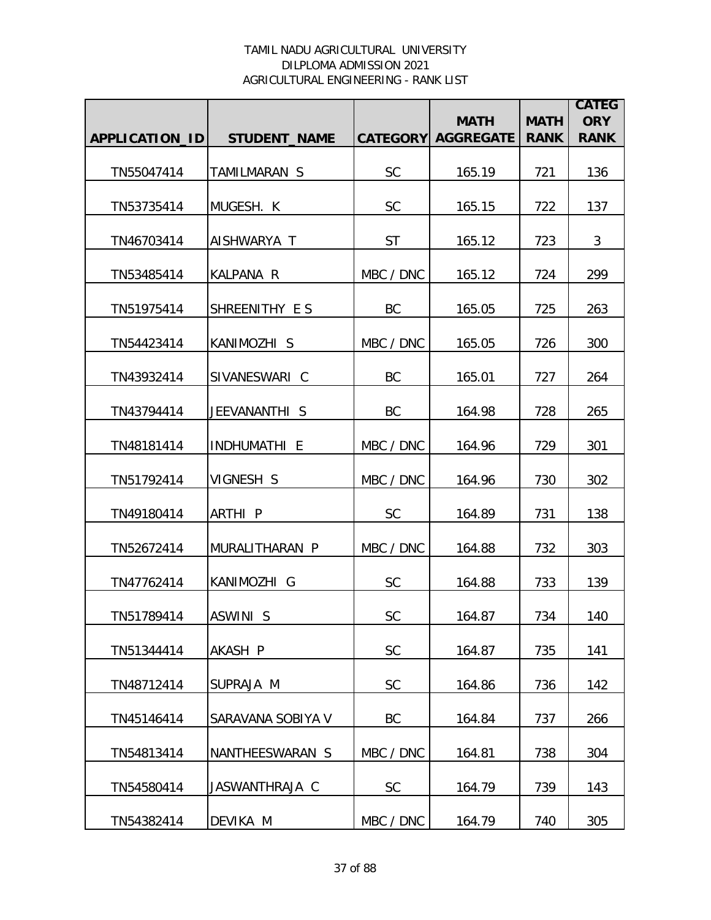|                |                     |           | <b>MATH</b>               | <b>MATH</b> | <b>CATEG</b><br><b>ORY</b> |
|----------------|---------------------|-----------|---------------------------|-------------|----------------------------|
| APPLICATION_ID | <b>STUDENT_NAME</b> |           | <b>CATEGORY AGGREGATE</b> | <b>RANK</b> | <b>RANK</b>                |
| TN55047414     | TAMILMARAN S        | <b>SC</b> | 165.19                    | 721         | 136                        |
| TN53735414     | MUGESH. K           | <b>SC</b> | 165.15                    | 722         | 137                        |
| TN46703414     | AISHWARYA T         | <b>ST</b> | 165.12                    | 723         | 3                          |
| TN53485414     | KALPANA R           | MBC / DNC | 165.12                    | 724         | 299                        |
| TN51975414     | SHREENITHY E S      | BC        | 165.05                    | 725         | 263                        |
| TN54423414     | KANIMOZHI S         | MBC / DNC | 165.05                    | 726         | 300                        |
| TN43932414     | SIVANESWARI C       | BC        | 165.01                    | 727         | 264                        |
| TN43794414     | JEEVANANTHI S       | <b>BC</b> | 164.98                    | 728         | 265                        |
| TN48181414     | INDHUMATHI E        | MBC / DNC | 164.96                    | 729         | 301                        |
| TN51792414     | VIGNESH S           | MBC / DNC | 164.96                    | 730         | 302                        |
| TN49180414     | ARTHI P             | <b>SC</b> | 164.89                    | 731         | 138                        |
| TN52672414     | MURALITHARAN P      | MBC / DNC | 164.88                    | 732         | 303                        |
| TN47762414     | KANIMOZHI G         | <b>SC</b> | 164.88                    | 733         | 139                        |
| TN51789414     | ASWINI S            | <b>SC</b> | 164.87                    | 734         | 140                        |
| TN51344414     | AKASH P             | <b>SC</b> | 164.87                    | 735         | 141                        |
| TN48712414     | SUPRAJA M           | <b>SC</b> | 164.86                    | 736         | 142                        |
| TN45146414     | SARAVANA SOBIYA V   | BC        | 164.84                    | 737         | 266                        |
| TN54813414     | NANTHEESWARAN S     | MBC / DNC | 164.81                    | 738         | 304                        |
| TN54580414     | JASWANTHRAJA C      | <b>SC</b> | 164.79                    | 739         | 143                        |
| TN54382414     | DEVIKA M            | MBC / DNC | 164.79                    | 740         | 305                        |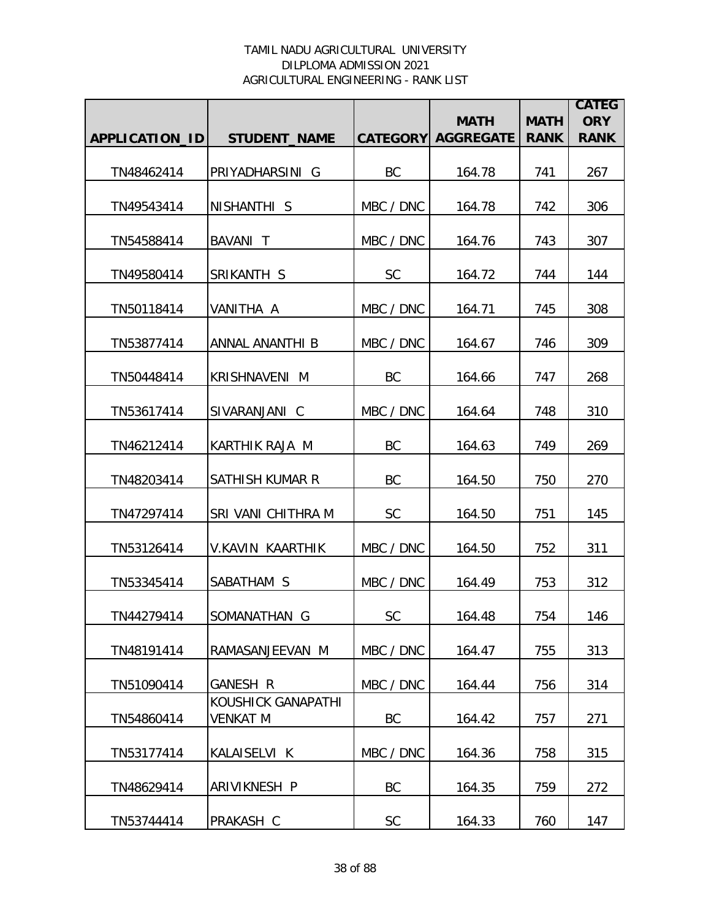|                       |                                       |                 | <b>MATH</b>      | <b>MATH</b> | <b>CATEG</b><br><b>ORY</b> |
|-----------------------|---------------------------------------|-----------------|------------------|-------------|----------------------------|
| <b>APPLICATION ID</b> | <b>STUDENT_NAME</b>                   | <b>CATEGORY</b> | <b>AGGREGATE</b> | <b>RANK</b> | <b>RANK</b>                |
| TN48462414            | PRIYADHARSINI G                       | BC              | 164.78           | 741         | 267                        |
| TN49543414            | NISHANTHI S                           | MBC / DNC       | 164.78           | 742         | 306                        |
| TN54588414            | BAVANI T                              | MBC / DNC       | 164.76           | 743         | 307                        |
| TN49580414            | SRIKANTH S                            | <b>SC</b>       | 164.72           | 744         | 144                        |
| TN50118414            | VANITHA A                             | MBC / DNC       | 164.71           | 745         | 308                        |
| TN53877414            | ANNAL ANANTHI B                       | MBC / DNC       | 164.67           | 746         | 309                        |
| TN50448414            | <b>KRISHNAVENI M</b>                  | <b>BC</b>       | 164.66           | 747         | 268                        |
| TN53617414            | SIVARANJANI C                         | MBC / DNC       | 164.64           | 748         | 310                        |
| TN46212414            | KARTHIK RAJA M                        | BC              | 164.63           | 749         | 269                        |
| TN48203414            | SATHISH KUMAR R                       | BC              | 164.50           | 750         | 270                        |
| TN47297414            | SRI VANI CHITHRA M                    | <b>SC</b>       | 164.50           | 751         | 145                        |
| TN53126414            | V.KAVIN KAARTHIK                      | MBC / DNC       | 164.50           | 752         | 311                        |
| TN53345414            | SABATHAM S                            | MBC / DNC       | 164.49           | 753         | 312                        |
| TN44279414            | SOMANATHAN G                          | <b>SC</b>       | 164.48           | 754         | 146                        |
| TN48191414            | RAMASANJEEVAN M                       | MBC / DNC       | 164.47           | 755         | 313                        |
| TN51090414            | GANESH R                              | MBC / DNC       | 164.44           | 756         | 314                        |
| TN54860414            | KOUSHICK GANAPATHI<br><b>VENKAT M</b> | BC              | 164.42           | 757         | 271                        |
| TN53177414            | KALAISELVI K                          | MBC / DNC       | 164.36           | 758         | 315                        |
| TN48629414            | ARIVIKNESH P                          | BC              | 164.35           | 759         | 272                        |
| TN53744414            | PRAKASH C                             | SC              | 164.33           | 760         | 147                        |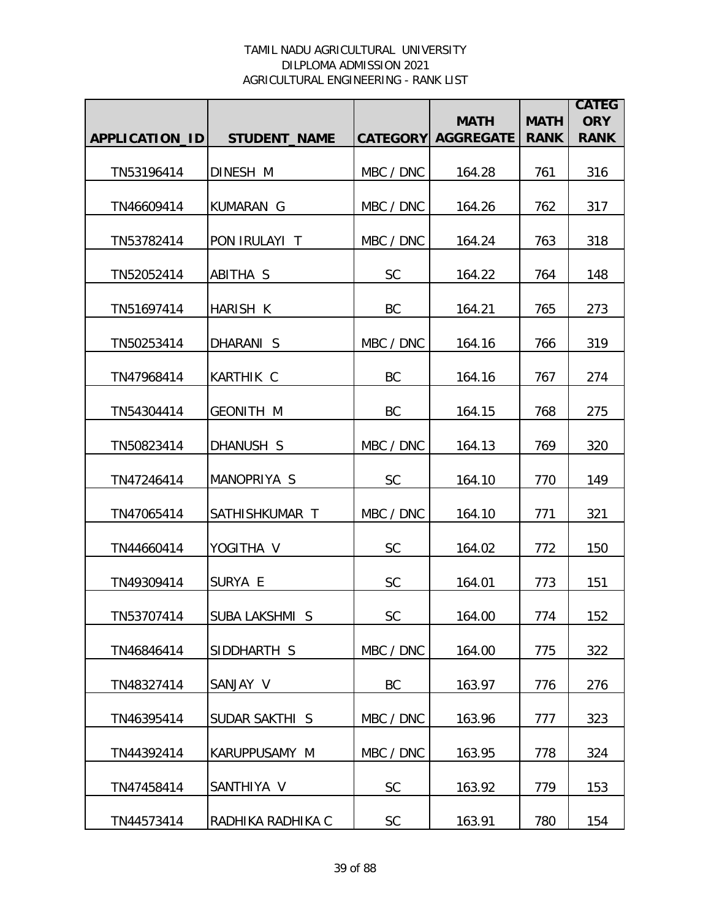|                |                       |               | <b>MATH</b>               | <b>MATH</b> | <b>CATEG</b><br><b>ORY</b> |
|----------------|-----------------------|---------------|---------------------------|-------------|----------------------------|
| APPLICATION_ID | <b>STUDENT_NAME</b>   |               | <b>CATEGORY AGGREGATE</b> | <b>RANK</b> | <b>RANK</b>                |
| TN53196414     | DINESH M              | MBC / DNC     | 164.28                    | 761         | 316                        |
| TN46609414     | KUMARAN G             | MBC / DNC     | 164.26                    | 762         | 317                        |
| TN53782414     | PON IRULAYI T         | MBC / DNC     | 164.24                    | 763         | 318                        |
| TN52052414     | ABITHA S              | <b>SC</b>     | 164.22                    | 764         | 148                        |
| TN51697414     | HARISH K              | BC            | 164.21                    | 765         | 273                        |
| TN50253414     | DHARANI S             | MBC / DNC     | 164.16                    | 766         | 319                        |
| TN47968414     | <b>KARTHIK C</b>      | <b>BC</b>     | 164.16                    | 767         | 274                        |
| TN54304414     | <b>GEONITH M</b>      | BC            | 164.15                    | 768         | 275                        |
| TN50823414     | DHANUSH S             | MBC / DNC     | 164.13                    | 769         | 320                        |
| TN47246414     | MANOPRIYA S           | <b>SC</b>     | 164.10                    | 770         | 149                        |
| TN47065414     | SATHISHKUMAR T        | MBC / DNC     | 164.10                    | 771         | 321                        |
| TN44660414     | YOGITHA V             | <b>SC</b>     | 164.02                    | 772         | 150                        |
| TN49309414     | SURYA E               | <b>SC</b>     | 164.01                    | 773         | 151                        |
| TN53707414     | <b>SUBA LAKSHMI S</b> | <b>SC</b>     | 164.00                    | 774         | 152                        |
| TN46846414     | SIDDHARTH S           | MBC / DNC     | 164.00                    | 775         | 322                        |
| TN48327414     | SANJAY V              | BC            | 163.97                    | 776         | 276                        |
| TN46395414     | SUDAR SAKTHI S        | MBC / DNC     | 163.96                    | 777         | 323                        |
| TN44392414     | KARUPPUSAMY M         | MBC / DNC     | 163.95                    | 778         | 324                        |
| TN47458414     | SANTHIYA V            | SC            | 163.92                    | 779         | 153                        |
| TN44573414     | RADHIKA RADHIKA C     | $\mathsf{SC}$ | 163.91                    | 780         | 154                        |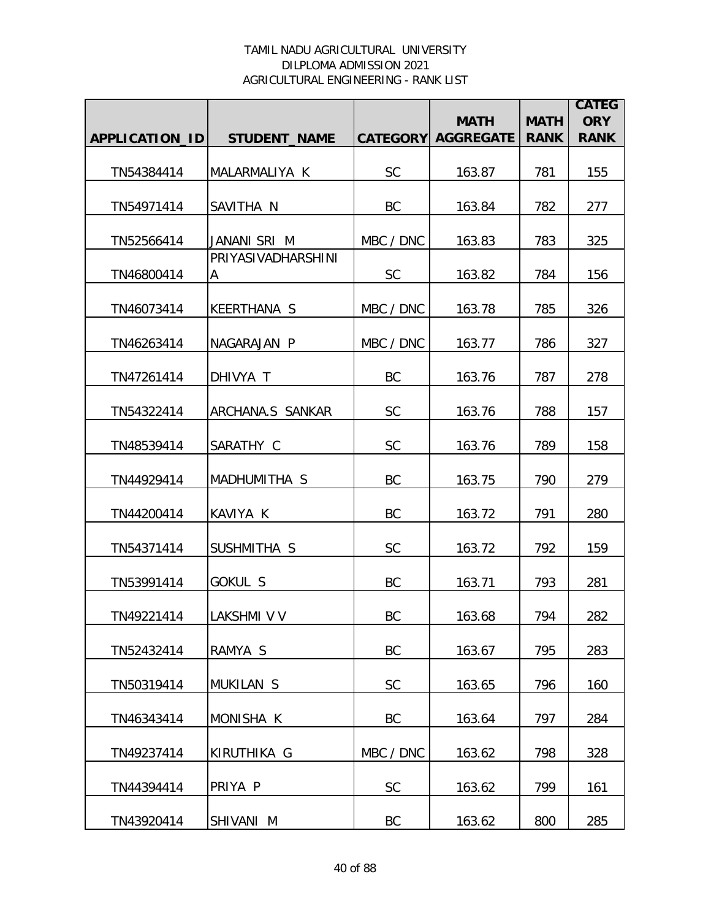|                |                         |           | <b>MATH</b>               | <b>MATH</b> | <b>CATEG</b><br><b>ORY</b> |
|----------------|-------------------------|-----------|---------------------------|-------------|----------------------------|
| APPLICATION_ID | <b>STUDENT_NAME</b>     |           | <b>CATEGORY AGGREGATE</b> | <b>RANK</b> | <b>RANK</b>                |
| TN54384414     | MALARMALIYA K           | <b>SC</b> | 163.87                    | 781         | 155                        |
| TN54971414     | SAVITHA N               | BC        | 163.84                    | 782         | 277                        |
| TN52566414     | JANANI SRI M            | MBC / DNC | 163.83                    | 783         | 325                        |
| TN46800414     | PRIYASIVADHARSHINI<br>A | <b>SC</b> | 163.82                    | 784         | 156                        |
| TN46073414     | KEERTHANA S             | MBC / DNC | 163.78                    | 785         | 326                        |
| TN46263414     | NAGARAJAN P             | MBC / DNC | 163.77                    | 786         | 327                        |
| TN47261414     | DHIVYA T                | BC        | 163.76                    | 787         | 278                        |
| TN54322414     | ARCHANA.S SANKAR        | SC        | 163.76                    | 788         | 157                        |
| TN48539414     | SARATHY C               | <b>SC</b> | 163.76                    | 789         | 158                        |
| TN44929414     | MADHUMITHA S            | BC        | 163.75                    | 790         | 279                        |
| TN44200414     | KAVIYA K                | <b>BC</b> | 163.72                    | 791         | 280                        |
| TN54371414     | SUSHMITHA S             | <b>SC</b> | 163.72                    | 792         | 159                        |
| TN53991414     | GOKUL S                 | BC        | 163.71                    | 793         | 281                        |
| TN49221414     | LAKSHMI V V             | BC        | 163.68                    | 794         | 282                        |
| TN52432414     | RAMYA S                 | BC        | 163.67                    | 795         | 283                        |
| TN50319414     | MUKILAN <sub>S</sub>    | <b>SC</b> | 163.65                    | 796         | 160                        |
| TN46343414     | MONISHA K               | BC        | 163.64                    | 797         | 284                        |
| TN49237414     | KIRUTHIKA G             | MBC / DNC | 163.62                    | 798         | 328                        |
| TN44394414     | PRIYA P                 | <b>SC</b> | 163.62                    | 799         | 161                        |
| TN43920414     | SHIVANI M               | BC        | 163.62                    | 800         | 285                        |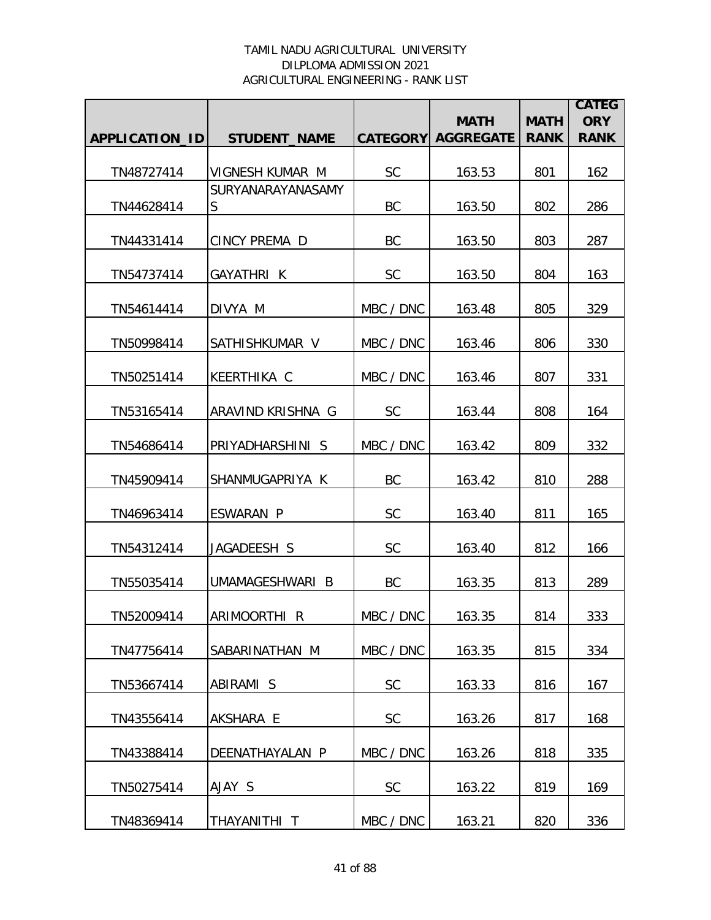|                |                               |           | <b>MATH</b>               | <b>MATH</b> | <b>CATEG</b><br><b>ORY</b> |
|----------------|-------------------------------|-----------|---------------------------|-------------|----------------------------|
| APPLICATION_ID | <b>STUDENT_NAME</b>           |           | <b>CATEGORY AGGREGATE</b> | <b>RANK</b> | <b>RANK</b>                |
| TN48727414     | VIGNESH KUMAR M               | <b>SC</b> | 163.53                    | 801         | 162                        |
| TN44628414     | <b>SURYANARAYANASAMY</b><br>S | BC        | 163.50                    | 802         | 286                        |
| TN44331414     | CINCY PREMA D                 | BC        | 163.50                    | 803         | 287                        |
| TN54737414     | GAYATHRI K                    | <b>SC</b> | 163.50                    | 804         | 163                        |
| TN54614414     | DIVYA M                       | MBC / DNC | 163.48                    | 805         | 329                        |
| TN50998414     | SATHISHKUMAR V                | MBC / DNC | 163.46                    | 806         | 330                        |
| TN50251414     | <b>KEERTHIKA C</b>            | MBC / DNC | 163.46                    | 807         | 331                        |
|                | ARAVIND KRISHNA G             | <b>SC</b> |                           |             | 164                        |
| TN53165414     |                               |           | 163.44                    | 808         |                            |
| TN54686414     | PRIYADHARSHINI S              | MBC / DNC | 163.42                    | 809         | 332                        |
| TN45909414     | SHANMUGAPRIYA K               | <b>BC</b> | 163.42                    | 810         | 288                        |
| TN46963414     | ESWARAN P                     | <b>SC</b> | 163.40                    | 811         | 165                        |
| TN54312414     | JAGADEESH S                   | SC        | 163.40                    | 812         | 166                        |
| TN55035414     | UMAMAGESHWARI B               | BC        | 163.35                    | 813         | 289                        |
| TN52009414     | ARIMOORTHI R                  | MBC / DNC | 163.35                    | 814         | 333                        |
| TN47756414     | SABARINATHAN M                | MBC / DNC | 163.35                    | 815         | 334                        |
| TN53667414     | ABIRAMI S                     | <b>SC</b> | 163.33                    | 816         | 167                        |
| TN43556414     | AKSHARA E                     | <b>SC</b> | 163.26                    | 817         | 168                        |
| TN43388414     | DEENATHAYALAN P               | MBC / DNC | 163.26                    | 818         | 335                        |
| TN50275414     | AJAY S                        | <b>SC</b> | 163.22                    | 819         | 169                        |
| TN48369414     | THAYANITHI T                  | MBC / DNC | 163.21                    | 820         | 336                        |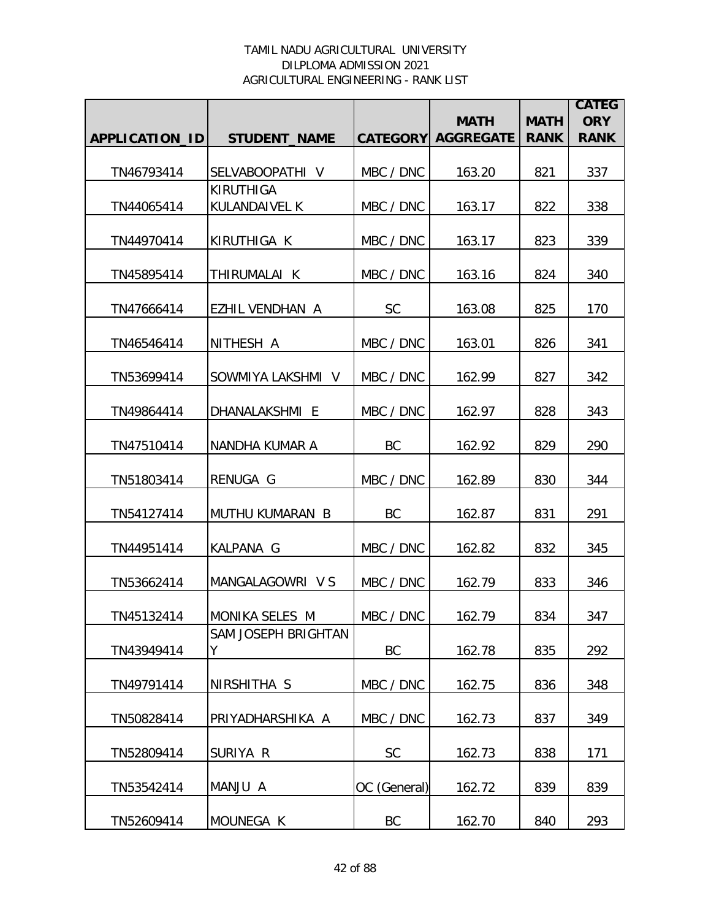|                |                            |                 |                                 |                            | <b>CATEG</b>              |
|----------------|----------------------------|-----------------|---------------------------------|----------------------------|---------------------------|
| APPLICATION_ID | <b>STUDENT_NAME</b>        | <b>CATEGORY</b> | <b>MATH</b><br><b>AGGREGATE</b> | <b>MATH</b><br><b>RANK</b> | <b>ORY</b><br><b>RANK</b> |
|                |                            |                 |                                 |                            |                           |
| TN46793414     | SELVABOOPATHI V            | MBC / DNC       | 163.20                          | 821                        | 337                       |
| TN44065414     | KIRUTHIGA<br>KULANDAIVEL K | MBC / DNC       | 163.17                          | 822                        | 338                       |
| TN44970414     | KIRUTHIGA K                | MBC / DNC       | 163.17                          | 823                        | 339                       |
| TN45895414     | THIRUMALAI K               | MBC / DNC       | 163.16                          | 824                        | 340                       |
| TN47666414     | <b>EZHIL VENDHAN A</b>     | <b>SC</b>       | 163.08                          | 825                        | 170                       |
| TN46546414     | NITHESH A                  | MBC / DNC       | 163.01                          | 826                        | 341                       |
| TN53699414     | SOWMIYA LAKSHMI V          | MBC / DNC       | 162.99                          | 827                        | 342                       |
| TN49864414     | DHANALAKSHMI E             | MBC / DNC       | 162.97                          | 828                        | 343                       |
| TN47510414     | NANDHA KUMAR A             | <b>BC</b>       | 162.92                          | 829                        | 290                       |
| TN51803414     | RENUGA G                   | MBC / DNC       | 162.89                          | 830                        | 344                       |
| TN54127414     | MUTHU KUMARAN B            | BC              | 162.87                          | 831                        | 291                       |
| TN44951414     | KALPANA G                  | MBC / DNC       | 162.82                          | 832                        | 345                       |
| TN53662414     | MANGALAGOWRI V S           | MBC / DNC       | 162.79                          | 833                        | 346                       |
| TN45132414     | <b>IMONIKA SELES M</b>     | MBC / DNC       | 162.79                          | 834                        | 347                       |
| TN43949414     | SAM JOSEPH BRIGHTAN<br>Y   | BC              | 162.78                          | 835                        | 292                       |
| TN49791414     | NIRSHITHA S                | MBC / DNC       | 162.75                          | 836                        | 348                       |
| TN50828414     | PRIYADHARSHIKA A           | MBC / DNC       | 162.73                          | 837                        | 349                       |
| TN52809414     | SURIYA R                   | <b>SC</b>       | 162.73                          | 838                        | 171                       |
| TN53542414     | MANJU A                    | OC (General)    | 162.72                          | 839                        | 839                       |
| TN52609414     | MOUNEGA K                  | BC              | 162.70                          | 840                        | 293                       |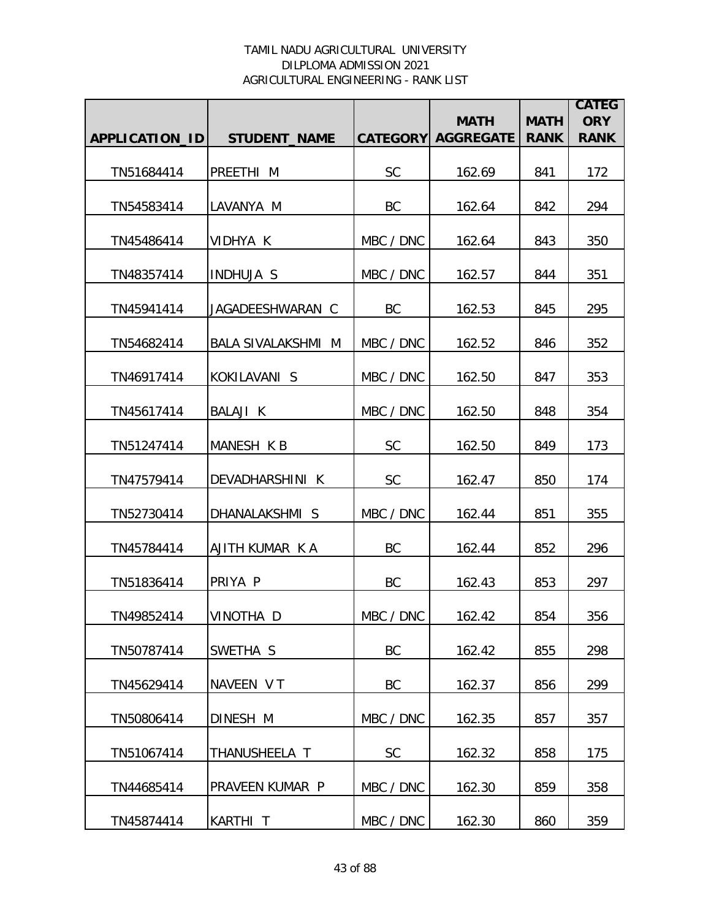|                |                           |           | <b>MATH</b>               |                            | <b>CATEG</b><br><b>ORY</b> |
|----------------|---------------------------|-----------|---------------------------|----------------------------|----------------------------|
| APPLICATION_ID | <b>STUDENT_NAME</b>       |           | <b>CATEGORY AGGREGATE</b> | <b>MATH</b><br><b>RANK</b> | <b>RANK</b>                |
| TN51684414     | PREETHI M                 | <b>SC</b> | 162.69                    | 841                        | 172                        |
| TN54583414     | LAVANYA M                 | BC        | 162.64                    | 842                        | 294                        |
| TN45486414     | VIDHYA K                  | MBC / DNC | 162.64                    | 843                        | 350                        |
| TN48357414     | <b>INDHUJA S</b>          | MBC / DNC | 162.57                    | 844                        | 351                        |
| TN45941414     | JAGADEESHWARAN C          | BC        | 162.53                    | 845                        | 295                        |
| TN54682414     | <b>BALA SIVALAKSHMI M</b> | MBC / DNC | 162.52                    | 846                        | 352                        |
| TN46917414     | KOKILAVANI S              | MBC / DNC | 162.50                    | 847                        | 353                        |
| TN45617414     | <b>BALAJI K</b>           | MBC / DNC | 162.50                    | 848                        | 354                        |
| TN51247414     | MANESH K B                | <b>SC</b> | 162.50                    | 849                        | 173                        |
| TN47579414     | DEVADHARSHINI K           | SC        | 162.47                    | 850                        | 174                        |
| TN52730414     | DHANALAKSHMI S            | MBC / DNC | 162.44                    | 851                        | 355                        |
| TN45784414     | AJITH KUMAR K A           | BC        | 162.44                    | 852                        | 296                        |
| TN51836414     | PRIYA P                   | BC        | 162.43                    | 853                        | 297                        |
| TN49852414     | VINOTHA D                 | MBC / DNC | 162.42                    | 854                        | 356                        |
| TN50787414     | SWETHA S                  | BC        | 162.42                    | 855                        | 298                        |
| TN45629414     | NAVEEN VT                 | BC        | 162.37                    | 856                        | 299                        |
| TN50806414     | DINESH M                  | MBC / DNC | 162.35                    | 857                        | 357                        |
| TN51067414     | THANUSHEELA T             | <b>SC</b> | 162.32                    | 858                        | 175                        |
| TN44685414     | PRAVEEN KUMAR P           | MBC / DNC | 162.30                    | 859                        | 358                        |
| TN45874414     | KARTHI T                  | MBC / DNC | 162.30                    | 860                        | 359                        |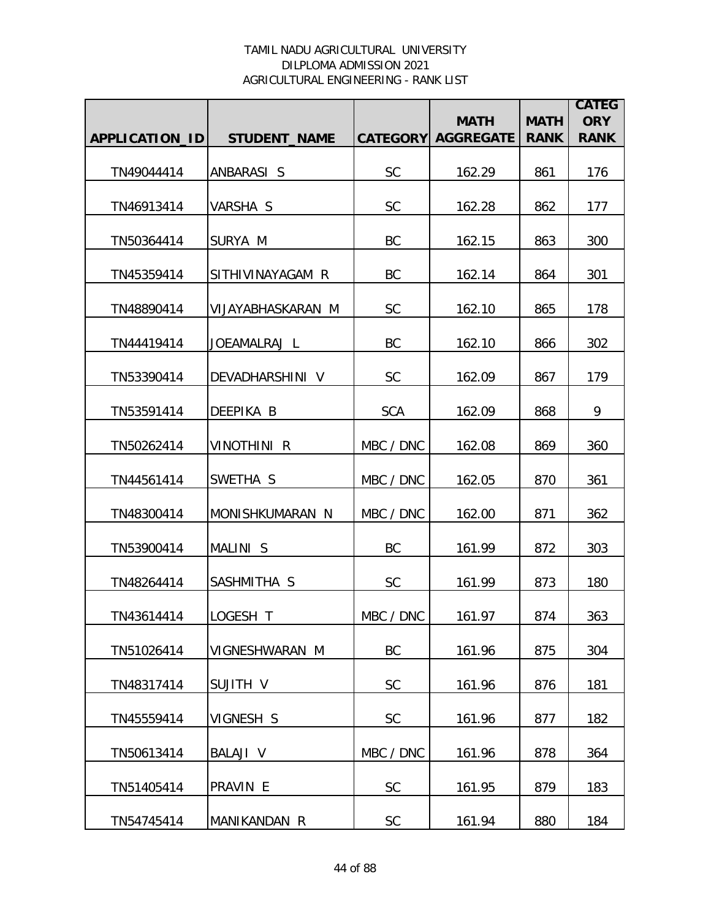|                |                     |                 | <b>MATH</b>      | <b>MATH</b> | <b>CATEG</b><br><b>ORY</b> |
|----------------|---------------------|-----------------|------------------|-------------|----------------------------|
| APPLICATION_ID | <b>STUDENT_NAME</b> | <b>CATEGORY</b> | <b>AGGREGATE</b> | <b>RANK</b> | <b>RANK</b>                |
| TN49044414     | ANBARASI S          | SC              | 162.29           | 861         | 176                        |
| TN46913414     | VARSHA S            | <b>SC</b>       | 162.28           | 862         | 177                        |
| TN50364414     | SURYA M             | BC              | 162.15           | 863         | 300                        |
| TN45359414     | SITHIVINAYAGAM R    | BC              | 162.14           | 864         | 301                        |
| TN48890414     | VIJAYABHASKARAN M   | <b>SC</b>       | 162.10           | 865         | 178                        |
| TN44419414     | JOEAMALRAJ L        | <b>BC</b>       | 162.10           | 866         | 302                        |
| TN53390414     | DEVADHARSHINI V     | <b>SC</b>       | 162.09           | 867         | 179                        |
| TN53591414     | DEEPIKA B           | <b>SCA</b>      | 162.09           | 868         | 9                          |
| TN50262414     | <b>VINOTHINI R</b>  | MBC / DNC       | 162.08           | 869         | 360                        |
| TN44561414     | SWETHA S            | MBC / DNC       | 162.05           | 870         | 361                        |
| TN48300414     | MONISHKUMARAN N     | MBC / DNC       | 162.00           | 871         | 362                        |
| TN53900414     | MALINI S            | BC              | 161.99           | 872         | 303                        |
| TN48264414     | SASHMITHA S         | <b>SC</b>       | 161.99           | 873         | 180                        |
| TN43614414     | ILOGESH T           | MBC / DNC       | 161.97           | 874         | 363                        |
| TN51026414     | VIGNESHWARAN M      | BC              | 161.96           | 875         | 304                        |
| TN48317414     | SUJITH V            | <b>SC</b>       | 161.96           | 876         | 181                        |
| TN45559414     | VIGNESH S           | <b>SC</b>       | 161.96           | 877         | 182                        |
| TN50613414     | <b>BALAJI V</b>     | MBC / DNC       | 161.96           | 878         | 364                        |
| TN51405414     | PRAVIN E            | SC              | 161.95           | 879         | 183                        |
| TN54745414     | MANIKANDAN R        | SC              | 161.94           | 880         | 184                        |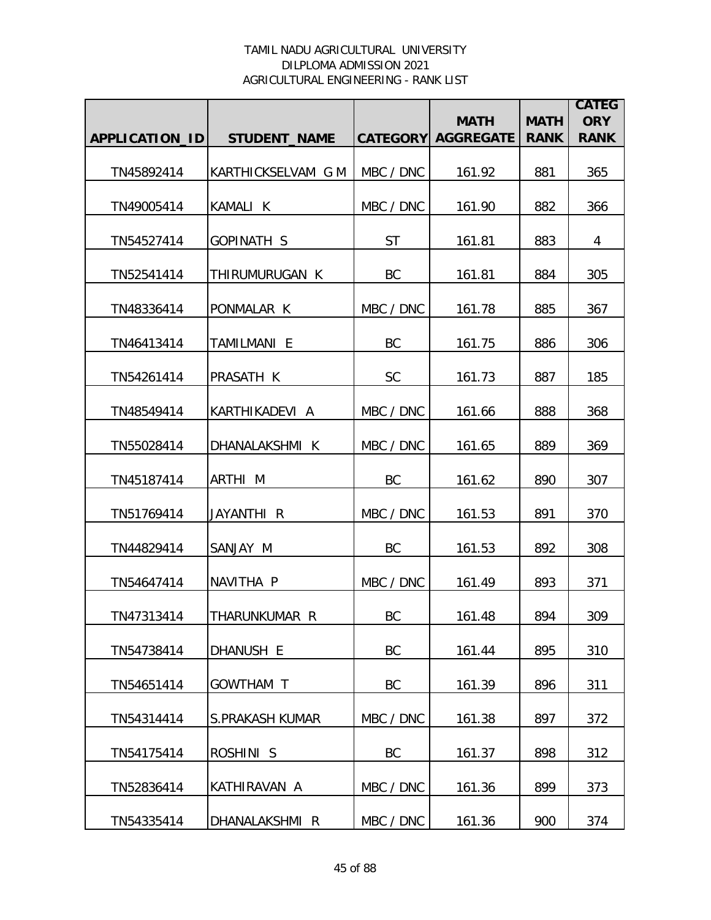|                |                     |           | <b>MATH</b>               | <b>MATH</b> | <b>CATEG</b><br><b>ORY</b> |
|----------------|---------------------|-----------|---------------------------|-------------|----------------------------|
| APPLICATION_ID | <b>STUDENT_NAME</b> |           | <b>CATEGORY AGGREGATE</b> | <b>RANK</b> | <b>RANK</b>                |
| TN45892414     | KARTHICKSELVAM G M  | MBC / DNC | 161.92                    | 881         | 365                        |
| TN49005414     | KAMALI K            | MBC / DNC | 161.90                    | 882         | 366                        |
| TN54527414     | <b>GOPINATH S</b>   | <b>ST</b> | 161.81                    | 883         | 4                          |
| TN52541414     | THIRUMURUGAN K      | BC        | 161.81                    | 884         | 305                        |
| TN48336414     | PONMALAR K          | MBC / DNC | 161.78                    | 885         | 367                        |
| TN46413414     | TAMILMANI E         | BC        | 161.75                    | 886         | 306                        |
| TN54261414     | PRASATH K           | <b>SC</b> | 161.73                    | 887         | 185                        |
| TN48549414     | KARTHIKADEVI A      | MBC / DNC | 161.66                    | 888         | 368                        |
| TN55028414     | DHANALAKSHMI K      | MBC / DNC | 161.65                    | 889         | 369                        |
| TN45187414     | ARTHI M             | <b>BC</b> | 161.62                    | 890         | 307                        |
| TN51769414     | JAYANTHI R          | MBC / DNC | 161.53                    | 891         | 370                        |
| TN44829414     | SANJAY M            | BC        | 161.53                    | 892         | 308                        |
| TN54647414     | NAVITHA P           | MBC / DNC | 161.49                    | 893         | 371                        |
| TN47313414     | THARUNKUMAR R       | BC        | 161.48                    | 894         | 309                        |
| TN54738414     | DHANUSH E           | BC        | 161.44                    | 895         | 310                        |
| TN54651414     | GOWTHAM T           | BC        | 161.39                    | 896         | 311                        |
| TN54314414     | S.PRAKASH KUMAR     | MBC / DNC | 161.38                    | 897         | 372                        |
| TN54175414     | ROSHINI S           | BC        | 161.37                    | 898         | 312                        |
| TN52836414     | KATHIRAVAN A        | MBC / DNC | 161.36                    | 899         | 373                        |
| TN54335414     | DHANALAKSHMI R      | MBC / DNC | 161.36                    | 900         | 374                        |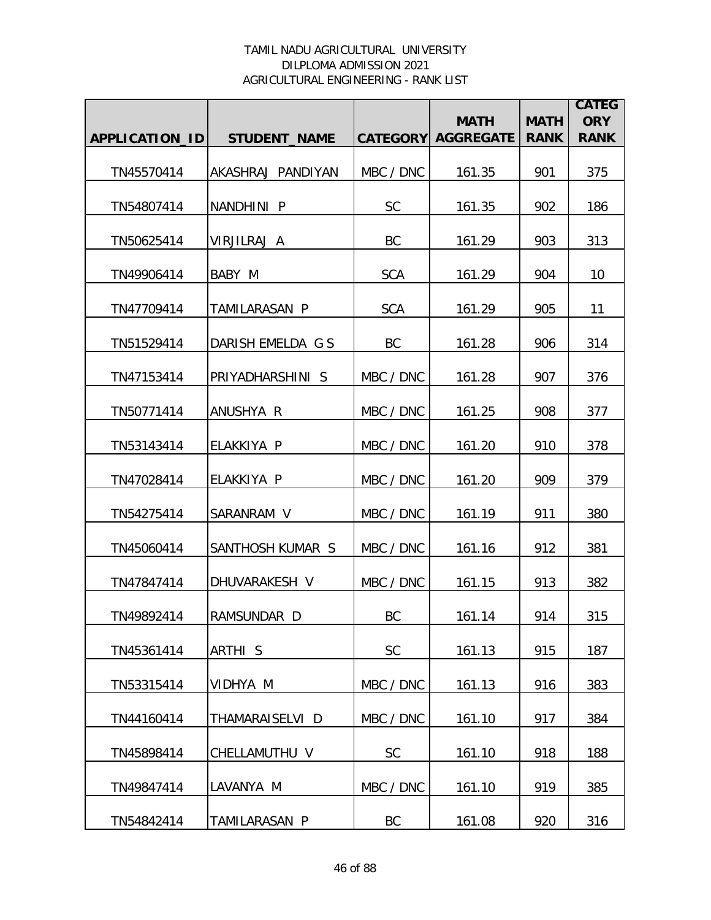|                |                     |            | <b>MATH</b>               | <b>MATH</b> | <b>CATEG</b><br><b>ORY</b> |
|----------------|---------------------|------------|---------------------------|-------------|----------------------------|
| APPLICATION_ID | <b>STUDENT NAME</b> |            | <b>CATEGORY AGGREGATE</b> | <b>RANK</b> | <b>RANK</b>                |
| TN45570414     | AKASHRAJ PANDIYAN   | MBC / DNC  | 161.35                    | 901         | 375                        |
| TN54807414     | NANDHINI P          | <b>SC</b>  | 161.35                    | 902         | 186                        |
| TN50625414     | VIRJILRAJ A         | BC         | 161.29                    | 903         | 313                        |
| TN49906414     | BABY M              | <b>SCA</b> | 161.29                    | 904         | 10                         |
| TN47709414     | TAMILARASAN P       | <b>SCA</b> | 161.29                    | 905         | 11                         |
| TN51529414     | DARISH EMELDA G S   | BC         | 161.28                    | 906         | 314                        |
| TN47153414     | PRIYADHARSHINI S    | MBC / DNC  | 161.28                    | 907         | 376                        |
| TN50771414     | ANUSHYA R           | MBC / DNC  | 161.25                    | 908         | 377                        |
| TN53143414     | ELAKKIYA P          | MBC / DNC  | 161.20                    | 910         | 378                        |
| TN47028414     | ELAKKIYA P          | MBC / DNC  | 161.20                    | 909         | 379                        |
| TN54275414     | SARANRAM V          | MBC / DNC  | 161.19                    | 911         | 380                        |
| TN45060414     | SANTHOSH KUMAR S    | MBC / DNC  | 161.16                    | 912         | 381                        |
| TN47847414     | DHUVARAKESH V       | MBC / DNC  | 161.15                    | 913         | 382                        |
| TN49892414     | RAMSUNDAR D         | BC         | 161.14                    | 914         | 315                        |
| TN45361414     | ARTHI <sub>S</sub>  | <b>SC</b>  | 161.13                    | 915         | 187                        |
| TN53315414     | VIDHYA M            | MBC / DNC  | 161.13                    | 916         | 383                        |
| TN44160414     | THAMARAISELVI D     | MBC / DNC  | 161.10                    | 917         | 384                        |
| TN45898414     | CHELLAMUTHU V       | <b>SC</b>  | 161.10                    | 918         | 188                        |
| TN49847414     | LAVANYA M           | MBC / DNC  | 161.10                    | 919         | 385                        |
| TN54842414     | TAMILARASAN P       | BC         | 161.08                    | 920         | 316                        |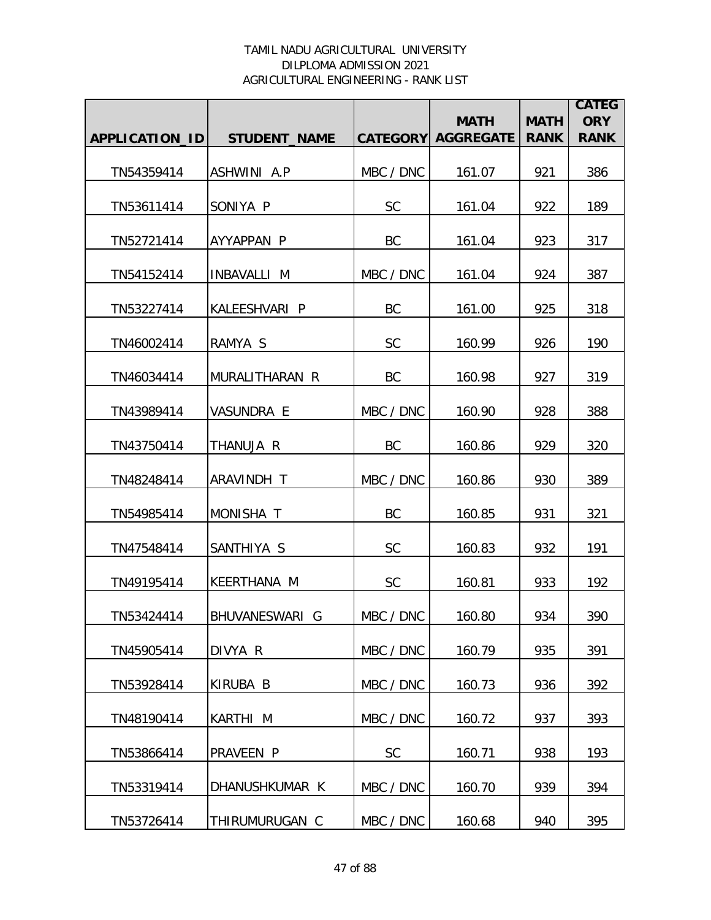|                |                     |                 | <b>MATH</b>      | <b>MATH</b> | <b>CATEG</b><br><b>ORY</b> |
|----------------|---------------------|-----------------|------------------|-------------|----------------------------|
| APPLICATION_ID | <b>STUDENT NAME</b> | <b>CATEGORY</b> | <b>AGGREGATE</b> | <b>RANK</b> | <b>RANK</b>                |
| TN54359414     | ASHWINI A.P         | MBC / DNC       | 161.07           | 921         | 386                        |
| TN53611414     | SONIYA P            | <b>SC</b>       | 161.04           | 922         | 189                        |
| TN52721414     | AYYAPPAN P          | BC              | 161.04           | 923         | 317                        |
| TN54152414     | INBAVALLI M         | MBC / DNC       | 161.04           | 924         | 387                        |
| TN53227414     | KALEESHVARI P       | BC              | 161.00           | 925         | 318                        |
| TN46002414     | RAMYA S             | <b>SC</b>       | 160.99           | 926         | 190                        |
| TN46034414     | MURALITHARAN R      | BC              | 160.98           | 927         | 319                        |
| TN43989414     | VASUNDRA E          | MBC / DNC       | 160.90           | 928         | 388                        |
| TN43750414     | THANUJA R           | BC              | 160.86           | 929         | 320                        |
| TN48248414     | ARAVINDH T          | MBC / DNC       | 160.86           | 930         | 389                        |
| TN54985414     | MONISHA T           | BC              | 160.85           | 931         | 321                        |
| TN47548414     | SANTHIYA S          | <b>SC</b>       | 160.83           | 932         | 191                        |
| TN49195414     | KEERTHANA M         | <b>SC</b>       | 160.81           | 933         | 192                        |
| TN53424414     | BHUVANESWARI G      | MBC / DNC       | 160.80           | 934         | 390                        |
| TN45905414     | DIVYA R             | MBC / DNC       | 160.79           | 935         | 391                        |
| TN53928414     | KIRUBA B            | MBC / DNC       | 160.73           | 936         | 392                        |
| TN48190414     | KARTHI M            | MBC / DNC       | 160.72           | 937         | 393                        |
| TN53866414     | PRAVEEN P           | <b>SC</b>       | 160.71           | 938         | 193                        |
| TN53319414     | DHANUSHKUMAR K      | MBC / DNC       | 160.70           | 939         | 394                        |
| TN53726414     | THIRUMURUGAN C      | MBC / DNC       | 160.68           | 940         | 395                        |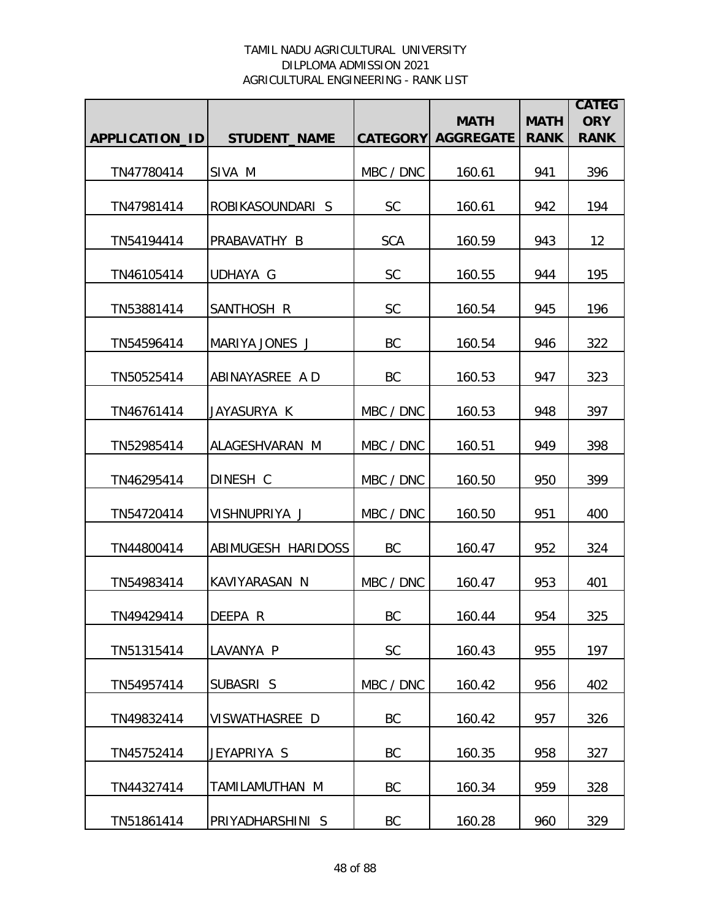|                       |                     |                 | <b>MATH</b>      | <b>MATH</b> | <b>CATEG</b><br><b>ORY</b> |
|-----------------------|---------------------|-----------------|------------------|-------------|----------------------------|
| <b>APPLICATION ID</b> | <b>STUDENT_NAME</b> | <b>CATEGORY</b> | <b>AGGREGATE</b> | <b>RANK</b> | <b>RANK</b>                |
| TN47780414            | SIVA M              | MBC / DNC       | 160.61           | 941         | 396                        |
| TN47981414            | ROBIKASOUNDARI S    | <b>SC</b>       | 160.61           | 942         | 194                        |
| TN54194414            | PRABAVATHY B        | <b>SCA</b>      | 160.59           | 943         | 12                         |
| TN46105414            | UDHAYA G            | <b>SC</b>       | 160.55           | 944         | 195                        |
| TN53881414            | SANTHOSH R          | <b>SC</b>       | 160.54           | 945         | 196                        |
| TN54596414            | MARIYA JONES J      | <b>BC</b>       | 160.54           | 946         | 322                        |
| TN50525414            | ABINAYASREE A D     | <b>BC</b>       | 160.53           | 947         | 323                        |
| TN46761414            | JAYASURYA K         | MBC / DNC       | 160.53           | 948         | 397                        |
| TN52985414            | ALAGESHVARAN M      | MBC / DNC       | 160.51           | 949         | 398                        |
| TN46295414            | DINESH C            | MBC / DNC       | 160.50           | 950         | 399                        |
| TN54720414            | VISHNUPRIYA J       | MBC / DNC       | 160.50           | 951         | 400                        |
| TN44800414            | ABIMUGESH HARIDOSS  | BC              | 160.47           | 952         | 324                        |
| TN54983414            | KAVIYARASAN N       | MBC / DNC       | 160.47           | 953         | 401                        |
| TN49429414            | <b>IDEEPA R</b>     | BC              | 160.44           | 954         | 325                        |
| TN51315414            | LAVANYA P           | <b>SC</b>       | 160.43           | 955         | 197                        |
| TN54957414            | SUBASRI S           | MBC / DNC       | 160.42           | 956         | 402                        |
| TN49832414            | VISWATHASREE D      | BC              | 160.42           | 957         | 326                        |
| TN45752414            | JEYAPRIYA S         | BC              | 160.35           | 958         | 327                        |
| TN44327414            | TAMILAMUTHAN M      | BC              | 160.34           | 959         | 328                        |
| TN51861414            | PRIYADHARSHINI S    | BC              | 160.28           | 960         | 329                        |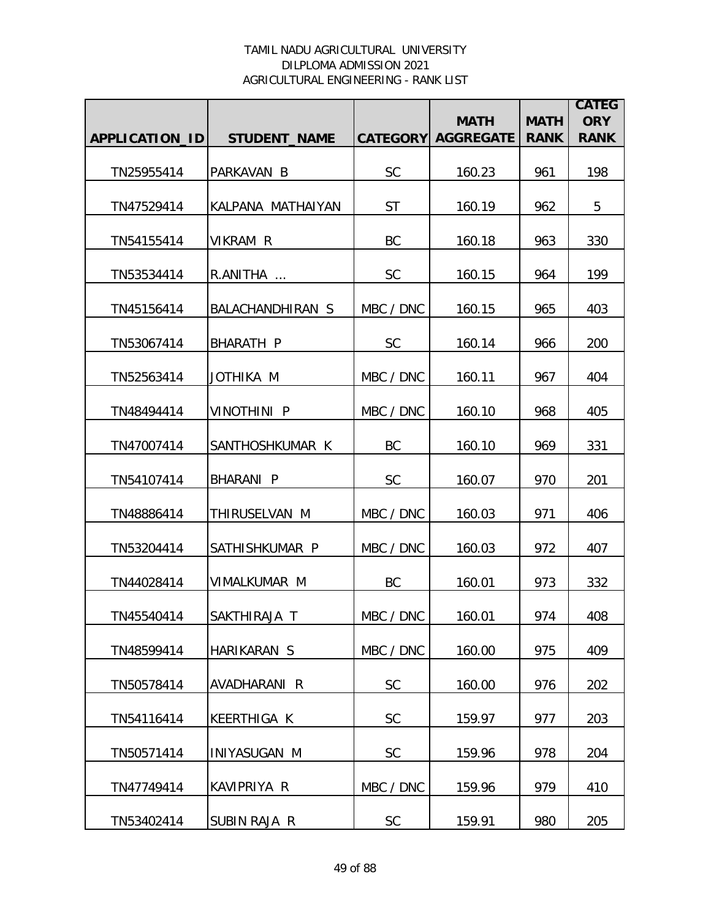|                |                     |                 | <b>MATH</b>      | <b>MATH</b> | <b>CATEG</b><br><b>ORY</b> |
|----------------|---------------------|-----------------|------------------|-------------|----------------------------|
| APPLICATION_ID | <b>STUDENT NAME</b> | <b>CATEGORY</b> | <b>AGGREGATE</b> | <b>RANK</b> | <b>RANK</b>                |
| TN25955414     | PARKAVAN B          | <b>SC</b>       | 160.23           | 961         | 198                        |
| TN47529414     | KALPANA MATHAIYAN   | <b>ST</b>       | 160.19           | 962         | 5                          |
| TN54155414     | VIKRAM R            | BC              | 160.18           | 963         | 330                        |
| TN53534414     | R.ANITHA            | <b>SC</b>       | 160.15           | 964         | 199                        |
| TN45156414     | BALACHANDHIRAN S    | MBC / DNC       | 160.15           | 965         | 403                        |
| TN53067414     | <b>BHARATH P</b>    | <b>SC</b>       | 160.14           | 966         | 200                        |
| TN52563414     | JOTHIKA M           | MBC / DNC       | 160.11           | 967         | 404                        |
| TN48494414     | <b>VINOTHINI P</b>  | MBC / DNC       | 160.10           | 968         | 405                        |
| TN47007414     | SANTHOSHKUMAR K     | BC              | 160.10           | 969         | 331                        |
| TN54107414     | BHARANI P           | <b>SC</b>       | 160.07           | 970         | 201                        |
| TN48886414     | THIRUSELVAN M       | MBC / DNC       | 160.03           | 971         | 406                        |
| TN53204414     | SATHISHKUMAR P      | MBC / DNC       | 160.03           | 972         | 407                        |
| TN44028414     | VIMALKUMAR M        | BC              | 160.01           | 973         | 332                        |
| TN45540414     | SAKTHIRAJA T        | MBC / DNC       | 160.01           | 974         | 408                        |
| TN48599414     | HARIKARAN S         | MBC / DNC       | 160.00           | 975         | 409                        |
| TN50578414     | AVADHARANI R        | <b>SC</b>       | 160.00           | 976         | 202                        |
| TN54116414     | <b>KEERTHIGA K</b>  | <b>SC</b>       | 159.97           | 977         | 203                        |
| TN50571414     | INIYASUGAN M        | <b>SC</b>       | 159.96           | 978         | 204                        |
| TN47749414     | KAVIPRIYA R         | MBC / DNC       | 159.96           | 979         | 410                        |
| TN53402414     | SUBIN RAJA R        | <b>SC</b>       | 159.91           | 980         | 205                        |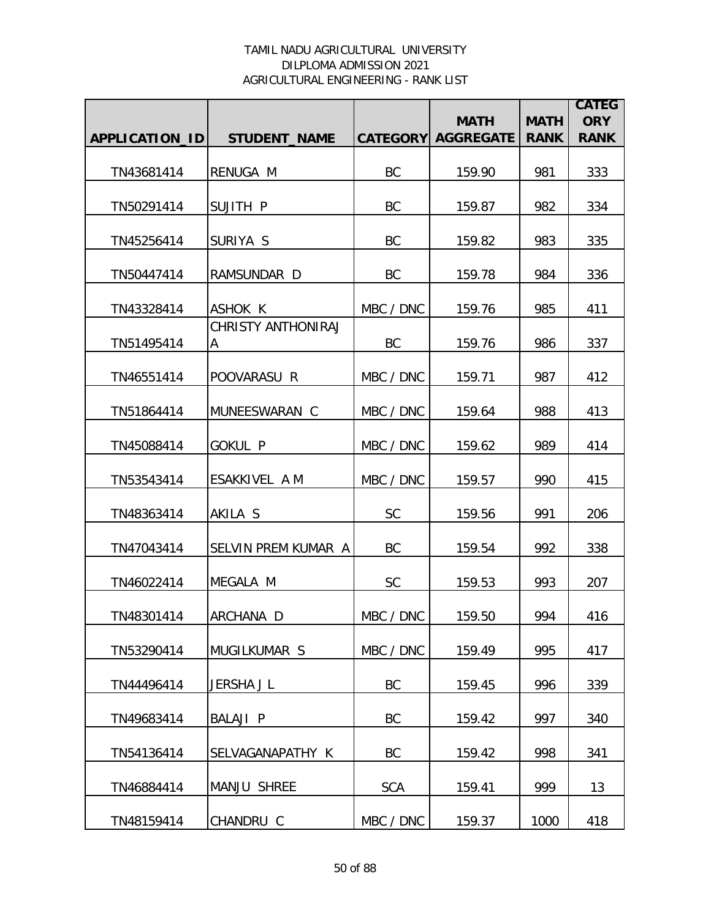|                |                                |            |                                          |                            | <b>CATEG</b>              |
|----------------|--------------------------------|------------|------------------------------------------|----------------------------|---------------------------|
| APPLICATION_ID | <b>STUDENT_NAME</b>            |            | <b>MATH</b><br><b>CATEGORY AGGREGATE</b> | <b>MATH</b><br><b>RANK</b> | <b>ORY</b><br><b>RANK</b> |
|                |                                |            |                                          |                            |                           |
| TN43681414     | RENUGA M                       | BC         | 159.90                                   | 981                        | 333                       |
| TN50291414     | SUJITH P                       | BC         | 159.87                                   | 982                        | 334                       |
| TN45256414     | SURIYA S                       | BC         | 159.82                                   | 983                        | 335                       |
| TN50447414     | RAMSUNDAR D                    | BC         | 159.78                                   | 984                        | 336                       |
| TN43328414     | <b>ASHOK K</b>                 | MBC / DNC  | 159.76                                   | 985                        | 411                       |
| TN51495414     | <b>CHRISTY ANTHONIRAJ</b><br>A | BC         | 159.76                                   | 986                        | 337                       |
| TN46551414     | POOVARASU R                    | MBC / DNC  | 159.71                                   | 987                        | 412                       |
| TN51864414     | MUNEESWARAN C                  | MBC / DNC  | 159.64                                   | 988                        | 413                       |
| TN45088414     | <b>GOKUL P</b>                 | MBC / DNC  | 159.62                                   | 989                        | 414                       |
| TN53543414     | ESAKKIVEL A M                  | MBC / DNC  | 159.57                                   | 990                        | 415                       |
| TN48363414     | AKILA S                        | <b>SC</b>  | 159.56                                   | 991                        | 206                       |
| TN47043414     | SELVIN PREM KUMAR A            | BC         | 159.54                                   | 992                        | 338                       |
| TN46022414     | MEGALA M                       | <b>SC</b>  | 159.53                                   | 993                        | 207                       |
| TN48301414     | ARCHANA D                      | MBC / DNC  | 159.50                                   | 994                        | 416                       |
| TN53290414     | MUGILKUMAR S                   | MBC / DNC  | 159.49                                   | 995                        | 417                       |
| TN44496414     | JERSHA J L                     | BC         | 159.45                                   | 996                        | 339                       |
| TN49683414     | <b>BALAJI P</b>                | BC         | 159.42                                   | 997                        | 340                       |
| TN54136414     | SELVAGANAPATHY K               | BC         | 159.42                                   | 998                        | 341                       |
| TN46884414     | <b>MANJU SHREE</b>             | <b>SCA</b> | 159.41                                   | 999                        | 13                        |
| TN48159414     | CHANDRU C                      | MBC / DNC  | 159.37                                   | 1000                       | 418                       |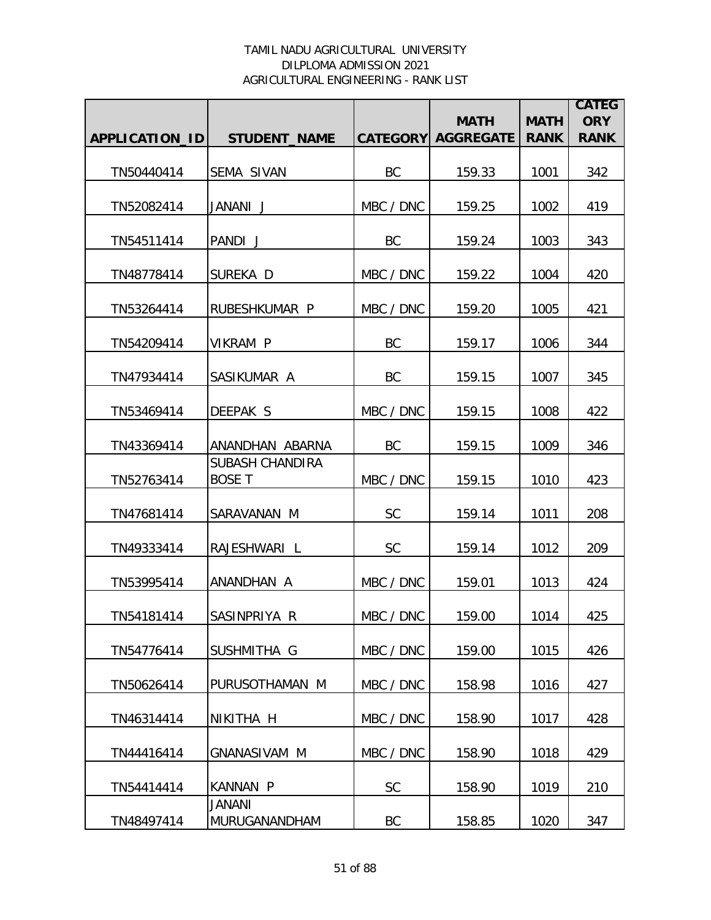|                |                                         |           |                                          |                            | <b>CATEG</b>              |
|----------------|-----------------------------------------|-----------|------------------------------------------|----------------------------|---------------------------|
| APPLICATION_ID | <b>STUDENT_NAME</b>                     |           | <b>MATH</b><br><b>CATEGORY AGGREGATE</b> | <b>MATH</b><br><b>RANK</b> | <b>ORY</b><br><b>RANK</b> |
|                |                                         |           |                                          |                            |                           |
| TN50440414     | <b>SEMA SIVAN</b>                       | BC        | 159.33                                   | 1001                       | 342                       |
| TN52082414     | JANANI J                                | MBC / DNC | 159.25                                   | 1002                       | 419                       |
| TN54511414     | PANDI J                                 | <b>BC</b> | 159.24                                   | 1003                       | 343                       |
| TN48778414     | SUREKA D                                | MBC / DNC | 159.22                                   | 1004                       | 420                       |
| TN53264414     | RUBESHKUMAR P                           | MBC / DNC | 159.20                                   | 1005                       | 421                       |
| TN54209414     | <b>VIKRAM P</b>                         | <b>BC</b> | 159.17                                   | 1006                       | 344                       |
| TN47934414     | SASIKUMAR A                             | BC        | 159.15                                   | 1007                       | 345                       |
| TN53469414     | DEEPAK S                                | MBC / DNC | 159.15                                   | 1008                       | 422                       |
| TN43369414     | ANANDHAN ABARNA                         | <b>BC</b> | 159.15                                   | 1009                       | 346                       |
| TN52763414     | <b>SUBASH CHANDIRA</b><br><b>BOSE T</b> | MBC / DNC | 159.15                                   | 1010                       | 423                       |
| TN47681414     | SARAVANAN M                             | <b>SC</b> | 159.14                                   | 1011                       | 208                       |
| TN49333414     | RAJESHWARI L                            | <b>SC</b> | 159.14                                   | 1012                       | 209                       |
| TN53995414     | ANANDHAN A                              | MBC / DNC | 159.01                                   | 1013                       | 424                       |
| TN54181414     | SASINPRIYA R                            | MBC / DNC | 159.00                                   | 1014                       | 425                       |
| TN54776414     | SUSHMITHA G                             | MBC / DNC | 159.00                                   | 1015                       | 426                       |
| TN50626414     | PURUSOTHAMAN M                          | MBC / DNC | 158.98                                   | 1016                       | 427                       |
| TN46314414     | NIKITHA H                               | MBC / DNC | 158.90                                   | 1017                       | 428                       |
| TN44416414     | <b>GNANASIVAM M</b>                     | MBC / DNC | 158.90                                   | 1018                       | 429                       |
| TN54414414     | <b>KANNAN P</b>                         | <b>SC</b> | 158.90                                   | 1019                       | 210                       |
| TN48497414     | <b>JANANI</b><br>MURUGANANDHAM          | BC        | 158.85                                   | 1020                       | 347                       |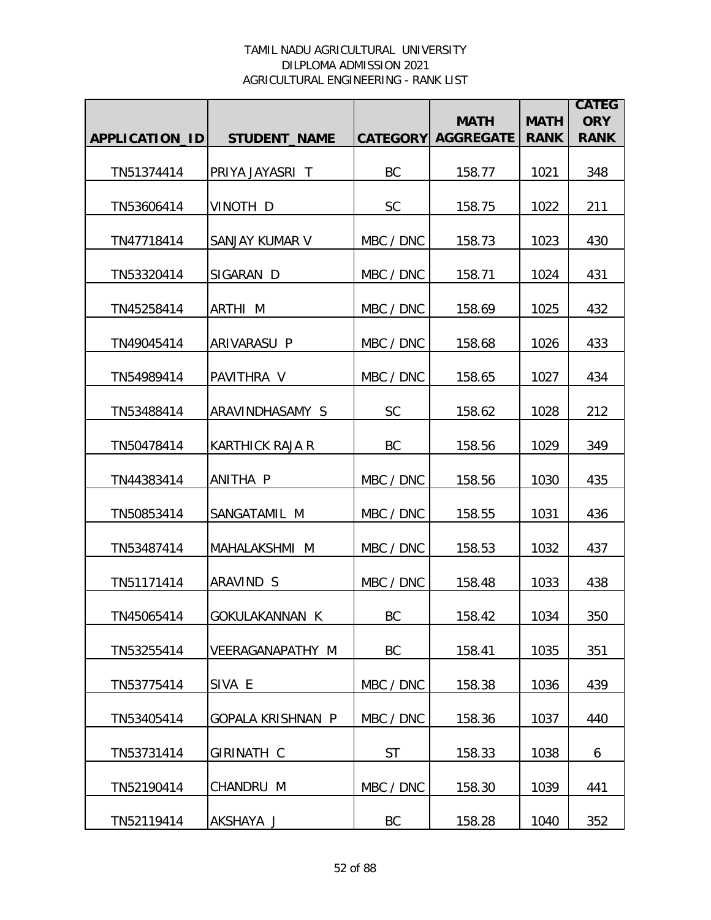|                |                          |                 | <b>MATH</b>      | <b>MATH</b> | <b>CATEG</b><br><b>ORY</b> |
|----------------|--------------------------|-----------------|------------------|-------------|----------------------------|
| APPLICATION_ID | <b>STUDENT_NAME</b>      | <b>CATEGORY</b> | <b>AGGREGATE</b> | <b>RANK</b> | <b>RANK</b>                |
| TN51374414     | PRIYA JAYASRI T          | BC              | 158.77           | 1021        | 348                        |
| TN53606414     | VINOTH D                 | <b>SC</b>       | 158.75           | 1022        | 211                        |
| TN47718414     | SANJAY KUMAR V           | MBC / DNC       | 158.73           | 1023        | 430                        |
| TN53320414     | SIGARAN D                | MBC / DNC       | 158.71           | 1024        | 431                        |
| TN45258414     | ARTHI M                  | MBC / DNC       | 158.69           | 1025        | 432                        |
| TN49045414     | ARIVARASU P              | MBC / DNC       | 158.68           | 1026        | 433                        |
| TN54989414     | PAVITHRA V               | MBC / DNC       | 158.65           | 1027        | 434                        |
| TN53488414     | ARAVINDHASAMY S          | <b>SC</b>       | 158.62           | 1028        | 212                        |
| TN50478414     | <b>KARTHICK RAJA R</b>   | BC              | 158.56           | 1029        | 349                        |
| TN44383414     | ANITHA P                 | MBC / DNC       | 158.56           | 1030        | 435                        |
| TN50853414     | SANGATAMIL M             | MBC / DNC       | 158.55           | 1031        | 436                        |
| TN53487414     | MAHALAKSHMI M            | MBC / DNC       | 158.53           | 1032        | 437                        |
| TN51171414     | ARAVIND S                | MBC / DNC       | 158.48           | 1033        | 438                        |
| TN45065414     | <b>GOKULAKANNAN K</b>    | BC              | 158.42           | 1034        | 350                        |
| TN53255414     | <b>VEERAGANAPATHY M</b>  | <b>BC</b>       | 158.41           | 1035        | 351                        |
| TN53775414     | SIVA E                   | MBC / DNC       | 158.38           | 1036        | 439                        |
| TN53405414     | <b>GOPALA KRISHNAN P</b> | MBC / DNC       | 158.36           | 1037        | 440                        |
| TN53731414     | <b>GIRINATH C</b>        | <b>ST</b>       | 158.33           | 1038        | 6                          |
| TN52190414     | CHANDRU M                | MBC / DNC       | 158.30           | 1039        | 441                        |
| TN52119414     | AKSHAYA J                | BC              | 158.28           | 1040        | 352                        |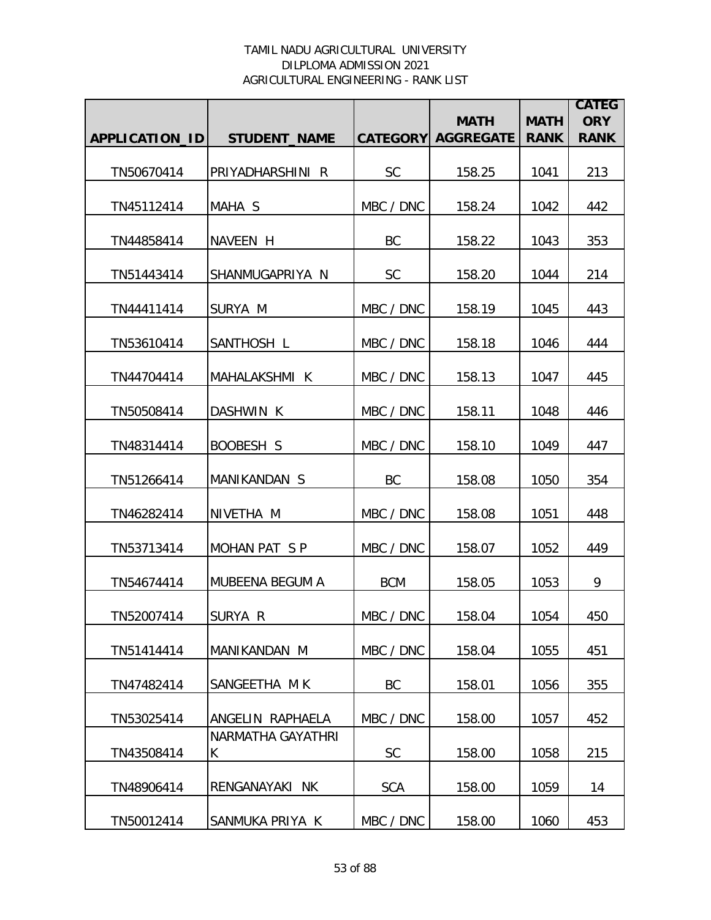|                       |                        |                 | <b>MATH</b>      | <b>MATH</b> | <b>CATEG</b><br><b>ORY</b> |
|-----------------------|------------------------|-----------------|------------------|-------------|----------------------------|
| <b>APPLICATION ID</b> | <b>STUDENT_NAME</b>    | <b>CATEGORY</b> | <b>AGGREGATE</b> | <b>RANK</b> | <b>RANK</b>                |
| TN50670414            | PRIYADHARSHINI R       | <b>SC</b>       | 158.25           | 1041        | 213                        |
| TN45112414            | MAHA S                 | MBC / DNC       | 158.24           | 1042        | 442                        |
| TN44858414            | NAVEEN H               | BC              | 158.22           | 1043        | 353                        |
| TN51443414            | SHANMUGAPRIYA N        | <b>SC</b>       | 158.20           | 1044        | 214                        |
| TN44411414            | SURYA M                | MBC / DNC       | 158.19           | 1045        | 443                        |
| TN53610414            | SANTHOSH L             | MBC / DNC       | 158.18           | 1046        | 444                        |
| TN44704414            | MAHALAKSHMI K          | MBC / DNC       | 158.13           | 1047        | 445                        |
| TN50508414            | DASHWIN K              | MBC / DNC       | 158.11           | 1048        | 446                        |
| TN48314414            | BOOBESH S              | MBC / DNC       | 158.10           | 1049        | 447                        |
| TN51266414            | MANIKANDAN S           | BC              | 158.08           | 1050        | 354                        |
| TN46282414            | NIVETHA M              | MBC / DNC       | 158.08           | 1051        | 448                        |
| TN53713414            | MOHAN PAT SP           | MBC / DNC       | 158.07           | 1052        | 449                        |
| TN54674414            | <b>MUBEENA BEGUM A</b> | <b>BCM</b>      | 158.05           | 1053        | 9                          |
| TN52007414            | SURYA R                | MBC / DNC       | 158.04           | 1054        | 450                        |
| TN51414414            | MANIKANDAN M           | MBC / DNC       | 158.04           | 1055        | 451                        |
| TN47482414            | SANGEETHA MK           | BC              | 158.01           | 1056        | 355                        |
| TN53025414            | ANGELIN RAPHAELA       | MBC / DNC       | 158.00           | 1057        | 452                        |
| TN43508414            | NARMATHA GAYATHRI<br>K | <b>SC</b>       | 158.00           | 1058        | 215                        |
| TN48906414            | RENGANAYAKI NK         | <b>SCA</b>      | 158.00           | 1059        | 14                         |
| TN50012414            | SANMUKA PRIYA K        | MBC / DNC       | 158.00           | 1060        | 453                        |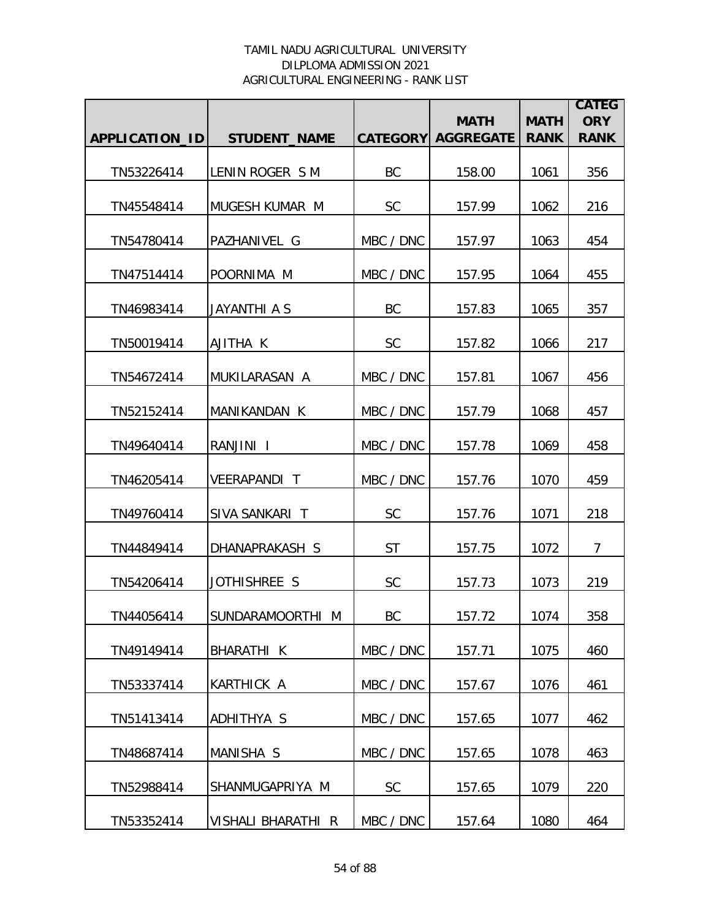|                       |                     |                 | <b>MATH</b>      | <b>MATH</b> | <b>CATEG</b><br><b>ORY</b> |
|-----------------------|---------------------|-----------------|------------------|-------------|----------------------------|
| <b>APPLICATION ID</b> | <b>STUDENT_NAME</b> | <b>CATEGORY</b> | <b>AGGREGATE</b> | <b>RANK</b> | <b>RANK</b>                |
| TN53226414            | LENIN ROGER S M     | BC              | 158.00           | 1061        | 356                        |
| TN45548414            | MUGESH KUMAR M      | <b>SC</b>       | 157.99           | 1062        | 216                        |
| TN54780414            | PAZHANIVEL G        | MBC / DNC       | 157.97           | 1063        | 454                        |
| TN47514414            | POORNIMA M          | MBC / DNC       | 157.95           | 1064        | 455                        |
| TN46983414            | JAYANTHI A S        | BC              | 157.83           | 1065        | 357                        |
| TN50019414            | AJITHA K            | <b>SC</b>       | 157.82           | 1066        | 217                        |
| TN54672414            | MUKILARASAN A       | MBC / DNC       | 157.81           | 1067        | 456                        |
| TN52152414            | MANIKANDAN K        | MBC / DNC       | 157.79           | 1068        | 457                        |
| TN49640414            | RANJINI I           | MBC / DNC       | 157.78           | 1069        | 458                        |
| TN46205414            | <b>VEERAPANDI T</b> | MBC / DNC       | 157.76           | 1070        | 459                        |
| TN49760414            | SIVA SANKARI T      | <b>SC</b>       | 157.76           | 1071        | 218                        |
| TN44849414            | DHANAPRAKASH S      | <b>ST</b>       | 157.75           | 1072        | $\overline{7}$             |
| TN54206414            | JOTHISHREE S        | <b>SC</b>       | 157.73           | 1073        | 219                        |
| TN44056414            | SUNDARAMOORTHI M    | BC              | 157.72           | 1074        | 358                        |
| TN49149414            | <b>BHARATHI K</b>   | MBC / DNC       | 157.71           | 1075        | 460                        |
| TN53337414            | KARTHICK A          | MBC / DNC       | 157.67           | 1076        | 461                        |
| TN51413414            | ADHITHYA S          | MBC / DNC       | 157.65           | 1077        | 462                        |
| TN48687414            | MANISHA S           | MBC / DNC       | 157.65           | 1078        | 463                        |
| TN52988414            | SHANMUGAPRIYA M     | SC              | 157.65           | 1079        | 220                        |
| TN53352414            | VISHALI BHARATHI R  | MBC / DNC       | 157.64           | 1080        | 464                        |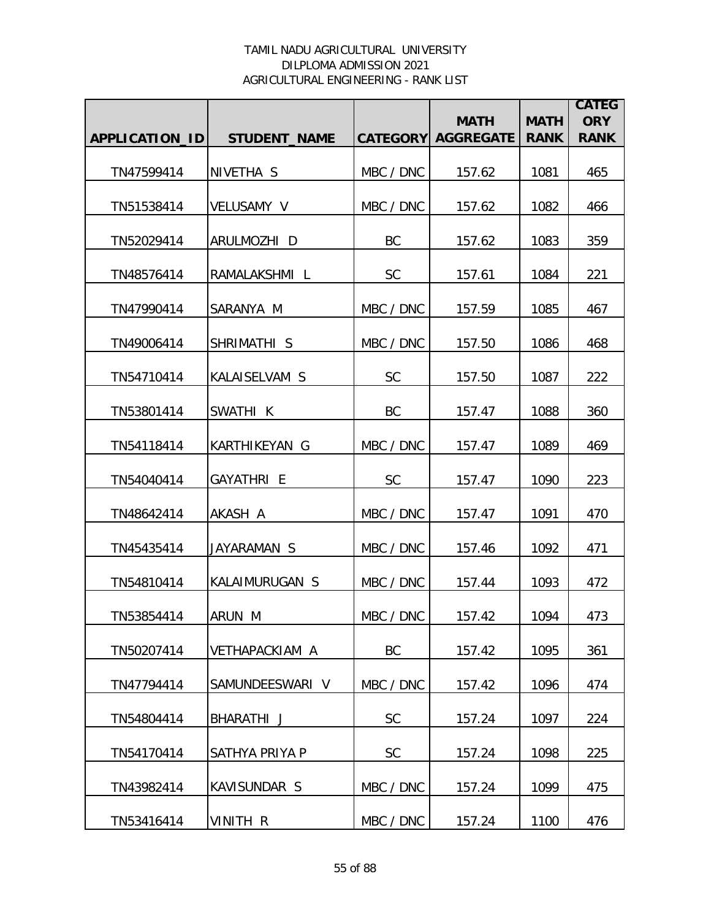|                       |                      |           | <b>MATH</b>               | <b>MATH</b> | <b>CATEG</b><br><b>ORY</b> |
|-----------------------|----------------------|-----------|---------------------------|-------------|----------------------------|
| <b>APPLICATION ID</b> | <b>STUDENT_NAME</b>  |           | <b>CATEGORY AGGREGATE</b> | <b>RANK</b> | <b>RANK</b>                |
| TN47599414            | NIVETHA <sub>S</sub> | MBC / DNC | 157.62                    | 1081        | 465                        |
| TN51538414            | VELUSAMY V           | MBC / DNC | 157.62                    | 1082        | 466                        |
| TN52029414            | ARULMOZHI D          | BC        | 157.62                    | 1083        | 359                        |
| TN48576414            | RAMALAKSHMI L        | <b>SC</b> | 157.61                    | 1084        | 221                        |
| TN47990414            | SARANYA M            | MBC / DNC | 157.59                    | 1085        | 467                        |
| TN49006414            | SHRIMATHI S          | MBC / DNC | 157.50                    | 1086        | 468                        |
| TN54710414            | KALAISELVAM S        | <b>SC</b> | 157.50                    | 1087        | 222                        |
| TN53801414            | SWATHI K             | BC        | 157.47                    | 1088        | 360                        |
| TN54118414            | KARTHIKEYAN G        | MBC / DNC | 157.47                    | 1089        | 469                        |
| TN54040414            | GAYATHRI E           | <b>SC</b> | 157.47                    | 1090        | 223                        |
| TN48642414            | AKASH A              | MBC / DNC | 157.47                    | 1091        | 470                        |
| TN45435414            | JAYARAMAN S          | MBC / DNC | 157.46                    | 1092        | 471                        |
| TN54810414            | KALAIMURUGAN S       | MBC / DNC | 157.44                    | 1093        | 472                        |
| TN53854414            | ARUN M               | MBC / DNC | 157.42                    | 1094        | 473                        |
| TN50207414            | VETHAPACKIAM A       | BC        | 157.42                    | 1095        | 361                        |
| TN47794414            | SAMUNDEESWARI V      | MBC / DNC | 157.42                    | 1096        | 474                        |
| TN54804414            | BHARATHI J           | <b>SC</b> | 157.24                    | 1097        | 224                        |
| TN54170414            | SATHYA PRIYA P       | SC        | 157.24                    | 1098        | 225                        |
| TN43982414            | KAVISUNDAR S         | MBC / DNC | 157.24                    | 1099        | 475                        |
| TN53416414            | VINITH R             | MBC / DNC | 157.24                    | 1100        | 476                        |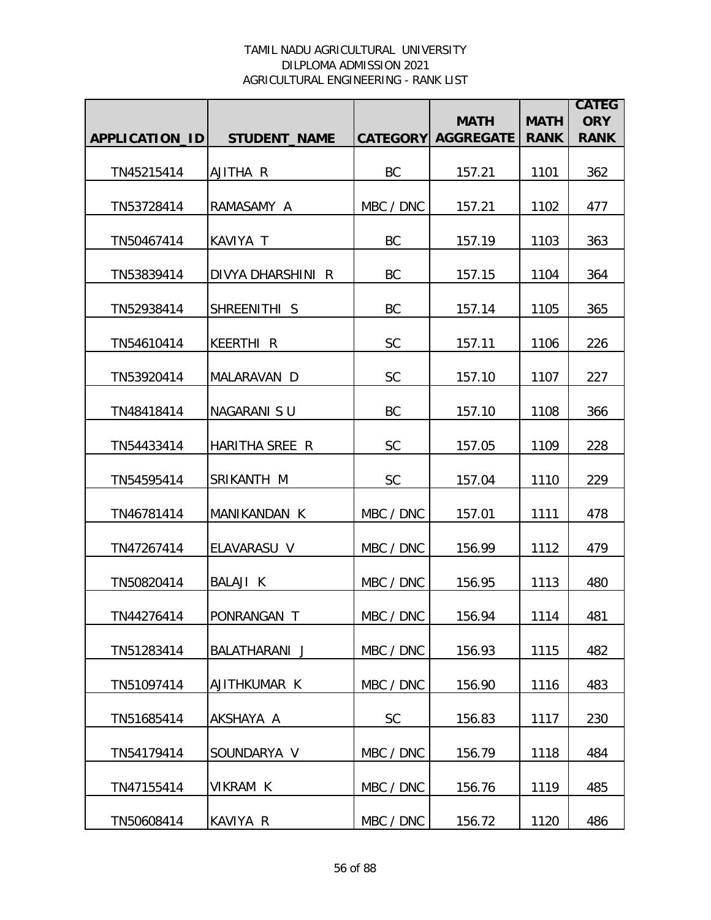|                |                     |           | <b>MATH</b>               | <b>MATH</b> | <b>CATEG</b><br><b>ORY</b> |
|----------------|---------------------|-----------|---------------------------|-------------|----------------------------|
| APPLICATION_ID | <b>STUDENT_NAME</b> |           | <b>CATEGORY AGGREGATE</b> | <b>RANK</b> | <b>RANK</b>                |
| TN45215414     | AJITHA R            | BC        | 157.21                    | 1101        | 362                        |
| TN53728414     | RAMASAMY A          | MBC / DNC | 157.21                    | 1102        | 477                        |
| TN50467414     | KAVIYA T            | BC        | 157.19                    | 1103        | 363                        |
| TN53839414     | DIVYA DHARSHINI R   | BC        | 157.15                    | 1104        | 364                        |
| TN52938414     | SHREENITHI S        | BC        | 157.14                    | 1105        | 365                        |
| TN54610414     | <b>KEERTHI R</b>    | SC        | 157.11                    | 1106        | 226                        |
| TN53920414     | MALARAVAN D         | <b>SC</b> | 157.10                    | 1107        | 227                        |
| TN48418414     | NAGARANI SU         | BC        | 157.10                    | 1108        | 366                        |
| TN54433414     | HARITHA SREE R      | <b>SC</b> | 157.05                    | 1109        | 228                        |
| TN54595414     | SRIKANTH M          | SC        | 157.04                    | 1110        | 229                        |
| TN46781414     | MANIKANDAN K        | MBC / DNC | 157.01                    | 1111        | 478                        |
| TN47267414     | ELAVARASU V         | MBC / DNC | 156.99                    | 1112        | 479                        |
| TN50820414     | BALAJI K            | MBC / DNC | 156.95                    | 1113        | 480                        |
| TN44276414     | PONRANGAN T         | MBC / DNC | 156.94                    | 1114        | 481                        |
| TN51283414     | BALATHARANI J       | MBC / DNC | 156.93                    | 1115        | 482                        |
| TN51097414     | AJITHKUMAR K        | MBC / DNC | 156.90                    | 1116        | 483                        |
| TN51685414     | AKSHAYA A           | <b>SC</b> | 156.83                    | 1117        | 230                        |
| TN54179414     | SOUNDARYA V         | MBC / DNC | 156.79                    | 1118        | 484                        |
| TN47155414     | VIKRAM K            | MBC / DNC | 156.76                    | 1119        | 485                        |
| TN50608414     | KAVIYA R            | MBC / DNC | 156.72                    | 1120        | 486                        |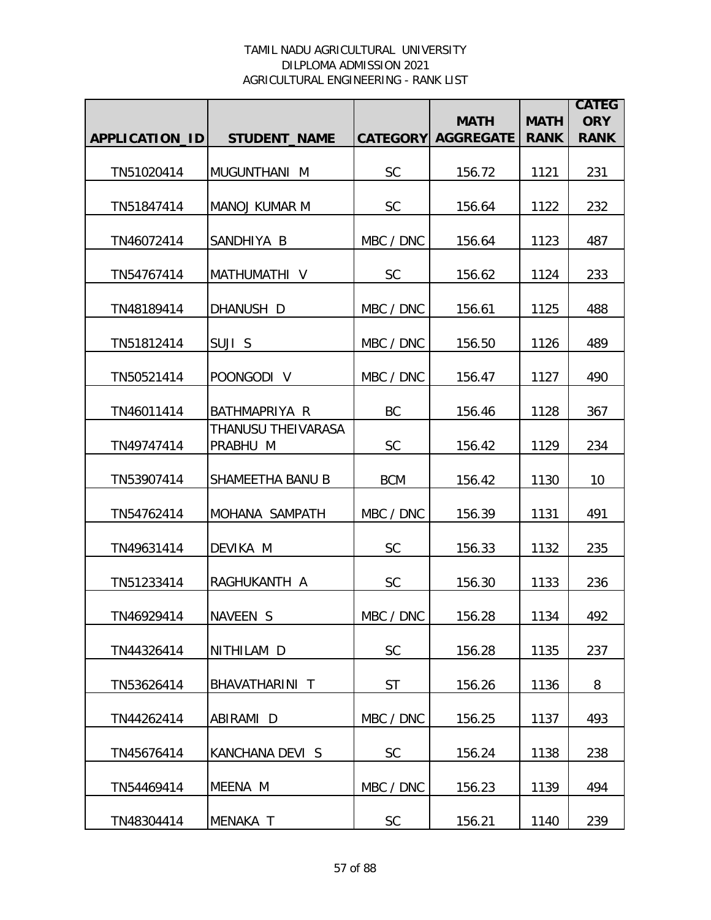|                       |                                |                 | <b>MATH</b>      | <b>MATH</b> | <b>CATEG</b><br><b>ORY</b> |
|-----------------------|--------------------------------|-----------------|------------------|-------------|----------------------------|
| <b>APPLICATION ID</b> | <b>STUDENT NAME</b>            | <b>CATEGORY</b> | <b>AGGREGATE</b> | <b>RANK</b> | <b>RANK</b>                |
| TN51020414            | MUGUNTHANI M                   | <b>SC</b>       | 156.72           | 1121        | 231                        |
| TN51847414            | <b>MANOJ KUMAR M</b>           | <b>SC</b>       | 156.64           | 1122        | 232                        |
| TN46072414            | SANDHIYA B                     | MBC / DNC       | 156.64           | 1123        | 487                        |
| TN54767414            | MATHUMATHI V                   | <b>SC</b>       | 156.62           | 1124        | 233                        |
| TN48189414            | DHANUSH D                      | MBC / DNC       | 156.61           | 1125        | 488                        |
| TN51812414            | SUJI S                         | MBC / DNC       | 156.50           | 1126        | 489                        |
| TN50521414            | POONGODI V                     | MBC / DNC       | 156.47           | 1127        | 490                        |
| TN46011414            | BATHMAPRIYA R                  | BC              | 156.46           | 1128        | 367                        |
| TN49747414            | THANUSU THEIVARASA<br>PRABHU M | <b>SC</b>       | 156.42           | 1129        | 234                        |
| TN53907414            | SHAMEETHA BANU B               | <b>BCM</b>      | 156.42           | 1130        | 10                         |
| TN54762414            | MOHANA SAMPATH                 | MBC / DNC       | 156.39           | 1131        | 491                        |
| TN49631414            | DEVIKA M                       | <b>SC</b>       | 156.33           | 1132        | 235                        |
| TN51233414            | RAGHUKANTH A                   | <b>SC</b>       | 156.30           | 1133        | 236                        |
| TN46929414            | NAVEEN S                       | MBC / DNC       | 156.28           | 1134        | 492                        |
| TN44326414            | NITHILAM D                     | <b>SC</b>       | 156.28           | 1135        | 237                        |
| TN53626414            | BHAVATHARINI T                 | <b>ST</b>       | 156.26           | 1136        | 8                          |
| TN44262414            | ABIRAMI D                      | MBC / DNC       | 156.25           | 1137        | 493                        |
| TN45676414            | KANCHANA DEVI S                | <b>SC</b>       | 156.24           | 1138        | 238                        |
| TN54469414            | MEENA M                        | MBC / DNC       | 156.23           | 1139        | 494                        |
| TN48304414            | MENAKA T                       | <b>SC</b>       | 156.21           | 1140        | 239                        |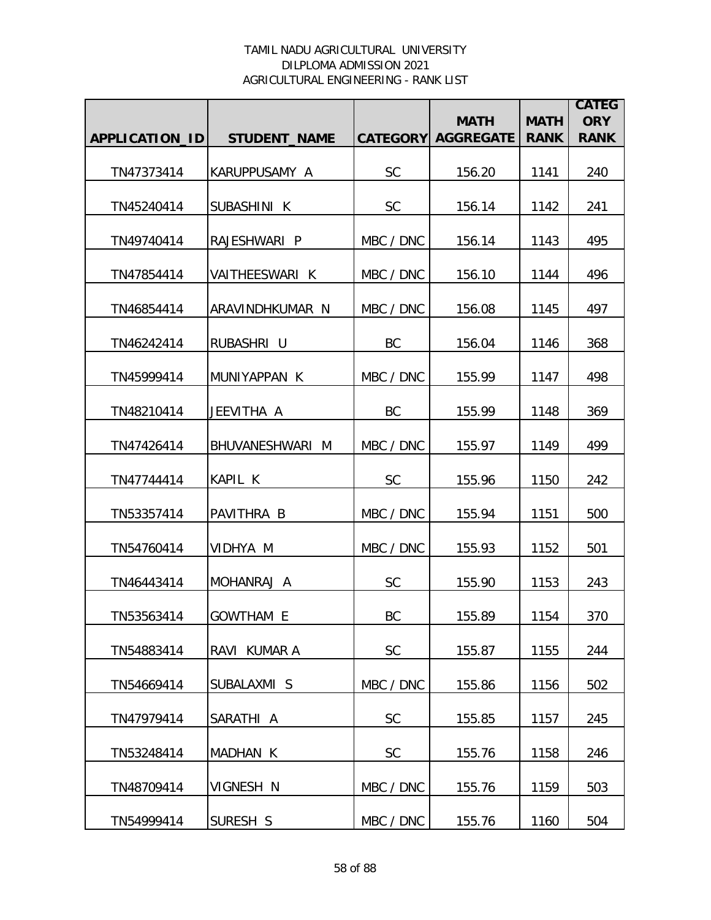|                       |                     |                 | <b>MATH</b>      | <b>MATH</b> | <b>CATEG</b><br><b>ORY</b> |
|-----------------------|---------------------|-----------------|------------------|-------------|----------------------------|
| <b>APPLICATION ID</b> | <b>STUDENT NAME</b> | <b>CATEGORY</b> | <b>AGGREGATE</b> | <b>RANK</b> | <b>RANK</b>                |
| TN47373414            | KARUPPUSAMY A       | <b>SC</b>       | 156.20           | 1141        | 240                        |
| TN45240414            | SUBASHINI K         | <b>SC</b>       | 156.14           | 1142        | 241                        |
| TN49740414            | RAJESHWARI P        | MBC / DNC       | 156.14           | 1143        | 495                        |
| TN47854414            | VAITHEESWARI K      | MBC / DNC       | 156.10           | 1144        | 496                        |
| TN46854414            | ARAVINDHKUMAR N     | MBC / DNC       | 156.08           | 1145        | 497                        |
| TN46242414            | RUBASHRI U          | BC              | 156.04           | 1146        | 368                        |
| TN45999414            | MUNIYAPPAN K        | MBC / DNC       | 155.99           | 1147        | 498                        |
| TN48210414            | JEEVITHA A          | BC              | 155.99           | 1148        | 369                        |
| TN47426414            | BHUVANESHWARI M     | MBC / DNC       | 155.97           | 1149        | 499                        |
| TN47744414            | KAPIL K             | <b>SC</b>       | 155.96           | 1150        | 242                        |
| TN53357414            | PAVITHRA B          | MBC / DNC       | 155.94           | 1151        | 500                        |
| TN54760414            | VIDHYA M            | MBC / DNC       | 155.93           | 1152        | 501                        |
| TN46443414            | MOHANRAJ A          | <b>SC</b>       | 155.90           | 1153        | 243                        |
| TN53563414            | <b>GOWTHAM E</b>    | BC              | 155.89           | 1154        | 370                        |
| TN54883414            | RAVI KUMAR A        | <b>SC</b>       | 155.87           | 1155        | 244                        |
| TN54669414            | SUBALAXMI S         | MBC / DNC       | 155.86           | 1156        | 502                        |
| TN47979414            | SARATHI A           | <b>SC</b>       | 155.85           | 1157        | 245                        |
| TN53248414            | MADHAN K            | SC              | 155.76           | 1158        | 246                        |
| TN48709414            | VIGNESH N           | MBC / DNC       | 155.76           | 1159        | 503                        |
| TN54999414            | SURESH S            | MBC / DNC       | 155.76           | 1160        | 504                        |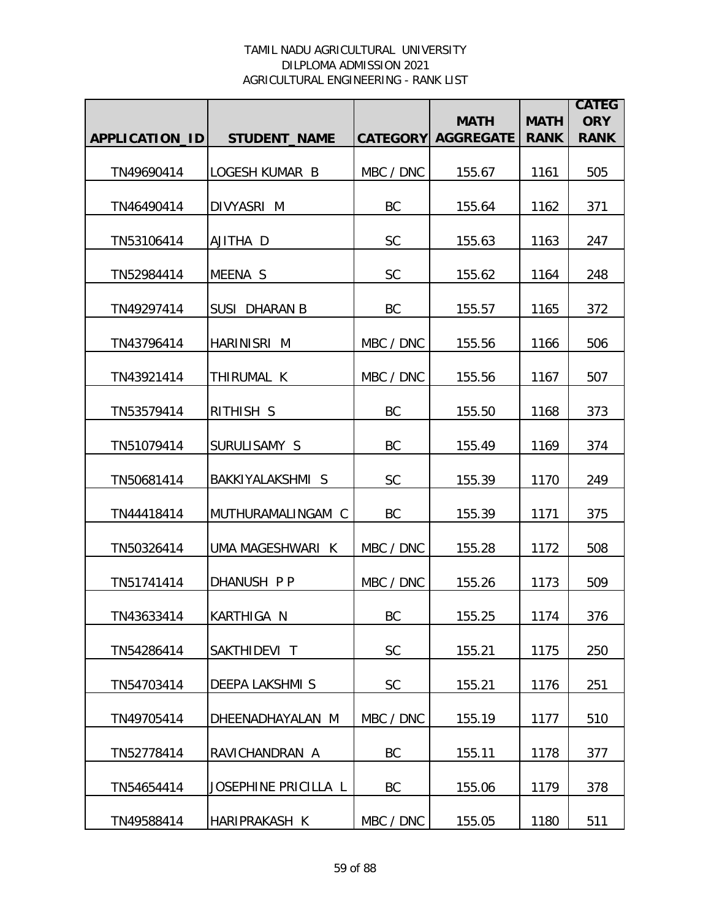|                |                        |           | <b>MATH</b>               | <b>MATH</b> | <b>CATEG</b><br><b>ORY</b> |
|----------------|------------------------|-----------|---------------------------|-------------|----------------------------|
| APPLICATION_ID | <b>STUDENT_NAME</b>    |           | <b>CATEGORY AGGREGATE</b> | <b>RANK</b> | <b>RANK</b>                |
| TN49690414     | LOGESH KUMAR B         | MBC / DNC | 155.67                    | 1161        | 505                        |
| TN46490414     | DIVYASRI M             | BC        | 155.64                    | 1162        | 371                        |
| TN53106414     | AJITHA D               | <b>SC</b> | 155.63                    | 1163        | 247                        |
| TN52984414     | MEENA S                | SC        | 155.62                    | 1164        | 248                        |
| TN49297414     | <b>SUSI DHARAN B</b>   | <b>BC</b> | 155.57                    | 1165        | 372                        |
|                |                        |           |                           |             |                            |
| TN43796414     | <b>HARINISRI M</b>     | MBC / DNC | 155.56                    | 1166        | 506                        |
| TN43921414     | THIRUMAL K             | MBC / DNC | 155.56                    | 1167        | 507                        |
| TN53579414     | RITHISH S              | <b>BC</b> | 155.50                    | 1168        | 373                        |
| TN51079414     | SURULISAMY S           | <b>BC</b> | 155.49                    | 1169        | 374                        |
| TN50681414     | BAKKIYALAKSHMI S       | SC        | 155.39                    | 1170        | 249                        |
| TN44418414     | MUTHURAMALINGAM C      | BC        | 155.39                    | 1171        | 375                        |
| TN50326414     | UMA MAGESHWARI K       | MBC / DNC | 155.28                    | 1172        | 508                        |
| TN51741414     | DHANUSH P P            | MBC / DNC | 155.26                    | 1173        | 509                        |
| TN43633414     | IKARTHIGA N            | <b>BC</b> | 155.25                    | 1174        | 376                        |
| TN54286414     | SAKTHIDEVI T           | <b>SC</b> | 155.21                    | 1175        | 250                        |
| TN54703414     | <b>DEEPA LAKSHMI S</b> | <b>SC</b> | 155.21                    | 1176        | 251                        |
| TN49705414     | DHEENADHAYALAN M       | MBC / DNC | 155.19                    | 1177        | 510                        |
| TN52778414     | RAVICHANDRAN A         | <b>BC</b> | 155.11                    | 1178        | 377                        |
| TN54654414     | JOSEPHINE PRICILLA L   | BC        | 155.06                    | 1179        | 378                        |
| TN49588414     | HARIPRAKASH K          | MBC / DNC | 155.05                    | 1180        | 511                        |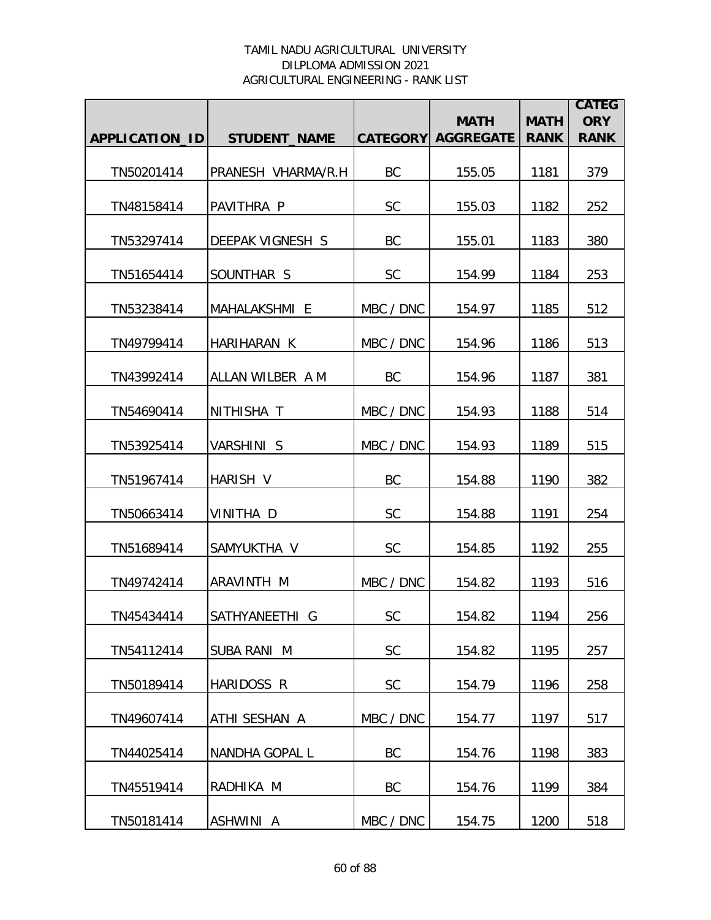|                |                         |                 | <b>MATH</b>      | <b>MATH</b> | <b>CATEG</b><br><b>ORY</b> |
|----------------|-------------------------|-----------------|------------------|-------------|----------------------------|
| APPLICATION_ID | <b>STUDENT_NAME</b>     | <b>CATEGORY</b> | <b>AGGREGATE</b> | <b>RANK</b> | <b>RANK</b>                |
| TN50201414     | PRANESH VHARMA/R.H      | BC              | 155.05           | 1181        | 379                        |
| TN48158414     | PAVITHRA P              | <b>SC</b>       | 155.03           | 1182        | 252                        |
| TN53297414     | <b>DEEPAK VIGNESH S</b> | BC              | 155.01           | 1183        | 380                        |
| TN51654414     | SOUNTHAR S              | <b>SC</b>       | 154.99           | 1184        | 253                        |
| TN53238414     | MAHALAKSHMI E           | MBC / DNC       | 154.97           | 1185        | 512                        |
| TN49799414     | HARIHARAN K             | MBC / DNC       | 154.96           | 1186        | 513                        |
| TN43992414     | ALLAN WILBER A M        | BC              | 154.96           | 1187        | 381                        |
| TN54690414     | NITHISHA T              | MBC / DNC       | 154.93           | 1188        | 514                        |
| TN53925414     | <b>VARSHINI S</b>       | MBC / DNC       | 154.93           | 1189        | 515                        |
| TN51967414     | <b>HARISH V</b>         | <b>BC</b>       | 154.88           | 1190        | 382                        |
| TN50663414     | VINITHA D               | SC              | 154.88           | 1191        | 254                        |
| TN51689414     | SAMYUKTHA V             | <b>SC</b>       | 154.85           | 1192        | 255                        |
| TN49742414     | ARAVINTH M              | MBC / DNC       | 154.82           | 1193        | 516                        |
| TN45434414     | SATHYANEETHI G          | <b>SC</b>       | 154.82           | 1194        | 256                        |
| TN54112414     | <b>SUBA RANI M</b>      | SC              | 154.82           | 1195        | 257                        |
| TN50189414     | HARIDOSS R              | <b>SC</b>       | 154.79           | 1196        | 258                        |
| TN49607414     | ATHI SESHAN A           | MBC / DNC       | 154.77           | 1197        | 517                        |
| TN44025414     | NANDHA GOPAL L          | BC              | 154.76           | 1198        | 383                        |
| TN45519414     | RADHIKA M               | <b>BC</b>       | 154.76           | 1199        | 384                        |
| TN50181414     | ASHWINI A               | MBC / DNC       | 154.75           | 1200        | 518                        |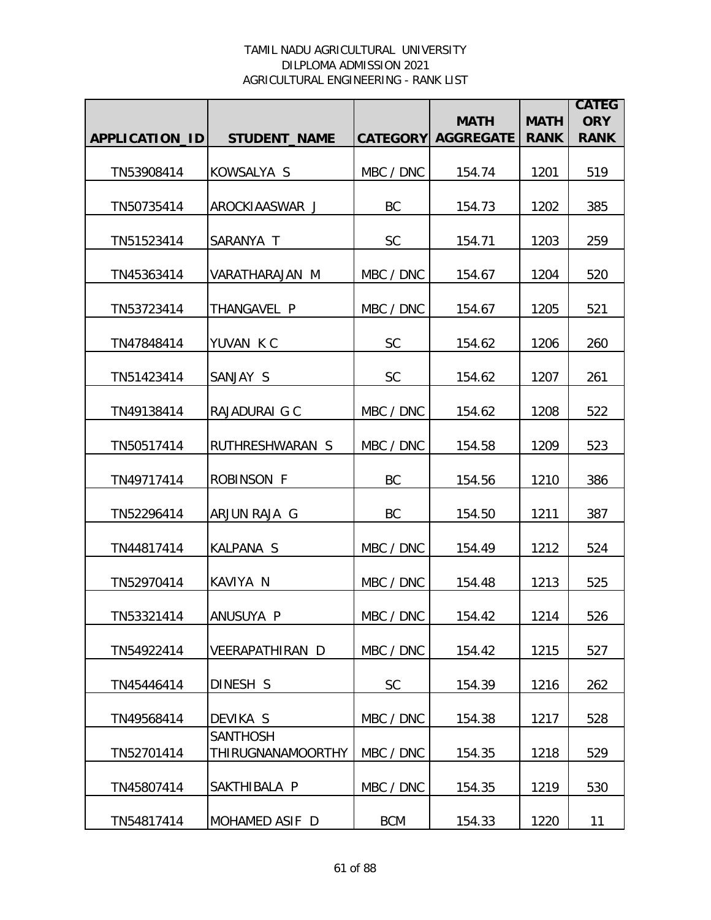|                |                                             |            | <b>MATH</b>               | <b>MATH</b> | <b>CATEG</b><br><b>ORY</b> |
|----------------|---------------------------------------------|------------|---------------------------|-------------|----------------------------|
| APPLICATION_ID | <b>STUDENT_NAME</b>                         |            | <b>CATEGORY AGGREGATE</b> | <b>RANK</b> | <b>RANK</b>                |
| TN53908414     | KOWSALYA S                                  | MBC / DNC  | 154.74                    | 1201        | 519                        |
| TN50735414     | AROCKIAASWAR J                              | BC         | 154.73                    | 1202        | 385                        |
| TN51523414     | SARANYA T                                   | <b>SC</b>  | 154.71                    | 1203        | 259                        |
| TN45363414     | VARATHARAJAN M                              | MBC / DNC  | 154.67                    | 1204        | 520                        |
| TN53723414     | THANGAVEL P                                 | MBC / DNC  | 154.67                    | 1205        | 521                        |
| TN47848414     | YUVAN KC                                    | <b>SC</b>  | 154.62                    | 1206        | 260                        |
| TN51423414     | SANJAY S                                    | <b>SC</b>  | 154.62                    | 1207        | 261                        |
| TN49138414     | RAJADURAI G C                               | MBC / DNC  | 154.62                    | 1208        | 522                        |
| TN50517414     | RUTHRESHWARAN S                             | MBC / DNC  | 154.58                    | 1209        | 523                        |
| TN49717414     | <b>ROBINSON F</b>                           | BC         | 154.56                    | 1210        | 386                        |
| TN52296414     | ARJUN RAJA G                                | BC         | 154.50                    | 1211        | 387                        |
| TN44817414     | <b>KALPANA S</b>                            | MBC / DNC  | 154.49                    | 1212        | 524                        |
| TN52970414     | KAVIYA N                                    | MBC / DNC  | 154.48                    | 1213        | 525                        |
| TN53321414     | ANUSUYA P                                   | MBC / DNC  | 154.42                    | 1214        | 526                        |
| TN54922414     | VEERAPATHIRAN D                             | MBC / DNC  | 154.42                    | 1215        | 527                        |
| TN45446414     | DINESH S                                    | <b>SC</b>  | 154.39                    | 1216        | 262                        |
| TN49568414     | DEVIKA S                                    | MBC / DNC  | 154.38                    | 1217        | 528                        |
| TN52701414     | <b>SANTHOSH</b><br><b>THIRUGNANAMOORTHY</b> | MBC / DNC  | 154.35                    | 1218        | 529                        |
| TN45807414     | SAKTHIBALA P                                | MBC / DNC  | 154.35                    | 1219        | 530                        |
| TN54817414     | MOHAMED ASIF D                              | <b>BCM</b> | 154.33                    | 1220        | 11                         |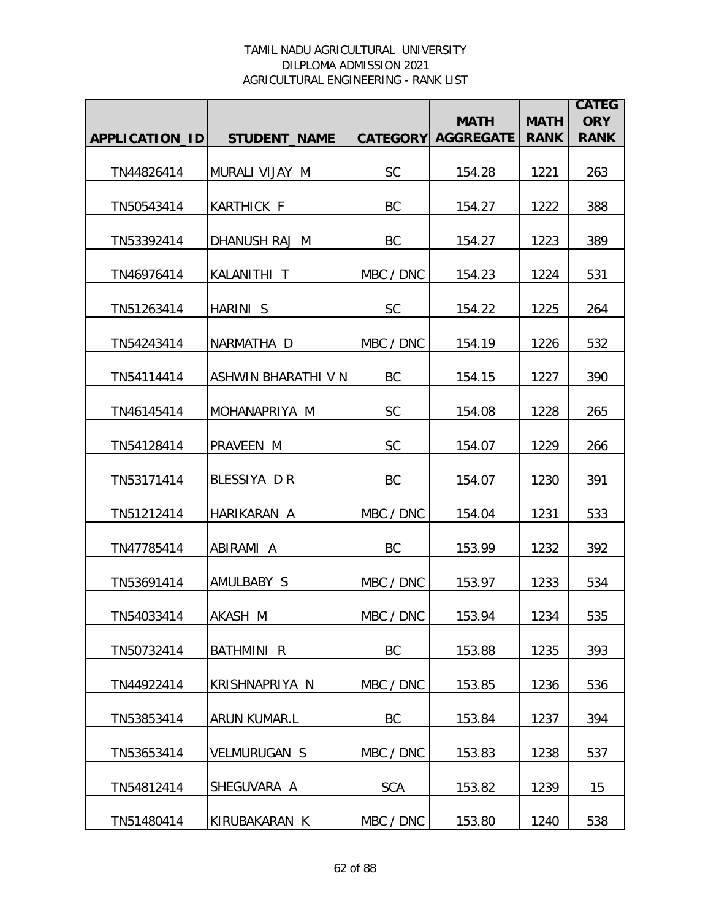|                |                     |                 | <b>MATH</b>      | <b>MATH</b> | <b>CATEG</b><br><b>ORY</b> |
|----------------|---------------------|-----------------|------------------|-------------|----------------------------|
| APPLICATION_ID | <b>STUDENT NAME</b> | <b>CATEGORY</b> | <b>AGGREGATE</b> | <b>RANK</b> | <b>RANK</b>                |
| TN44826414     | MURALI VIJAY M      | <b>SC</b>       | 154.28           | 1221        | 263                        |
| TN50543414     | <b>KARTHICK F</b>   | BC              | 154.27           | 1222        | 388                        |
| TN53392414     | DHANUSH RAJ M       | BC              | 154.27           | 1223        | 389                        |
| TN46976414     | KALANITHI T         | MBC / DNC       | 154.23           | 1224        | 531                        |
| TN51263414     | HARINI S            | <b>SC</b>       | 154.22           | 1225        | 264                        |
| TN54243414     | NARMATHA D          | MBC / DNC       | 154.19           | 1226        | 532                        |
| TN54114414     | ASHWIN BHARATHI V N | BC              | 154.15           | 1227        | 390                        |
| TN46145414     | MOHANAPRIYA M       | <b>SC</b>       | 154.08           | 1228        | 265                        |
| TN54128414     | PRAVEEN M           | <b>SC</b>       | 154.07           | 1229        | 266                        |
| TN53171414     | BLESSIYA DR         | <b>BC</b>       | 154.07           | 1230        | 391                        |
| TN51212414     | HARIKARAN A         | MBC / DNC       | 154.04           | 1231        | 533                        |
| TN47785414     | ABIRAMI A           | BC              | 153.99           | 1232        | 392                        |
| TN53691414     | AMULBABY S          | MBC / DNC       | 153.97           | 1233        | 534                        |
| TN54033414     | AKASH M             | MBC / DNC       | 153.94           | 1234        | 535                        |
| TN50732414     | BATHMINI R          | <b>BC</b>       | 153.88           | 1235        | 393                        |
| TN44922414     | KRISHNAPRIYA N      | MBC / DNC       | 153.85           | 1236        | 536                        |
| TN53853414     | ARUN KUMAR.L        | BC              | 153.84           | 1237        | 394                        |
| TN53653414     | <b>VELMURUGAN S</b> | MBC / DNC       | 153.83           | 1238        | 537                        |
| TN54812414     | SHEGUVARA A         | <b>SCA</b>      | 153.82           | 1239        | 15                         |
| TN51480414     | KIRUBAKARAN K       | MBC / DNC       | 153.80           | 1240        | 538                        |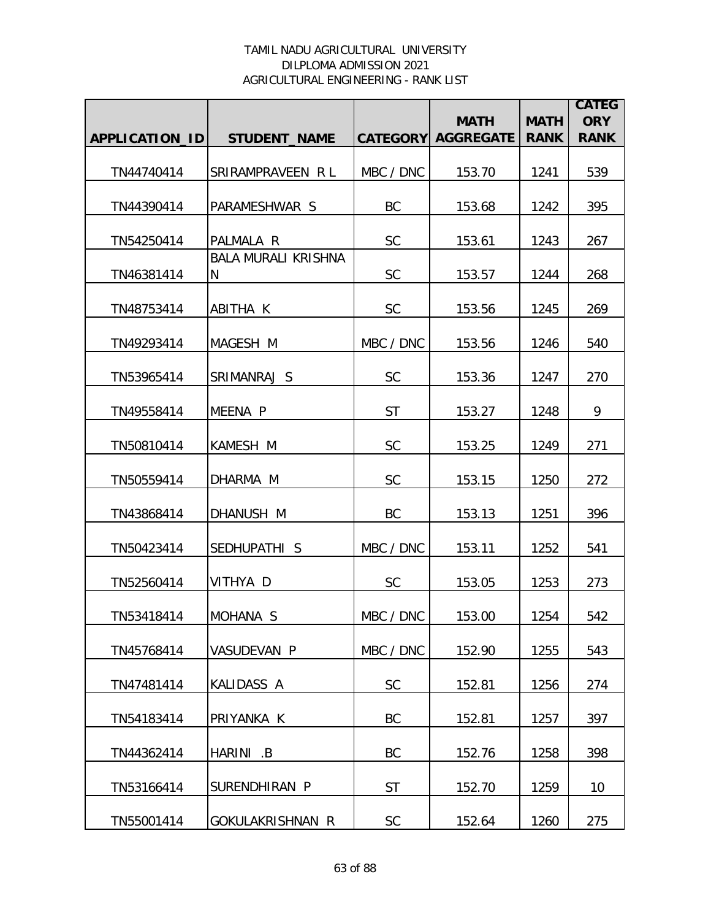|                |                                 |           | <b>MATH</b>               | <b>MATH</b> | <b>CATEG</b><br><b>ORY</b> |
|----------------|---------------------------------|-----------|---------------------------|-------------|----------------------------|
| APPLICATION_ID | <b>STUDENT_NAME</b>             |           | <b>CATEGORY AGGREGATE</b> | <b>RANK</b> | <b>RANK</b>                |
| TN44740414     | SRIRAMPRAVEEN RL                | MBC / DNC | 153.70                    | 1241        | 539                        |
| TN44390414     | PARAMESHWAR S                   | BC        | 153.68                    | 1242        | 395                        |
| TN54250414     | PALMALA R                       | <b>SC</b> | 153.61                    | 1243        | 267                        |
| TN46381414     | <b>BALA MURALI KRISHNA</b><br>N | <b>SC</b> | 153.57                    | 1244        | 268                        |
| TN48753414     | ABITHA K                        | <b>SC</b> | 153.56                    | 1245        | 269                        |
| TN49293414     | MAGESH M                        | MBC / DNC | 153.56                    | 1246        | 540                        |
| TN53965414     | SRIMANRAJ S                     | <b>SC</b> | 153.36                    | 1247        | 270                        |
| TN49558414     | MEENA P                         | <b>ST</b> | 153.27                    | 1248        | 9                          |
| TN50810414     | KAMESH M                        | SC        | 153.25                    | 1249        | 271                        |
| TN50559414     | DHARMA M                        | <b>SC</b> | 153.15                    | 1250        | 272                        |
| TN43868414     | DHANUSH M                       | <b>BC</b> | 153.13                    | 1251        | 396                        |
| TN50423414     | SEDHUPATHI S                    | MBC / DNC | 153.11                    | 1252        | 541                        |
| TN52560414     | VITHYA D                        | <b>SC</b> | 153.05                    | 1253        | 273                        |
| TN53418414     | MOHANA <sub>S</sub>             | MBC / DNC | 153.00                    | 1254        | 542                        |
| TN45768414     | <b>VASUDEVAN P</b>              | MBC / DNC | 152.90                    | 1255        | 543                        |
| TN47481414     | KALIDASS A                      | <b>SC</b> | 152.81                    | 1256        | 274                        |
| TN54183414     | PRIYANKA K                      | BC        | 152.81                    | 1257        | 397                        |
| TN44362414     | HARINI .B                       | BC        | 152.76                    | 1258        | 398                        |
| TN53166414     | SURENDHIRAN P                   | <b>ST</b> | 152.70                    | 1259        | 10                         |
| TN55001414     | GOKULAKRISHNAN R                | <b>SC</b> | 152.64                    | 1260        | 275                        |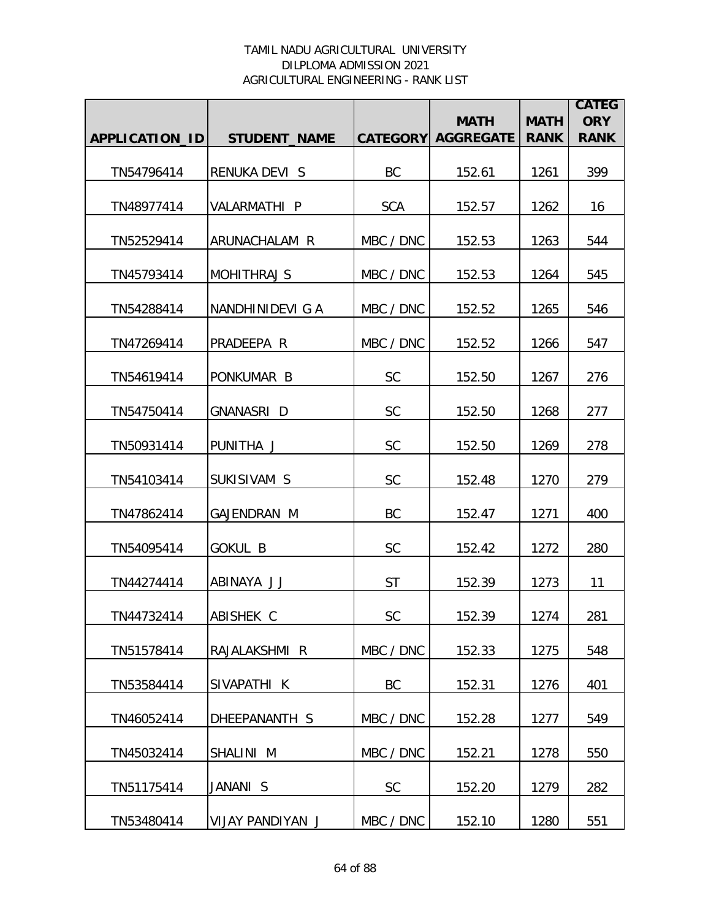|                |                      |            | <b>MATH</b>               | <b>MATH</b> | <b>CATEG</b><br><b>ORY</b> |
|----------------|----------------------|------------|---------------------------|-------------|----------------------------|
| APPLICATION_ID | <b>STUDENT NAME</b>  |            | <b>CATEGORY AGGREGATE</b> | <b>RANK</b> | <b>RANK</b>                |
| TN54796414     | <b>RENUKA DEVI S</b> | BC         | 152.61                    | 1261        | 399                        |
| TN48977414     | VALARMATHI P         | <b>SCA</b> | 152.57                    | 1262        | 16                         |
| TN52529414     | ARUNACHALAM R        | MBC / DNC  | 152.53                    | 1263        | 544                        |
| TN45793414     | <b>MOHITHRAJ S</b>   | MBC / DNC  | 152.53                    | 1264        | 545                        |
| TN54288414     | NANDHINIDEVI G A     | MBC / DNC  | 152.52                    | 1265        | 546                        |
| TN47269414     | PRADEEPA R           | MBC / DNC  | 152.52                    | 1266        | 547                        |
| TN54619414     | PONKUMAR B           | <b>SC</b>  | 152.50                    | 1267        | 276                        |
| TN54750414     | <b>GNANASRI D</b>    | SC         | 152.50                    | 1268        | 277                        |
| TN50931414     | PUNITHA J            | SC         | 152.50                    | 1269        | 278                        |
| TN54103414     | SUKISIVAM S          | SC         | 152.48                    | 1270        | 279                        |
| TN47862414     | <b>GAJENDRAN M</b>   | BC         | 152.47                    | 1271        | 400                        |
| TN54095414     | <b>GOKUL B</b>       | <b>SC</b>  | 152.42                    | 1272        | 280                        |
| TN44274414     | ABINAYA JJ           | <b>ST</b>  | 152.39                    | 1273        | 11                         |
| TN44732414     | ABISHEK C            | <b>SC</b>  | 152.39                    | 1274        | 281                        |
| TN51578414     | RAJALAKSHMI R        | MBC / DNC  | 152.33                    | 1275        | 548                        |
| TN53584414     | SIVAPATHI K          | BC         | 152.31                    | 1276        | 401                        |
| TN46052414     | DHEEPANANTH S        | MBC / DNC  | 152.28                    | 1277        | 549                        |
| TN45032414     | SHALINI M            | MBC / DNC  | 152.21                    | 1278        | 550                        |
| TN51175414     | JANANI S             | SC         | 152.20                    | 1279        | 282                        |
| TN53480414     | VIJAY PANDIYAN J     | MBC / DNC  | 152.10                    | 1280        | 551                        |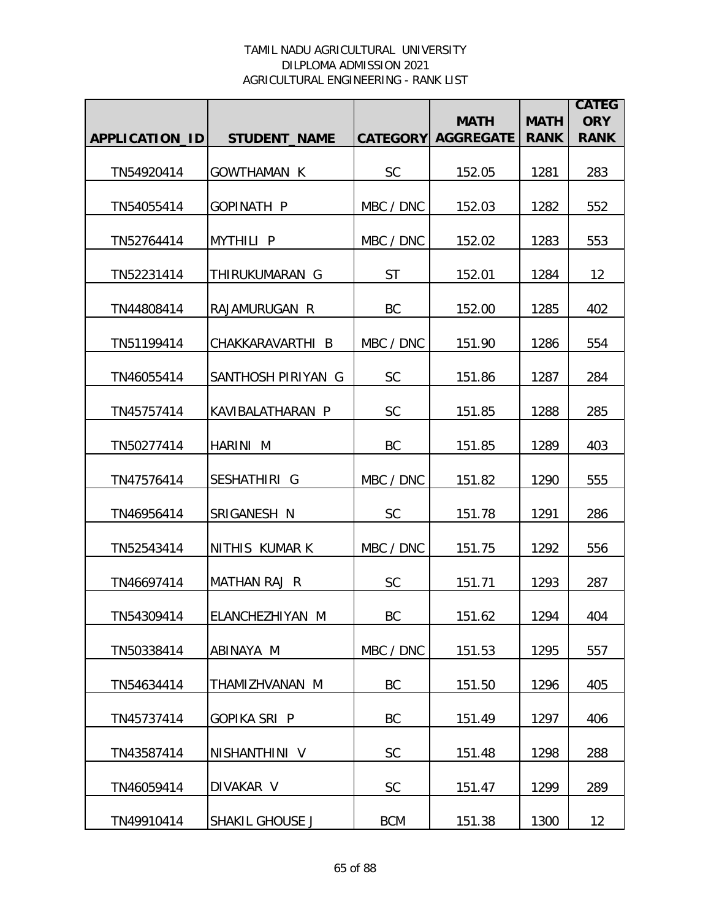|                       |                     |                 | <b>MATH</b>      | <b>MATH</b> | <b>CATEG</b><br><b>ORY</b> |
|-----------------------|---------------------|-----------------|------------------|-------------|----------------------------|
| <b>APPLICATION ID</b> | <b>STUDENT_NAME</b> | <b>CATEGORY</b> | <b>AGGREGATE</b> | <b>RANK</b> | <b>RANK</b>                |
| TN54920414            | <b>GOWTHAMAN K</b>  | <b>SC</b>       | 152.05           | 1281        | 283                        |
| TN54055414            | <b>GOPINATH P</b>   | MBC / DNC       | 152.03           | 1282        | 552                        |
| TN52764414            | <b>MYTHILI P</b>    | MBC / DNC       | 152.02           | 1283        | 553                        |
| TN52231414            | THIRUKUMARAN G      | <b>ST</b>       | 152.01           | 1284        | 12                         |
| TN44808414            | RAJAMURUGAN R       | BC              | 152.00           | 1285        | 402                        |
| TN51199414            | CHAKKARAVARTHI B    | MBC / DNC       | 151.90           | 1286        | 554                        |
| TN46055414            | SANTHOSH PIRIYAN G  | <b>SC</b>       | 151.86           | 1287        | 284                        |
| TN45757414            | KAVIBALATHARAN P    | <b>SC</b>       | 151.85           | 1288        | 285                        |
| TN50277414            | HARINI M            | BC              | 151.85           | 1289        | 403                        |
| TN47576414            | SESHATHIRI G        | MBC / DNC       | 151.82           | 1290        | 555                        |
| TN46956414            | SRIGANESH N         | <b>SC</b>       | 151.78           | 1291        | 286                        |
| TN52543414            | NITHIS KUMAR K      | MBC / DNC       | 151.75           | 1292        | 556                        |
| TN46697414            | MATHAN RAJ R        | <b>SC</b>       | 151.71           | 1293        | 287                        |
| TN54309414            | ELANCHEZHIYAN M     | BC              | 151.62           | 1294        | 404                        |
| TN50338414            | ABINAYA M           | MBC / DNC       | 151.53           | 1295        | 557                        |
| TN54634414            | THAMIZHVANAN M      | BC              | 151.50           | 1296        | 405                        |
| TN45737414            | <b>GOPIKA SRI P</b> | BC              | 151.49           | 1297        | 406                        |
| TN43587414            | NISHANTHINI V       | SC              | 151.48           | 1298        | 288                        |
| TN46059414            | DIVAKAR V           | SC              | 151.47           | 1299        | 289                        |
| TN49910414            | SHAKIL GHOUSE J     | <b>BCM</b>      | 151.38           | 1300        | 12                         |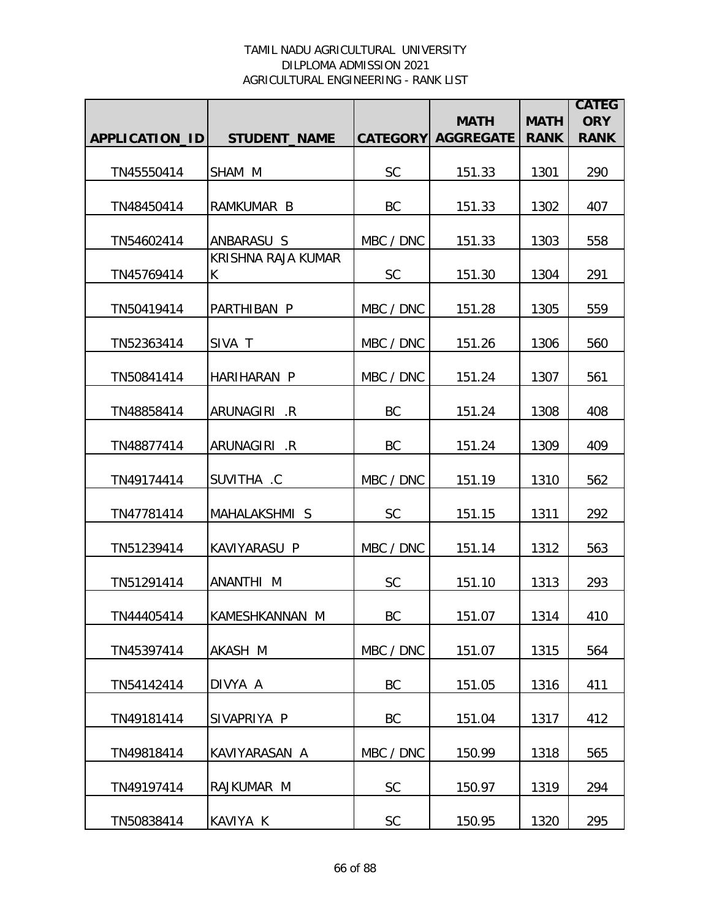|                |                          |           |                                          |                            | <b>CATEG</b>              |
|----------------|--------------------------|-----------|------------------------------------------|----------------------------|---------------------------|
| APPLICATION_ID | <b>STUDENT_NAME</b>      |           | <b>MATH</b><br><b>CATEGORY AGGREGATE</b> | <b>MATH</b><br><b>RANK</b> | <b>ORY</b><br><b>RANK</b> |
|                |                          |           |                                          |                            |                           |
| TN45550414     | SHAM M                   | <b>SC</b> | 151.33                                   | 1301                       | 290                       |
| TN48450414     | RAMKUMAR B               | BC        | 151.33                                   | 1302                       | 407                       |
| TN54602414     | ANBARASU S               | MBC / DNC | 151.33                                   | 1303                       | 558                       |
| TN45769414     | KRISHNA RAJA KUMAR<br>K. | <b>SC</b> | 151.30                                   | 1304                       | 291                       |
| TN50419414     | PARTHIBAN P              | MBC / DNC | 151.28                                   | 1305                       | 559                       |
| TN52363414     | SIVA T                   | MBC / DNC | 151.26                                   | 1306                       | 560                       |
| TN50841414     | HARIHARAN P              | MBC / DNC | 151.24                                   | 1307                       | 561                       |
|                |                          |           |                                          |                            |                           |
| TN48858414     | ARUNAGIRI .R             | BC        | 151.24                                   | 1308                       | 408                       |
| TN48877414     | ARUNAGIRI .R             | <b>BC</b> | 151.24                                   | 1309                       | 409                       |
| TN49174414     | SUVITHA .C               | MBC / DNC | 151.19                                   | 1310                       | 562                       |
| TN47781414     | MAHALAKSHMI S            | <b>SC</b> | 151.15                                   | 1311                       | 292                       |
| TN51239414     | KAVIYARASU P             | MBC / DNC | 151.14                                   | 1312                       | 563                       |
| TN51291414     | ANANTHI M                | <b>SC</b> | 151.10                                   | 1313                       | 293                       |
| TN44405414     | KAMESHKANNAN M           | BC        | 151.07                                   | 1314                       | 410                       |
| TN45397414     | AKASH M                  | MBC / DNC | 151.07                                   | 1315                       | 564                       |
| TN54142414     | DIVYA A                  | BC        | 151.05                                   | 1316                       | 411                       |
| TN49181414     | SIVAPRIYA P              | BC        | 151.04                                   | 1317                       | 412                       |
| TN49818414     | KAVIYARASAN A            | MBC / DNC | 150.99                                   | 1318                       | 565                       |
| TN49197414     | RAJKUMAR M               | <b>SC</b> | 150.97                                   | 1319                       | 294                       |
| TN50838414     | KAVIYA K                 | SC        | 150.95                                   | 1320                       | 295                       |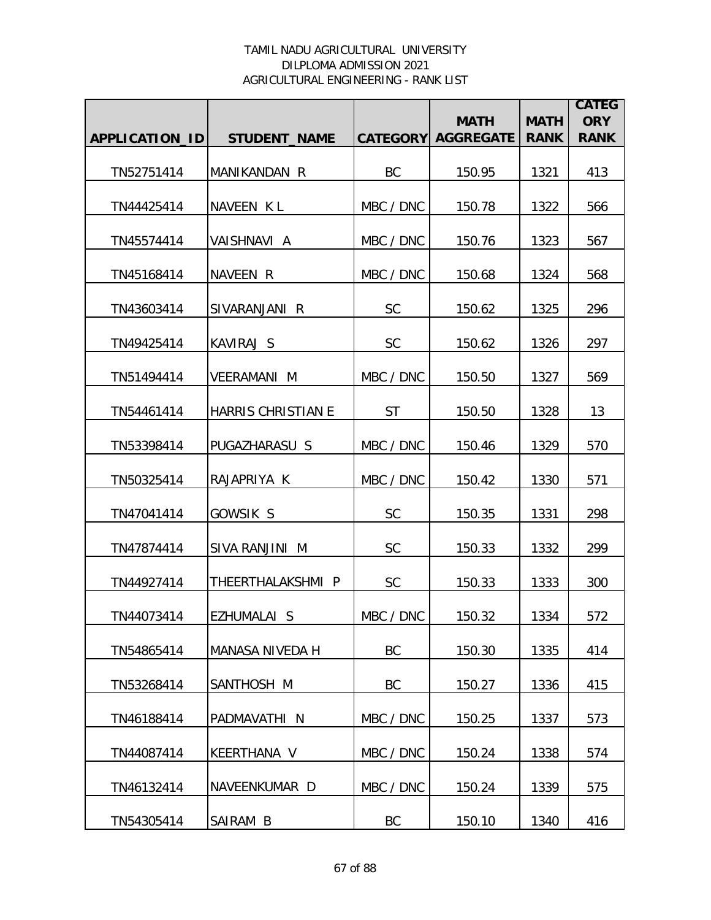|                       |                           |                 | <b>MATH</b>      | <b>MATH</b> | <b>CATEG</b><br><b>ORY</b> |
|-----------------------|---------------------------|-----------------|------------------|-------------|----------------------------|
| <b>APPLICATION ID</b> | <b>STUDENT_NAME</b>       | <b>CATEGORY</b> | <b>AGGREGATE</b> | <b>RANK</b> | <b>RANK</b>                |
| TN52751414            | MANIKANDAN R              | BC              | 150.95           | 1321        | 413                        |
| TN44425414            | NAVEEN KL                 | MBC / DNC       | 150.78           | 1322        | 566                        |
| TN45574414            | VAISHNAVI A               | MBC / DNC       | 150.76           | 1323        | 567                        |
| TN45168414            | NAVEEN R                  | MBC / DNC       | 150.68           | 1324        | 568                        |
| TN43603414            | SIVARANJANI R             | <b>SC</b>       | 150.62           | 1325        | 296                        |
| TN49425414            | KAVIRAJ S                 | <b>SC</b>       | 150.62           | 1326        | 297                        |
| TN51494414            | <b>VEERAMANI M</b>        | MBC / DNC       | 150.50           | 1327        | 569                        |
| TN54461414            | <b>HARRIS CHRISTIAN E</b> | <b>ST</b>       | 150.50           | 1328        | 13                         |
| TN53398414            | PUGAZHARASU S             | MBC / DNC       | 150.46           | 1329        | 570                        |
| TN50325414            | RAJAPRIYA K               | MBC / DNC       | 150.42           | 1330        | 571                        |
| TN47041414            | GOWSIK S                  | <b>SC</b>       | 150.35           | 1331        | 298                        |
| TN47874414            | SIVA RANJINI M            | <b>SC</b>       | 150.33           | 1332        | 299                        |
| TN44927414            | THEERTHALAKSHMI P         | <b>SC</b>       | 150.33           | 1333        | 300                        |
| TN44073414            | EZHUMALAI S               | MBC / DNC       | 150.32           | 1334        | 572                        |
| TN54865414            | MANASA NIVEDA H           | BC              | 150.30           | 1335        | 414                        |
| TN53268414            | SANTHOSH M                | BC              | 150.27           | 1336        | 415                        |
| TN46188414            | PADMAVATHI <sub>N</sub>   | MBC / DNC       | 150.25           | 1337        | 573                        |
| TN44087414            | KEERTHANA V               | MBC / DNC       | 150.24           | 1338        | 574                        |
| TN46132414            | NAVEENKUMAR D             | MBC / DNC       | 150.24           | 1339        | 575                        |
| TN54305414            | SAIRAM B                  | BC              | 150.10           | 1340        | 416                        |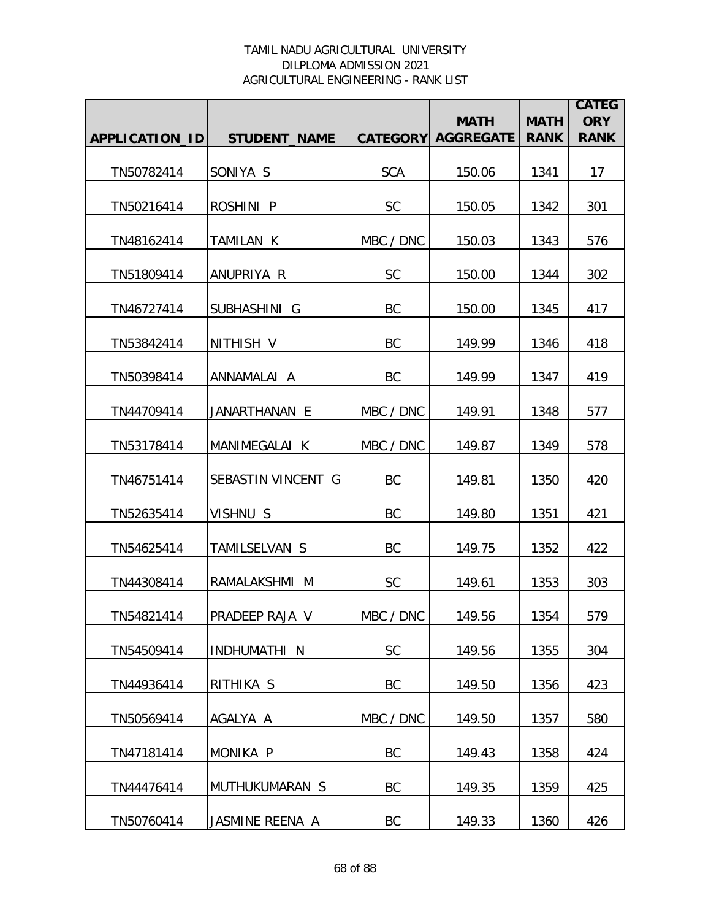|                |                     |                 | <b>MATH</b>      | <b>MATH</b> | <b>CATEG</b><br><b>ORY</b> |
|----------------|---------------------|-----------------|------------------|-------------|----------------------------|
| APPLICATION_ID | <b>STUDENT_NAME</b> | <b>CATEGORY</b> | <b>AGGREGATE</b> | <b>RANK</b> | <b>RANK</b>                |
| TN50782414     | SONIYA S            | <b>SCA</b>      | 150.06           | 1341        | 17                         |
| TN50216414     | ROSHINI P           | <b>SC</b>       | 150.05           | 1342        | 301                        |
| TN48162414     | TAMILAN K           | MBC / DNC       | 150.03           | 1343        | 576                        |
| TN51809414     | ANUPRIYA R          | <b>SC</b>       | 150.00           | 1344        | 302                        |
| TN46727414     | SUBHASHINI G        | BC              | 150.00           | 1345        | 417                        |
| TN53842414     | NITHISH V           | BC              | 149.99           | 1346        | 418                        |
| TN50398414     | ANNAMALAI A         | BC              | 149.99           | 1347        | 419                        |
| TN44709414     | JANARTHANAN E       | MBC / DNC       | 149.91           | 1348        | 577                        |
| TN53178414     | MANIMEGALAI K       | MBC / DNC       | 149.87           | 1349        | 578                        |
| TN46751414     | SEBASTIN VINCENT G  | BC              | 149.81           | 1350        | 420                        |
| TN52635414     | VISHNU S            | BC              | 149.80           | 1351        | 421                        |
| TN54625414     | TAMILSELVAN S       | BC              | 149.75           | 1352        | 422                        |
| TN44308414     | RAMALAKSHMI M       | <b>SC</b>       | 149.61           | 1353        | 303                        |
| TN54821414     | PRADEEP RAJA V      | MBC / DNC       | 149.56           | 1354        | 579                        |
| TN54509414     | INDHUMATHI N        | <b>SC</b>       | 149.56           | 1355        | 304                        |
| TN44936414     | RITHIKA S           | BC              | 149.50           | 1356        | 423                        |
| TN50569414     | AGALYA A            | MBC / DNC       | 149.50           | 1357        | 580                        |
| TN47181414     | MONIKA P            | BC              | 149.43           | 1358        | 424                        |
| TN44476414     | MUTHUKUMARAN S      | BC              | 149.35           | 1359        | 425                        |
| TN50760414     | JASMINE REENA A     | BC              | 149.33           | 1360        | 426                        |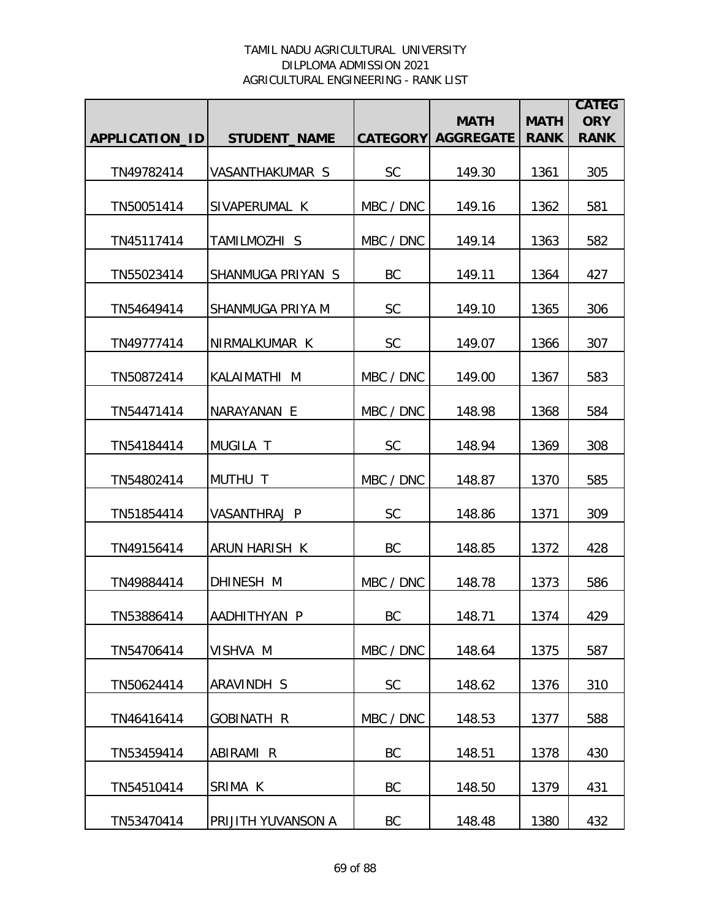|                       |                     |                 | <b>MATH</b>      | <b>MATH</b> | <b>CATEG</b><br><b>ORY</b> |
|-----------------------|---------------------|-----------------|------------------|-------------|----------------------------|
| <b>APPLICATION ID</b> | <b>STUDENT_NAME</b> | <b>CATEGORY</b> | <b>AGGREGATE</b> | <b>RANK</b> | <b>RANK</b>                |
| TN49782414            | VASANTHAKUMAR S     | <b>SC</b>       | 149.30           | 1361        | 305                        |
| TN50051414            | SIVAPERUMAL K       | MBC / DNC       | 149.16           | 1362        | 581                        |
| TN45117414            | TAMILMOZHI S        | MBC / DNC       | 149.14           | 1363        | 582                        |
| TN55023414            | SHANMUGA PRIYAN S   | BC              | 149.11           | 1364        | 427                        |
| TN54649414            | SHANMUGA PRIYA M    | <b>SC</b>       | 149.10           | 1365        | 306                        |
| TN49777414            | NIRMALKUMAR K       | <b>SC</b>       | 149.07           | 1366        | 307                        |
| TN50872414            | KALAIMATHI M        | MBC / DNC       | 149.00           | 1367        | 583                        |
| TN54471414            | NARAYANAN E         | MBC / DNC       | 148.98           | 1368        | 584                        |
| TN54184414            | <b>MUGILA T</b>     | <b>SC</b>       | 148.94           | 1369        | 308                        |
| TN54802414            | MUTHU T             | MBC / DNC       | 148.87           | 1370        | 585                        |
| TN51854414            | VASANTHRAJ P        | <b>SC</b>       | 148.86           | 1371        | 309                        |
| TN49156414            | ARUN HARISH K       | BC              | 148.85           | 1372        | 428                        |
| TN49884414            | DHINESH M           | MBC / DNC       | 148.78           | 1373        | 586                        |
| TN53886414            | AADHITHYAN P        | BC              | 148.71           | 1374        | 429                        |
| TN54706414            | VISHVA M            | MBC / DNC       | 148.64           | 1375        | 587                        |
| TN50624414            | ARAVINDH S          | <b>SC</b>       | 148.62           | 1376        | 310                        |
| TN46416414            | <b>GOBINATH R</b>   | MBC / DNC       | 148.53           | 1377        | 588                        |
| TN53459414            | ABIRAMI R           | BC              | 148.51           | 1378        | 430                        |
| TN54510414            | SRIMA K             | BC              | 148.50           | 1379        | 431                        |
| TN53470414            | PRIJITH YUVANSON A  | BC              | 148.48           | 1380        | 432                        |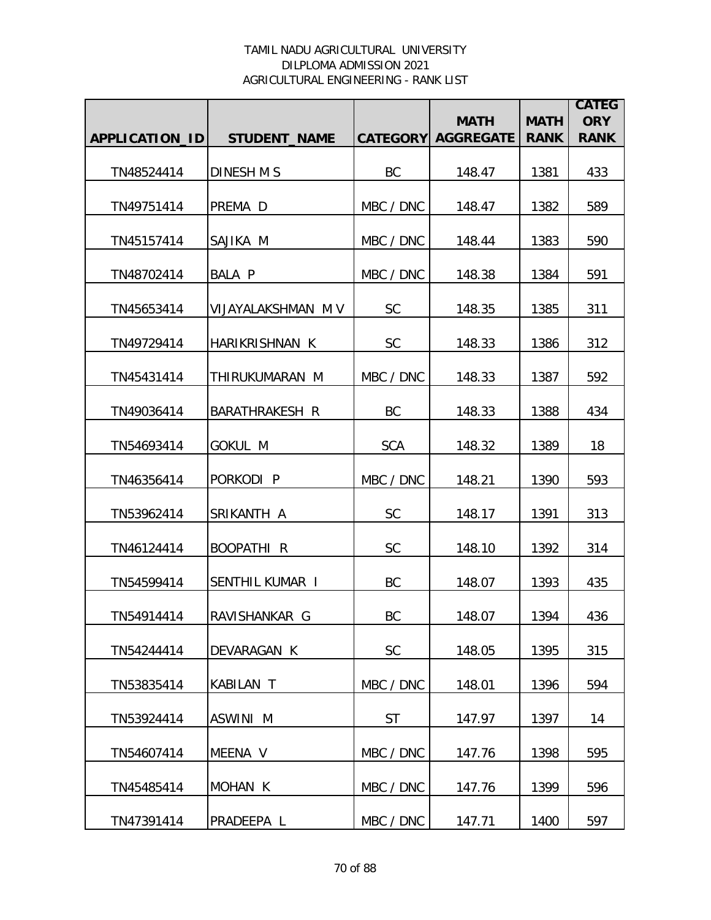|                |                        |                 | <b>MATH</b>      | <b>MATH</b> | <b>CATEG</b><br><b>ORY</b> |
|----------------|------------------------|-----------------|------------------|-------------|----------------------------|
| APPLICATION_ID | <b>STUDENT NAME</b>    | <b>CATEGORY</b> | <b>AGGREGATE</b> | <b>RANK</b> | <b>RANK</b>                |
| TN48524414     | DINESH M S             | BC              | 148.47           | 1381        | 433                        |
| TN49751414     | PREMA D                | MBC / DNC       | 148.47           | 1382        | 589                        |
| TN45157414     | SAJIKA M               | MBC / DNC       | 148.44           | 1383        | 590                        |
| TN48702414     | <b>BALA P</b>          | MBC / DNC       | 148.38           | 1384        | 591                        |
| TN45653414     | VIJAYALAKSHMAN M V     | <b>SC</b>       | 148.35           | 1385        | 311                        |
| TN49729414     | HARIKRISHNAN K         | <b>SC</b>       | 148.33           | 1386        | 312                        |
| TN45431414     | THIRUKUMARAN M         | MBC / DNC       | 148.33           | 1387        | 592                        |
| TN49036414     | BARATHRAKESH R         | BC              | 148.33           | 1388        | 434                        |
| TN54693414     | <b>GOKUL M</b>         | <b>SCA</b>      | 148.32           | 1389        | 18                         |
| TN46356414     | PORKODI P              | MBC / DNC       | 148.21           | 1390        | 593                        |
| TN53962414     | SRIKANTH A             | <b>SC</b>       | 148.17           | 1391        | 313                        |
| TN46124414     | <b>BOOPATHI R</b>      | <b>SC</b>       | 148.10           | 1392        | 314                        |
| TN54599414     | <b>SENTHIL KUMAR I</b> | BC              | 148.07           | 1393        | 435                        |
| TN54914414     | RAVISHANKAR G          | <b>BC</b>       | 148.07           | 1394        | 436                        |
| TN54244414     | DEVARAGAN K            | <b>SC</b>       | 148.05           | 1395        | 315                        |
| TN53835414     | KABILAN T              | MBC / DNC       | 148.01           | 1396        | 594                        |
| TN53924414     | ASWINI M               | <b>ST</b>       | 147.97           | 1397        | 14                         |
| TN54607414     | MEENA V                | MBC / DNC       | 147.76           | 1398        | 595                        |
| TN45485414     | <b>MOHAN K</b>         | MBC / DNC       | 147.76           | 1399        | 596                        |
| TN47391414     | PRADEEPA L             | MBC / DNC       | 147.71           | 1400        | 597                        |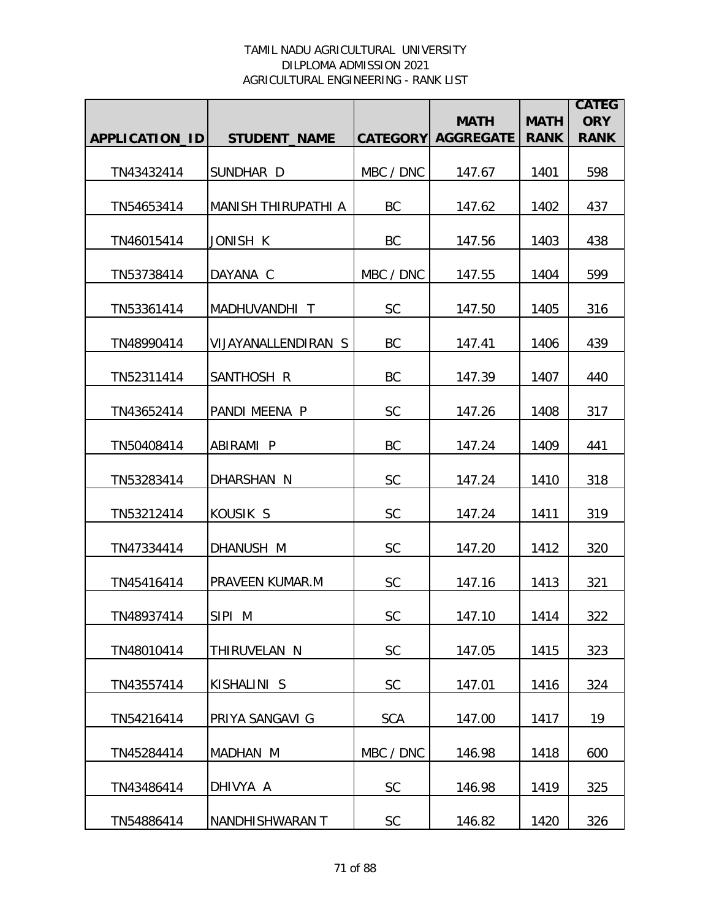|                |                            |                 | <b>MATH</b>      | <b>MATH</b> | <b>CATEG</b><br><b>ORY</b> |
|----------------|----------------------------|-----------------|------------------|-------------|----------------------------|
| APPLICATION_ID | <b>STUDENT_NAME</b>        | <b>CATEGORY</b> | <b>AGGREGATE</b> | <b>RANK</b> | <b>RANK</b>                |
| TN43432414     | SUNDHAR D                  | MBC / DNC       | 147.67           | 1401        | 598                        |
| TN54653414     | <b>MANISH THIRUPATHI A</b> | <b>BC</b>       | 147.62           | 1402        | 437                        |
| TN46015414     | JONISH K                   | BC              | 147.56           | 1403        | 438                        |
| TN53738414     | DAYANA C                   | MBC / DNC       | 147.55           | 1404        | 599                        |
| TN53361414     | MADHUVANDHI T              | SC              | 147.50           | 1405        | 316                        |
| TN48990414     | VIJAYANALLENDIRAN S        | BC              | 147.41           | 1406        | 439                        |
| TN52311414     | SANTHOSH R                 | BC              | 147.39           | 1407        | 440                        |
| TN43652414     | PANDI MEENA P              | SC              | 147.26           | 1408        | 317                        |
| TN50408414     | ABIRAMI P                  | <b>BC</b>       | 147.24           | 1409        | 441                        |
| TN53283414     | DHARSHAN N                 | SC              | 147.24           | 1410        | 318                        |
| TN53212414     | KOUSIK S                   | <b>SC</b>       | 147.24           | 1411        | 319                        |
| TN47334414     | DHANUSH M                  | SC              | 147.20           | 1412        | 320                        |
| TN45416414     | PRAVEEN KUMAR.M            | <b>SC</b>       | 147.16           | 1413        | 321                        |
| TN48937414     | SIPI M                     | <b>SC</b>       | 147.10           | 1414        | 322                        |
| TN48010414     | THIRUVELAN N               | <b>SC</b>       | 147.05           | 1415        | 323                        |
| TN43557414     | KISHALINI S                | <b>SC</b>       | 147.01           | 1416        | 324                        |
| TN54216414     | PRIYA SANGAVI G            | <b>SCA</b>      | 147.00           | 1417        | 19                         |
| TN45284414     | MADHAN M                   | MBC / DNC       | 146.98           | 1418        | 600                        |
| TN43486414     | DHIVYA A                   | <b>SC</b>       | 146.98           | 1419        | 325                        |
| TN54886414     | NANDHISHWARAN T            | SC              | 146.82           | 1420        | 326                        |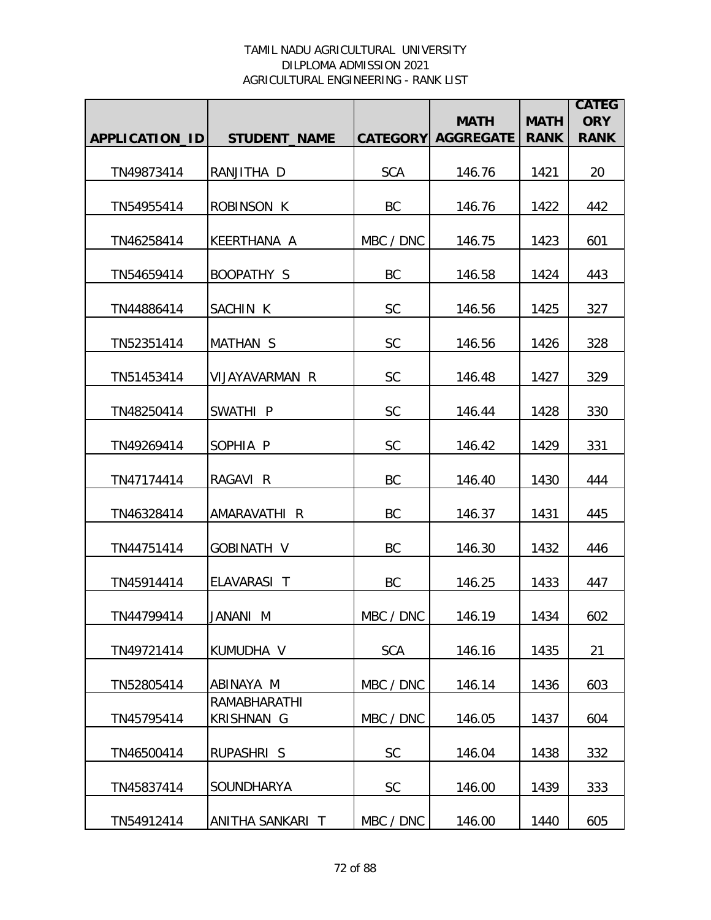|                       |                                   |                 | <b>MATH</b>      | <b>MATH</b> | <b>CATEG</b><br><b>ORY</b> |
|-----------------------|-----------------------------------|-----------------|------------------|-------------|----------------------------|
| <b>APPLICATION ID</b> | <b>STUDENT_NAME</b>               | <b>CATEGORY</b> | <b>AGGREGATE</b> | <b>RANK</b> | <b>RANK</b>                |
| TN49873414            | RANJITHA D                        | <b>SCA</b>      | 146.76           | 1421        | 20                         |
| TN54955414            | ROBINSON K                        | BC              | 146.76           | 1422        | 442                        |
| TN46258414            | KEERTHANA A                       | MBC / DNC       | 146.75           | 1423        | 601                        |
| TN54659414            | BOOPATHY S                        | BC              | 146.58           | 1424        | 443                        |
| TN44886414            | SACHIN K                          | <b>SC</b>       | 146.56           | 1425        | 327                        |
| TN52351414            | <b>MATHAN S</b>                   | <b>SC</b>       | 146.56           | 1426        | 328                        |
| TN51453414            | VIJAYAVARMAN R                    | <b>SC</b>       | 146.48           | 1427        | 329                        |
| TN48250414            | SWATHI P                          | <b>SC</b>       | 146.44           | 1428        | 330                        |
| TN49269414            | SOPHIA P                          | <b>SC</b>       | 146.42           | 1429        | 331                        |
| TN47174414            | RAGAVI R                          | BC              | 146.40           | 1430        | 444                        |
| TN46328414            | AMARAVATHI R                      | BC              | 146.37           | 1431        | 445                        |
| TN44751414            | <b>GOBINATH V</b>                 | BC              | 146.30           | 1432        | 446                        |
| TN45914414            | ELAVARASI T                       | BC              | 146.25           | 1433        | 447                        |
| TN44799414            | JANANI M                          | MBC / DNC       | 146.19           | 1434        | 602                        |
| TN49721414            | KUMUDHA V                         | <b>SCA</b>      | 146.16           | 1435        | 21                         |
| TN52805414            | ABINAYA M                         | MBC / DNC       | 146.14           | 1436        | 603                        |
| TN45795414            | RAMABHARATHI<br><b>KRISHNAN G</b> | MBC / DNC       | 146.05           | 1437        | 604                        |
| TN46500414            | RUPASHRI S                        | <b>SC</b>       | 146.04           | 1438        | 332                        |
| TN45837414            | <b>SOUNDHARYA</b>                 | SC              | 146.00           | 1439        | 333                        |
| TN54912414            | ANITHA SANKARI T                  | MBC / DNC       | 146.00           | 1440        | 605                        |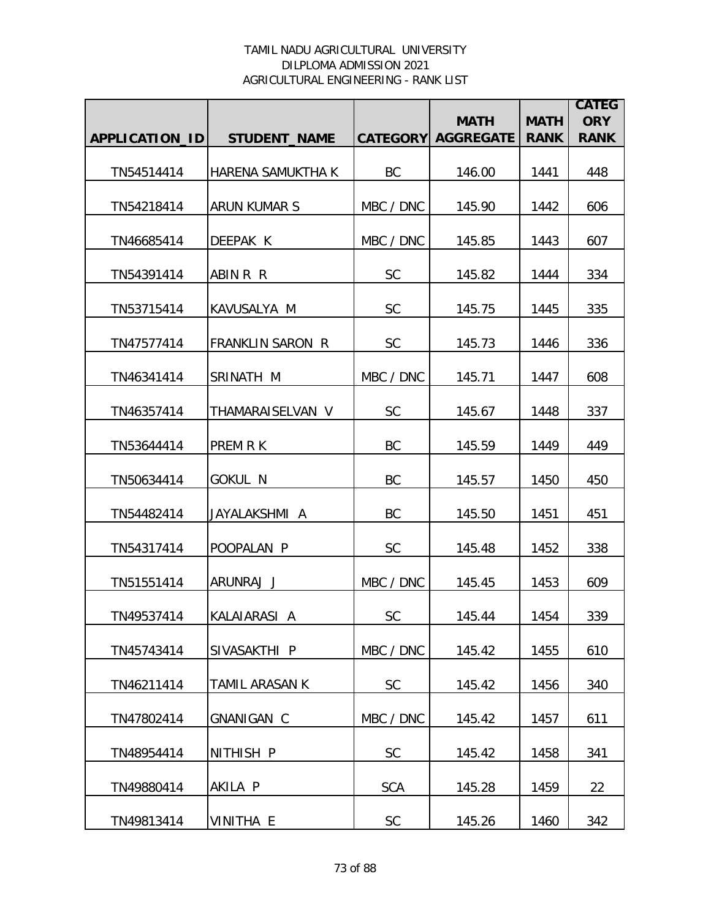|                |                          |            |                                          |                            | <b>CATEG</b>              |
|----------------|--------------------------|------------|------------------------------------------|----------------------------|---------------------------|
| APPLICATION_ID | <b>STUDENT_NAME</b>      |            | <b>MATH</b><br><b>CATEGORY AGGREGATE</b> | <b>MATH</b><br><b>RANK</b> | <b>ORY</b><br><b>RANK</b> |
|                |                          |            |                                          |                            |                           |
| TN54514414     | <b>HARENA SAMUKTHA K</b> | BC         | 146.00                                   | 1441                       | 448                       |
| TN54218414     | <b>ARUN KUMAR S</b>      | MBC / DNC  | 145.90                                   | 1442                       | 606                       |
| TN46685414     | DEEPAK K                 | MBC / DNC  | 145.85                                   | 1443                       | 607                       |
| TN54391414     | ABIN R R                 | <b>SC</b>  | 145.82                                   | 1444                       | 334                       |
| TN53715414     | KAVUSALYA M              | <b>SC</b>  | 145.75                                   | 1445                       | 335                       |
| TN47577414     | <b>FRANKLIN SARON R</b>  | <b>SC</b>  | 145.73                                   | 1446                       | 336                       |
| TN46341414     | SRINATH M                | MBC / DNC  | 145.71                                   | 1447                       | 608                       |
| TN46357414     | THAMARAISELVAN V         | <b>SC</b>  | 145.67                                   | 1448                       | 337                       |
| TN53644414     | <b>PREM R K</b>          | <b>BC</b>  | 145.59                                   | 1449                       | 449                       |
| TN50634414     | <b>GOKUL N</b>           | BC         | 145.57                                   | 1450                       | 450                       |
| TN54482414     | JAYALAKSHMI A            | BC         | 145.50                                   | 1451                       | 451                       |
| TN54317414     | POOPALAN P               | <b>SC</b>  | 145.48                                   | 1452                       | 338                       |
| TN51551414     | ARUNRAJ J                | MBC / DNC  | 145.45                                   | 1453                       | 609                       |
| TN49537414     | IKALAIARASI A            | <b>SC</b>  | 145.44                                   | 1454                       | 339                       |
| TN45743414     | SIVASAKTHI P             | MBC / DNC  | 145.42                                   | 1455                       | 610                       |
| TN46211414     | TAMIL ARASAN K           | <b>SC</b>  | 145.42                                   | 1456                       | 340                       |
| TN47802414     | GNANIGAN C               | MBC / DNC  | 145.42                                   | 1457                       | 611                       |
| TN48954414     | NITHISH P                | <b>SC</b>  | 145.42                                   | 1458                       | 341                       |
| TN49880414     | AKILA P                  | <b>SCA</b> | 145.28                                   | 1459                       | 22                        |
| TN49813414     | VINITHA E                | SC         | 145.26                                   | 1460                       | 342                       |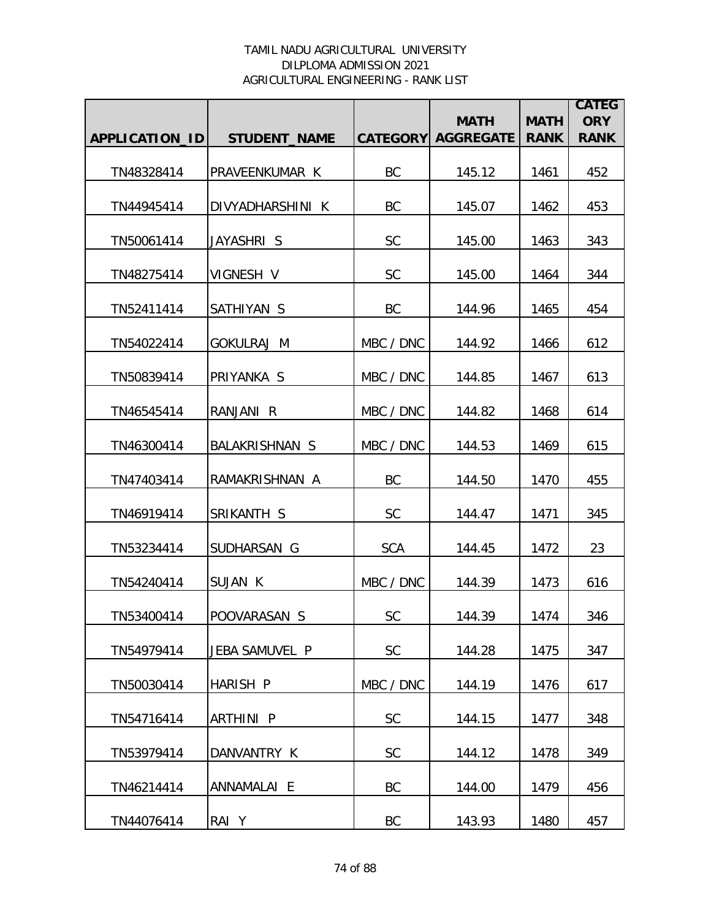|                       |                       |                 | <b>MATH</b>      | <b>MATH</b> | <b>CATEG</b><br><b>ORY</b> |
|-----------------------|-----------------------|-----------------|------------------|-------------|----------------------------|
| <b>APPLICATION ID</b> | <b>STUDENT_NAME</b>   | <b>CATEGORY</b> | <b>AGGREGATE</b> | <b>RANK</b> | <b>RANK</b>                |
| TN48328414            | PRAVEENKUMAR K        | BC              | 145.12           | 1461        | 452                        |
| TN44945414            | DIVYADHARSHINI K      | <b>BC</b>       | 145.07           | 1462        | 453                        |
| TN50061414            | JAYASHRI S            | <b>SC</b>       | 145.00           | 1463        | 343                        |
| TN48275414            | VIGNESH V             | <b>SC</b>       | 145.00           | 1464        | 344                        |
| TN52411414            | SATHIYAN S            | BC              | 144.96           | 1465        | 454                        |
| TN54022414            | <b>GOKULRAJ M</b>     | MBC / DNC       | 144.92           | 1466        | 612                        |
| TN50839414            | PRIYANKA S            | MBC / DNC       | 144.85           | 1467        | 613                        |
| TN46545414            | RANJANI R             | MBC / DNC       | 144.82           | 1468        | 614                        |
| TN46300414            | <b>BALAKRISHNAN S</b> | MBC / DNC       | 144.53           | 1469        | 615                        |
| TN47403414            | RAMAKRISHNAN A        | <b>BC</b>       | 144.50           | 1470        | 455                        |
| TN46919414            | SRIKANTH S            | <b>SC</b>       | 144.47           | 1471        | 345                        |
| TN53234414            | SUDHARSAN G           | <b>SCA</b>      | 144.45           | 1472        | 23                         |
| TN54240414            | <b>SUJAN K</b>        | MBC / DNC       | 144.39           | 1473        | 616                        |
| TN53400414            | POOVARASAN S          | <b>SC</b>       | 144.39           | 1474        | 346                        |
| TN54979414            | JEBA SAMUVEL P        | <b>SC</b>       | 144.28           | 1475        | 347                        |
| TN50030414            | HARISH P              | MBC / DNC       | 144.19           | 1476        | 617                        |
| TN54716414            | ARTHINI P             | <b>SC</b>       | 144.15           | 1477        | 348                        |
| TN53979414            | DANVANTRY K           | <b>SC</b>       | 144.12           | 1478        | 349                        |
| TN46214414            | ANNAMALAI E           | BC              | 144.00           | 1479        | 456                        |
| TN44076414            | RAI Y                 | BC              | 143.93           | 1480        | 457                        |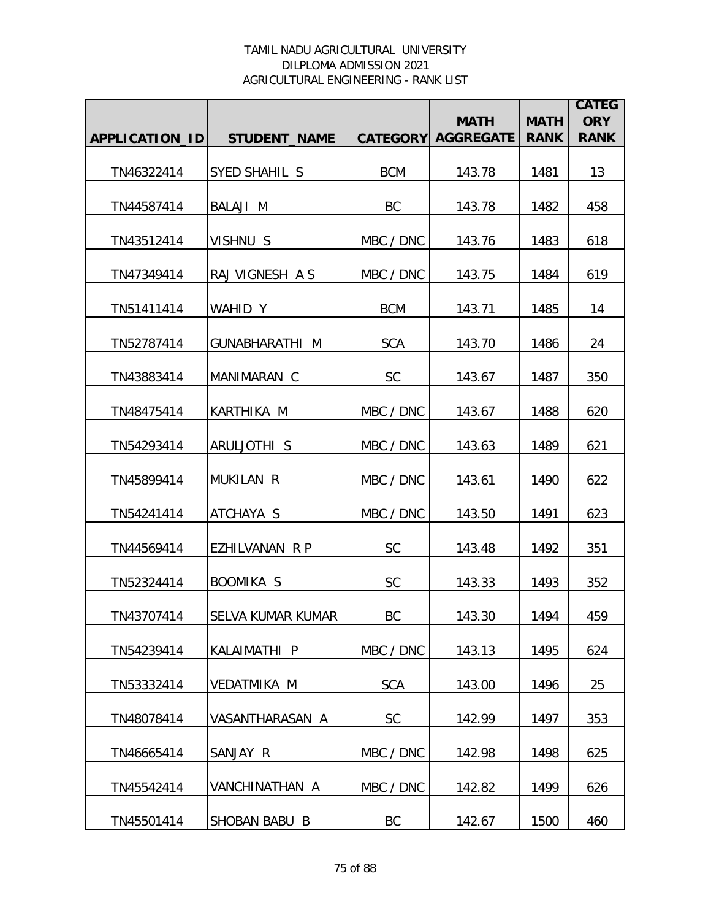|                |                          |                 | <b>MATH</b>      | <b>MATH</b> | <b>CATEG</b><br><b>ORY</b> |
|----------------|--------------------------|-----------------|------------------|-------------|----------------------------|
| APPLICATION_ID | <b>STUDENT_NAME</b>      | <b>CATEGORY</b> | <b>AGGREGATE</b> | <b>RANK</b> | <b>RANK</b>                |
| TN46322414     | SYED SHAHIL S            | <b>BCM</b>      | 143.78           | 1481        | 13                         |
| TN44587414     | BALAJI M                 | <b>BC</b>       | 143.78           | 1482        | 458                        |
| TN43512414     | VISHNU S                 | MBC / DNC       | 143.76           | 1483        | 618                        |
| TN47349414     | RAJ VIGNESH A S          | MBC / DNC       | 143.75           | 1484        | 619                        |
| TN51411414     | WAHID Y                  | <b>BCM</b>      | 143.71           | 1485        | 14                         |
| TN52787414     | <b>GUNABHARATHI M</b>    | <b>SCA</b>      | 143.70           | 1486        | 24                         |
| TN43883414     | MANIMARAN C              | <b>SC</b>       | 143.67           | 1487        | 350                        |
| TN48475414     | KARTHIKA M               | MBC / DNC       | 143.67           | 1488        | 620                        |
| TN54293414     | ARULJOTHI S              | MBC / DNC       | 143.63           | 1489        | 621                        |
| TN45899414     | MUKILAN R                | MBC / DNC       | 143.61           | 1490        | 622                        |
| TN54241414     | ATCHAYA S                | MBC / DNC       | 143.50           | 1491        | 623                        |
| TN44569414     | EZHILVANAN R P           | <b>SC</b>       | 143.48           | 1492        | 351                        |
| TN52324414     | <b>BOOMIKA S</b>         | <b>SC</b>       | 143.33           | 1493        | 352                        |
| TN43707414     | <b>SELVA KUMAR KUMAR</b> | BC              | 143.30           | 1494        | 459                        |
| TN54239414     | KALAIMATHI P             | MBC / DNC       | 143.13           | 1495        | 624                        |
| TN53332414     | VEDATMIKA M              | <b>SCA</b>      | 143.00           | 1496        | 25                         |
| TN48078414     | VASANTHARASAN A          | <b>SC</b>       | 142.99           | 1497        | 353                        |
| TN46665414     | SANJAY R                 | MBC / DNC       | 142.98           | 1498        | 625                        |
| TN45542414     | VANCHINATHAN A           | MBC / DNC       | 142.82           | 1499        | 626                        |
| TN45501414     | SHOBAN BABU B            | BC              | 142.67           | 1500        | 460                        |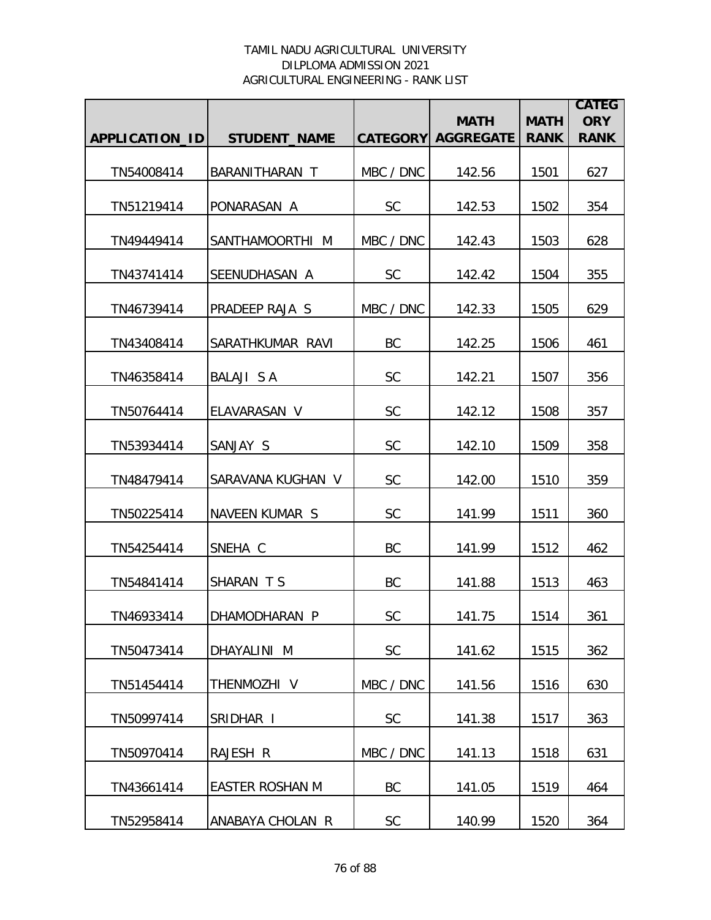|                       |                        |                 | <b>MATH</b>      | <b>MATH</b> | <b>CATEG</b><br><b>ORY</b> |
|-----------------------|------------------------|-----------------|------------------|-------------|----------------------------|
| <b>APPLICATION ID</b> | <b>STUDENT_NAME</b>    | <b>CATEGORY</b> | <b>AGGREGATE</b> | <b>RANK</b> | <b>RANK</b>                |
| TN54008414            | BARANITHARAN T         | MBC / DNC       | 142.56           | 1501        | 627                        |
| TN51219414            | PONARASAN A            | <b>SC</b>       | 142.53           | 1502        | 354                        |
| TN49449414            | SANTHAMOORTHI M        | MBC / DNC       | 142.43           | 1503        | 628                        |
| TN43741414            | SEENUDHASAN A          | <b>SC</b>       | 142.42           | 1504        | 355                        |
| TN46739414            | PRADEEP RAJA S         | MBC / DNC       | 142.33           | 1505        | 629                        |
| TN43408414            | SARATHKUMAR RAVI       | BC              | 142.25           | 1506        | 461                        |
| TN46358414            | <b>BALAJI S A</b>      | <b>SC</b>       | 142.21           | 1507        | 356                        |
| TN50764414            | ELAVARASAN V           | SC              | 142.12           | 1508        | 357                        |
| TN53934414            | SANJAY S               | <b>SC</b>       | 142.10           | 1509        | 358                        |
| TN48479414            | SARAVANA KUGHAN V      | SC              | 142.00           | 1510        | 359                        |
| TN50225414            | NAVEEN KUMAR S         | <b>SC</b>       | 141.99           | 1511        | 360                        |
| TN54254414            | SNEHA C                | BC              | 141.99           | 1512        | 462                        |
| TN54841414            | SHARAN TS              | BC              | 141.88           | 1513        | 463                        |
| TN46933414            | DHAMODHARAN P          | <b>SC</b>       | 141.75           | 1514        | 361                        |
| TN50473414            | DHAYALINI M            | <b>SC</b>       | 141.62           | 1515        | 362                        |
| TN51454414            | THENMOZHI V            | MBC / DNC       | 141.56           | 1516        | 630                        |
| TN50997414            | SRIDHAR I              | <b>SC</b>       | 141.38           | 1517        | 363                        |
| TN50970414            | RAJESH R               | MBC / DNC       | 141.13           | 1518        | 631                        |
| TN43661414            | <b>EASTER ROSHAN M</b> | BC              | 141.05           | 1519        | 464                        |
| TN52958414            | ANABAYA CHOLAN R       | $\mathsf{SC}$   | 140.99           | 1520        | 364                        |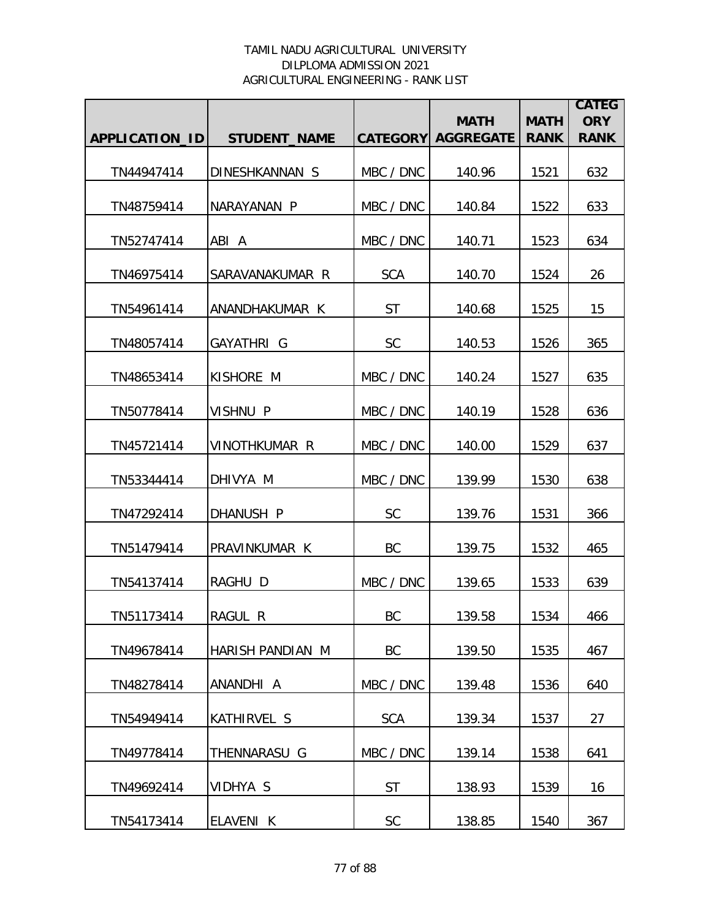|                |                         |                 | <b>MATH</b>      | <b>MATH</b> | <b>CATEG</b><br><b>ORY</b> |
|----------------|-------------------------|-----------------|------------------|-------------|----------------------------|
| APPLICATION_ID | <b>STUDENT_NAME</b>     | <b>CATEGORY</b> | <b>AGGREGATE</b> | <b>RANK</b> | <b>RANK</b>                |
| TN44947414     | DINESHKANNAN S          | MBC / DNC       | 140.96           | 1521        | 632                        |
| TN48759414     | NARAYANAN P             | MBC / DNC       | 140.84           | 1522        | 633                        |
| TN52747414     | ABI A                   | MBC / DNC       | 140.71           | 1523        | 634                        |
| TN46975414     | SARAVANAKUMAR R         | <b>SCA</b>      | 140.70           | 1524        | 26                         |
| TN54961414     | ANANDHAKUMAR K          | <b>ST</b>       | 140.68           | 1525        | 15                         |
| TN48057414     | GAYATHRI G              | <b>SC</b>       | 140.53           | 1526        | 365                        |
| TN48653414     | KISHORE M               | MBC / DNC       | 140.24           | 1527        | 635                        |
| TN50778414     | VISHNU P                | MBC / DNC       | 140.19           | 1528        | 636                        |
| TN45721414     | VINOTHKUMAR R           | MBC / DNC       | 140.00           | 1529        | 637                        |
| TN53344414     | DHIVYA M                | MBC / DNC       | 139.99           | 1530        | 638                        |
| TN47292414     | DHANUSH P               | <b>SC</b>       | 139.76           | 1531        | 366                        |
| TN51479414     | PRAVINKUMAR K           | BC              | 139.75           | 1532        | 465                        |
| TN54137414     | RAGHU D                 | MBC / DNC       | 139.65           | 1533        | 639                        |
| TN51173414     | RAGUL R                 | BC              | 139.58           | 1534        | 466                        |
| TN49678414     | <b>HARISH PANDIAN M</b> | BC              | 139.50           | 1535        | 467                        |
| TN48278414     | ANANDHI A               | MBC / DNC       | 139.48           | 1536        | 640                        |
| TN54949414     | <b>KATHIRVEL S</b>      | <b>SCA</b>      | 139.34           | 1537        | 27                         |
| TN49778414     | THENNARASU G            | MBC / DNC       | 139.14           | 1538        | 641                        |
| TN49692414     | VIDHYA S                | <b>ST</b>       | 138.93           | 1539        | 16                         |
| TN54173414     | ELAVENI K               | SC              | 138.85           | 1540        | 367                        |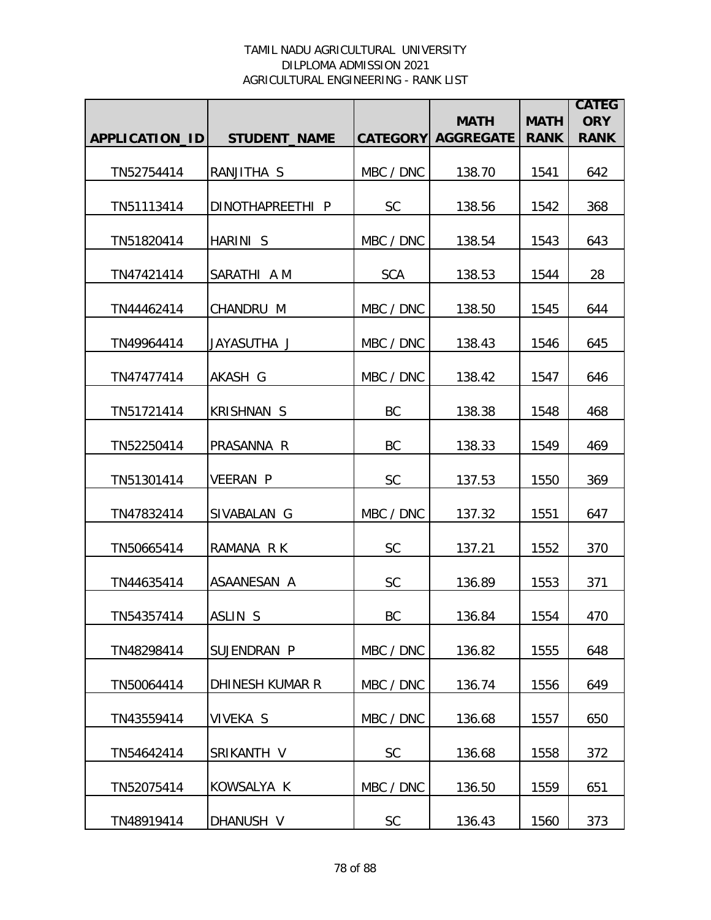|                |                     |            | <b>MATH</b>               | <b>MATH</b> | <b>CATEG</b><br><b>ORY</b> |
|----------------|---------------------|------------|---------------------------|-------------|----------------------------|
| APPLICATION_ID | <b>STUDENT_NAME</b> |            | <b>CATEGORY AGGREGATE</b> | <b>RANK</b> | <b>RANK</b>                |
| TN52754414     | RANJITHA S          | MBC / DNC  | 138.70                    | 1541        | 642                        |
| TN51113414     | DINOTHAPREETHI P    | <b>SC</b>  | 138.56                    | 1542        | 368                        |
| TN51820414     | HARINI S            | MBC / DNC  | 138.54                    | 1543        | 643                        |
| TN47421414     | SARATHI A M         | <b>SCA</b> | 138.53                    | 1544        | 28                         |
| TN44462414     | CHANDRU M           | MBC / DNC  | 138.50                    | 1545        | 644                        |
| TN49964414     | JAYASUTHA J         | MBC / DNC  | 138.43                    | 1546        | 645                        |
| TN47477414     | AKASH G             | MBC / DNC  | 138.42                    | 1547        | 646                        |
| TN51721414     | <b>KRISHNAN S</b>   | BC         | 138.38                    | 1548        | 468                        |
| TN52250414     | PRASANNA R          | <b>BC</b>  | 138.33                    | 1549        | 469                        |
| TN51301414     | <b>VEERAN P</b>     | SC         | 137.53                    | 1550        | 369                        |
| TN47832414     | SIVABALAN G         | MBC / DNC  | 137.32                    | 1551        | 647                        |
| TN50665414     | RAMANA RK           | <b>SC</b>  | 137.21                    | 1552        | 370                        |
| TN44635414     | ASAANESAN A         | <b>SC</b>  | 136.89                    | 1553        | 371                        |
| TN54357414     | ASLIN S             | BC         | 136.84                    | 1554        | 470                        |
| TN48298414     | SUJENDRAN P         | MBC / DNC  | 136.82                    | 1555        | 648                        |
| TN50064414     | DHINESH KUMAR R     | MBC / DNC  | 136.74                    | 1556        | 649                        |
| TN43559414     | <b>VIVEKA S</b>     | MBC / DNC  | 136.68                    | 1557        | 650                        |
| TN54642414     | SRIKANTH V          | <b>SC</b>  | 136.68                    | 1558        | 372                        |
| TN52075414     | KOWSALYA K          | MBC / DNC  | 136.50                    | 1559        | 651                        |
| TN48919414     | DHANUSH V           | SC         | 136.43                    | 1560        | 373                        |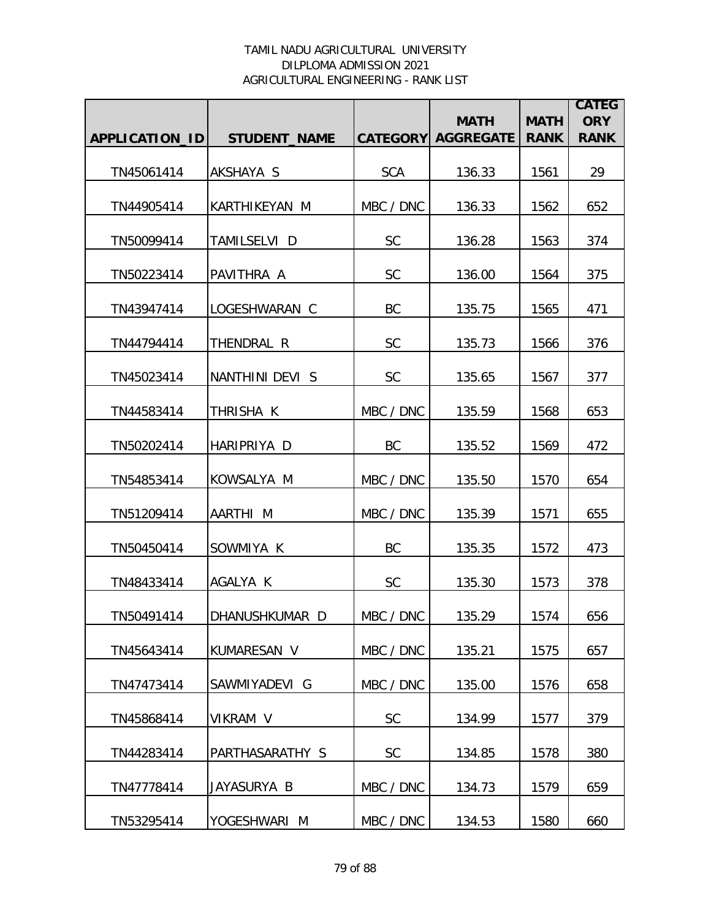|                |                     |                 | <b>MATH</b>      | <b>MATH</b> | <b>CATEG</b><br><b>ORY</b> |
|----------------|---------------------|-----------------|------------------|-------------|----------------------------|
| APPLICATION_ID | <b>STUDENT_NAME</b> | <b>CATEGORY</b> | <b>AGGREGATE</b> | <b>RANK</b> | <b>RANK</b>                |
| TN45061414     | AKSHAYA S           | <b>SCA</b>      | 136.33           | 1561        | 29                         |
| TN44905414     | KARTHIKEYAN M       | MBC / DNC       | 136.33           | 1562        | 652                        |
| TN50099414     | TAMILSELVI D        | <b>SC</b>       | 136.28           | 1563        | 374                        |
| TN50223414     | PAVITHRA A          | <b>SC</b>       | 136.00           | 1564        | 375                        |
| TN43947414     | LOGESHWARAN C       | BC              | 135.75           | 1565        | 471                        |
| TN44794414     | THENDRAL R          | <b>SC</b>       | 135.73           | 1566        | 376                        |
| TN45023414     | NANTHINI DEVI S     | SC              | 135.65           | 1567        | 377                        |
| TN44583414     | THRISHA K           | MBC / DNC       | 135.59           | 1568        | 653                        |
| TN50202414     | HARIPRIYA D         | <b>BC</b>       | 135.52           | 1569        | 472                        |
| TN54853414     | KOWSALYA M          | MBC / DNC       | 135.50           | 1570        | 654                        |
| TN51209414     | AARTHI M            | MBC / DNC       | 135.39           | 1571        | 655                        |
| TN50450414     | SOWMIYA K           | BC              | 135.35           | 1572        | 473                        |
| TN48433414     | AGALYA K            | <b>SC</b>       | 135.30           | 1573        | 378                        |
| TN50491414     | DHANUSHKUMAR D      | MBC / DNC       | 135.29           | 1574        | 656                        |
| TN45643414     | KUMARESAN V         | MBC / DNC       | 135.21           | 1575        | 657                        |
| TN47473414     | SAWMIYADEVI G       | MBC / DNC       | 135.00           | 1576        | 658                        |
| TN45868414     | VIKRAM V            | <b>SC</b>       | 134.99           | 1577        | 379                        |
| TN44283414     | PARTHASARATHY S     | SC              | 134.85           | 1578        | 380                        |
| TN47778414     | JAYASURYA B         | MBC / DNC       | 134.73           | 1579        | 659                        |
| TN53295414     | YOGESHWARI M        | MBC / DNC       | 134.53           | 1580        | 660                        |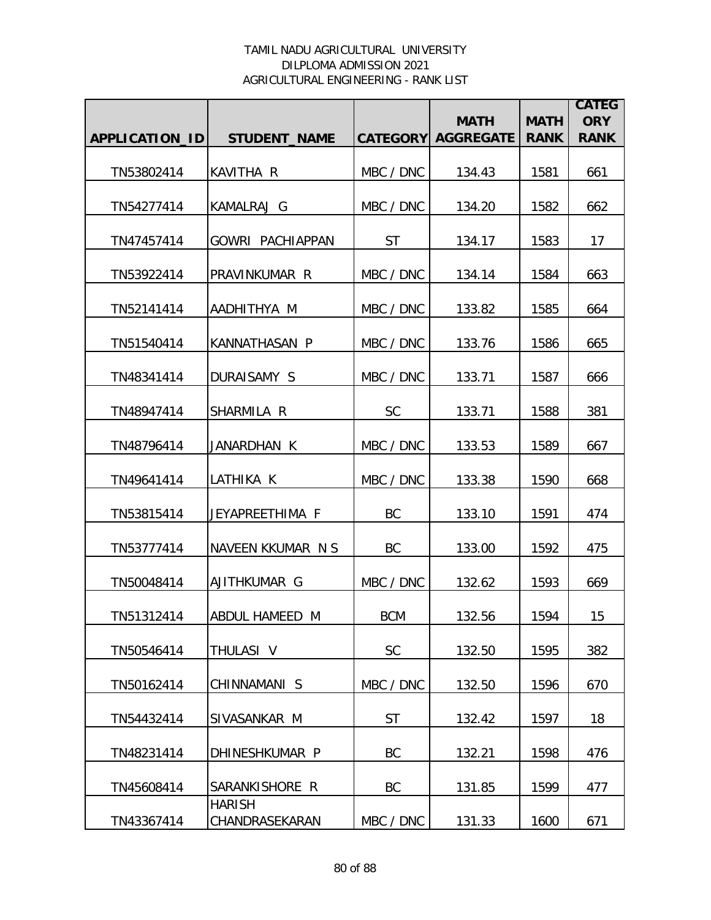|                |                                 |                 |                                 |                            | <b>CATEG</b>              |
|----------------|---------------------------------|-----------------|---------------------------------|----------------------------|---------------------------|
| APPLICATION_ID | <b>STUDENT_NAME</b>             | <b>CATEGORY</b> | <b>MATH</b><br><b>AGGREGATE</b> | <b>MATH</b><br><b>RANK</b> | <b>ORY</b><br><b>RANK</b> |
|                |                                 |                 |                                 |                            |                           |
| TN53802414     | <b>KAVITHA R</b>                | MBC / DNC       | 134.43                          | 1581                       | 661                       |
| TN54277414     | KAMALRAJ G                      | MBC / DNC       | 134.20                          | 1582                       | 662                       |
| TN47457414     | <b>GOWRI PACHIAPPAN</b>         | <b>ST</b>       | 134.17                          | 1583                       | 17                        |
| TN53922414     | PRAVINKUMAR R                   | MBC / DNC       | 134.14                          | 1584                       | 663                       |
| TN52141414     | AADHITHYA M                     | MBC / DNC       | 133.82                          | 1585                       | 664                       |
| TN51540414     | KANNATHASAN P                   | MBC / DNC       | 133.76                          | 1586                       | 665                       |
| TN48341414     | DURAISAMY S                     | MBC / DNC       | 133.71                          | 1587                       | 666                       |
| TN48947414     | SHARMILA R                      | <b>SC</b>       | 133.71                          | 1588                       | 381                       |
| TN48796414     | JANARDHAN K                     | MBC / DNC       | 133.53                          | 1589                       | 667                       |
| TN49641414     | LATHIKA K                       | MBC / DNC       | 133.38                          | 1590                       | 668                       |
| TN53815414     | JEYAPREETHIMA F                 | BC              | 133.10                          | 1591                       | 474                       |
| TN53777414     | NAVEEN KKUMAR N S               | BC              | 133.00                          | 1592                       | 475                       |
| TN50048414     | AJITHKUMAR G                    | MBC / DNC       | 132.62                          | 1593                       | 669                       |
| TN51312414     | ABDUL HAMEED M                  | BCM             | 132.56                          | 1594                       | 15                        |
| TN50546414     | THULASI V                       | <b>SC</b>       | 132.50                          | 1595                       | 382                       |
| TN50162414     | CHINNAMANI S                    | MBC / DNC       | 132.50                          | 1596                       | 670                       |
| TN54432414     | SIVASANKAR M                    | <b>ST</b>       | 132.42                          | 1597                       | 18                        |
| TN48231414     | DHINESHKUMAR P                  | BC              | 132.21                          | 1598                       | 476                       |
| TN45608414     | SARANKISHORE R                  | BC              | 131.85                          | 1599                       | 477                       |
| TN43367414     | <b>HARISH</b><br>CHANDRASEKARAN | MBC / DNC       | 131.33                          | 1600                       | 671                       |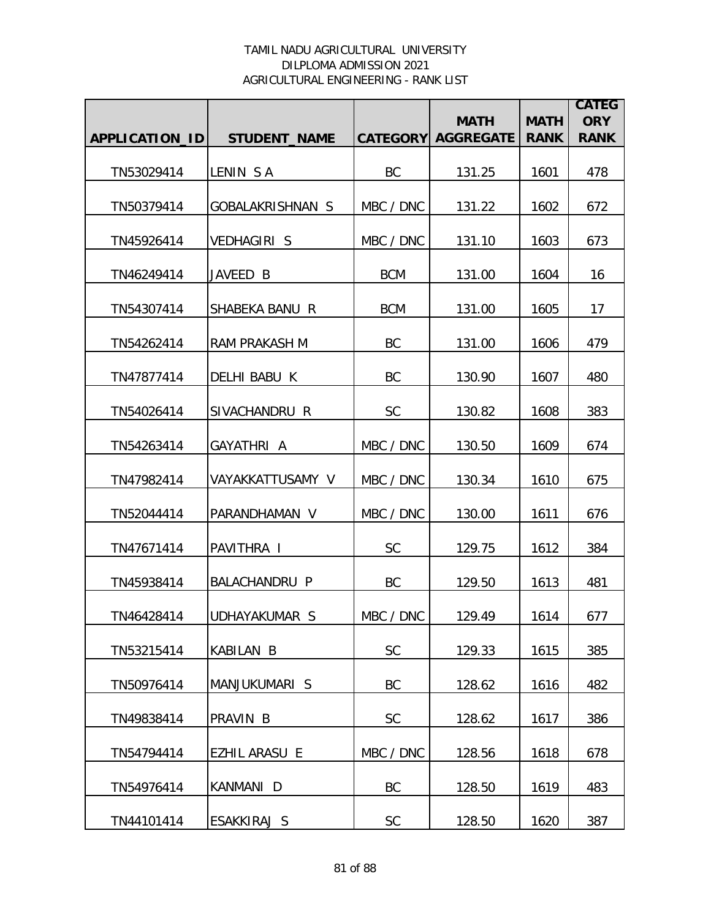|                |                      |                 | <b>MATH</b>      | <b>MATH</b> | <b>CATEG</b><br><b>ORY</b> |
|----------------|----------------------|-----------------|------------------|-------------|----------------------------|
| APPLICATION_ID | <b>STUDENT_NAME</b>  | <b>CATEGORY</b> | <b>AGGREGATE</b> | <b>RANK</b> | <b>RANK</b>                |
| TN53029414     | LENIN SA             | BC              | 131.25           | 1601        | 478                        |
| TN50379414     | GOBALAKRISHNAN S     | MBC / DNC       | 131.22           | 1602        | 672                        |
| TN45926414     | <b>VEDHAGIRI S</b>   | MBC / DNC       | 131.10           | 1603        | 673                        |
| TN46249414     | JAVEED B             | <b>BCM</b>      | 131.00           | 1604        | 16                         |
| TN54307414     | SHABEKA BANU R       | <b>BCM</b>      | 131.00           | 1605        | 17                         |
| TN54262414     | <b>RAM PRAKASH M</b> | <b>BC</b>       | 131.00           | 1606        | 479                        |
| TN47877414     | DELHI BABU K         | <b>BC</b>       | 130.90           | 1607        | 480                        |
| TN54026414     | SIVACHANDRU R        | SC              | 130.82           | 1608        | 383                        |
| TN54263414     | GAYATHRI A           | MBC / DNC       | 130.50           | 1609        | 674                        |
| TN47982414     | VAYAKKATTUSAMY V     | MBC / DNC       | 130.34           | 1610        | 675                        |
| TN52044414     | PARANDHAMAN V        | MBC / DNC       | 130.00           | 1611        | 676                        |
| TN47671414     | PAVITHRA I           | <b>SC</b>       | 129.75           | 1612        | 384                        |
| TN45938414     | <b>BALACHANDRU P</b> | BC              | 129.50           | 1613        | 481                        |
| TN46428414     | UDHAYAKUMAR S        | MBC / DNC       | 129.49           | 1614        | 677                        |
| TN53215414     | <b>KABILAN B</b>     | <b>SC</b>       | 129.33           | 1615        | 385                        |
| TN50976414     | MANJUKUMARI S        | BC              | 128.62           | 1616        | 482                        |
| TN49838414     | PRAVIN B             | <b>SC</b>       | 128.62           | 1617        | 386                        |
| TN54794414     | EZHIL ARASU E        | MBC / DNC       | 128.56           | 1618        | 678                        |
| TN54976414     | KANMANI D            | BC              | 128.50           | 1619        | 483                        |
| TN44101414     | ESAKKIRAJ S          | SC              | 128.50           | 1620        | 387                        |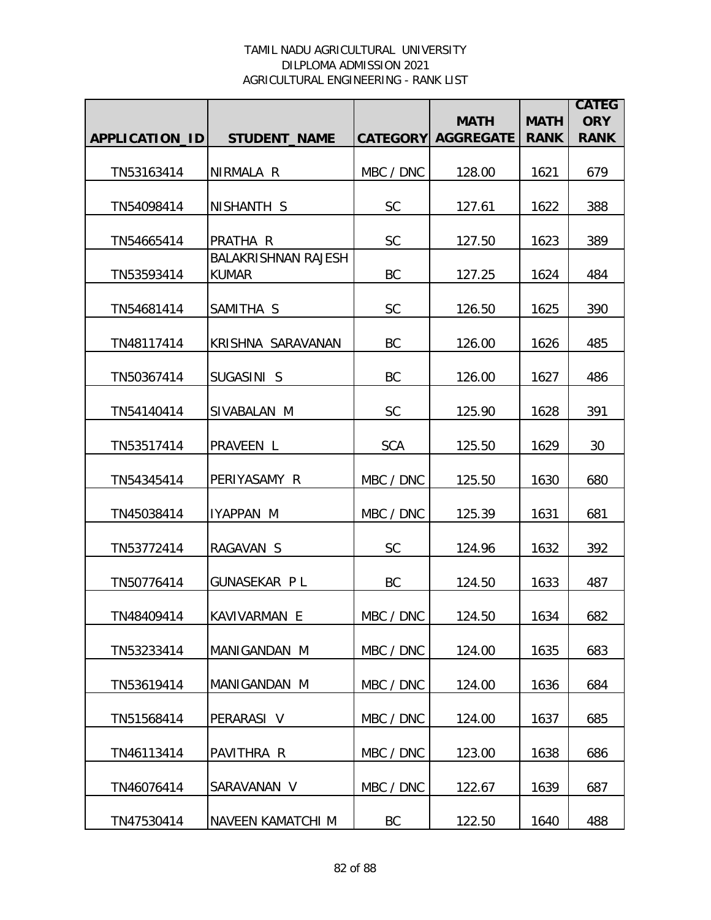|                |                                            |            | <b>MATH</b>               | <b>MATH</b> | <b>CATEG</b><br><b>ORY</b> |
|----------------|--------------------------------------------|------------|---------------------------|-------------|----------------------------|
| APPLICATION_ID | <b>STUDENT_NAME</b>                        |            | <b>CATEGORY AGGREGATE</b> | <b>RANK</b> | <b>RANK</b>                |
| TN53163414     | NIRMALA R                                  | MBC / DNC  | 128.00                    | 1621        | 679                        |
| TN54098414     | NISHANTH S                                 | <b>SC</b>  | 127.61                    | 1622        | 388                        |
| TN54665414     | PRATHA R                                   | <b>SC</b>  | 127.50                    | 1623        | 389                        |
| TN53593414     | <b>BALAKRISHNAN RAJESH</b><br><b>KUMAR</b> | BC         | 127.25                    | 1624        | 484                        |
| TN54681414     | SAMITHA S                                  | <b>SC</b>  | 126.50                    | 1625        | 390                        |
| TN48117414     | KRISHNA SARAVANAN                          | BC         | 126.00                    | 1626        | 485                        |
| TN50367414     | SUGASINI S                                 | BC         | 126.00                    | 1627        | 486                        |
| TN54140414     | SIVABALAN M                                | <b>SC</b>  | 125.90                    | 1628        | 391                        |
| TN53517414     | PRAVEEN L                                  | <b>SCA</b> | 125.50                    | 1629        | 30                         |
| TN54345414     | PERIYASAMY R                               | MBC / DNC  | 125.50                    | 1630        | 680                        |
| TN45038414     | IYAPPAN M                                  | MBC / DNC  | 125.39                    | 1631        | 681                        |
| TN53772414     | RAGAVAN S                                  | <b>SC</b>  | 124.96                    | 1632        | 392                        |
| TN50776414     | <b>GUNASEKAR PL</b>                        | BC         | 124.50                    | 1633        | 487                        |
| TN48409414     | KAVIVARMAN E                               | MBC / DNC  | 124.50                    | 1634        | 682                        |
| TN53233414     | MANIGANDAN M                               | MBC / DNC  | 124.00                    | 1635        | 683                        |
| TN53619414     | MANIGANDAN M                               | MBC / DNC  | 124.00                    | 1636        | 684                        |
| TN51568414     | PERARASI V                                 | MBC / DNC  | 124.00                    | 1637        | 685                        |
| TN46113414     | PAVITHRA R                                 | MBC / DNC  | 123.00                    | 1638        | 686                        |
| TN46076414     | SARAVANAN V                                | MBC / DNC  | 122.67                    | 1639        | 687                        |
| TN47530414     | NAVEEN KAMATCHI M                          | BC         | 122.50                    | 1640        | 488                        |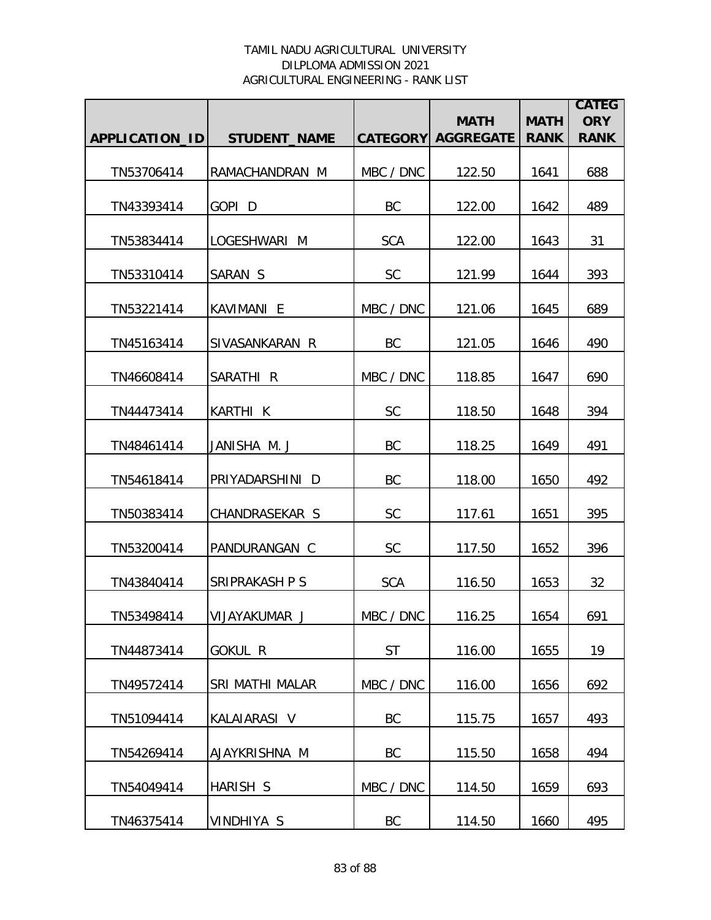|                |                        |            |                                          |                            | <b>CATEG</b>              |
|----------------|------------------------|------------|------------------------------------------|----------------------------|---------------------------|
| APPLICATION_ID | <b>STUDENT_NAME</b>    |            | <b>MATH</b><br><b>CATEGORY AGGREGATE</b> | <b>MATH</b><br><b>RANK</b> | <b>ORY</b><br><b>RANK</b> |
|                |                        |            |                                          |                            |                           |
| TN53706414     | RAMACHANDRAN M         | MBC / DNC  | 122.50                                   | 1641                       | 688                       |
| TN43393414     | GOPI <sub>D</sub>      | BC         | 122.00                                   | 1642                       | 489                       |
| TN53834414     | LOGESHWARI M           | <b>SCA</b> | 122.00                                   | 1643                       | 31                        |
| TN53310414     | SARAN S                | <b>SC</b>  | 121.99                                   | 1644                       | 393                       |
| TN53221414     | KAVIMANI E             | MBC / DNC  | 121.06                                   | 1645                       | 689                       |
| TN45163414     | SIVASANKARAN R         | <b>BC</b>  | 121.05                                   | 1646                       | 490                       |
| TN46608414     | SARATHI <sub>R</sub>   | MBC / DNC  | 118.85                                   | 1647                       | 690                       |
| TN44473414     | KARTHI K               | <b>SC</b>  | 118.50                                   | 1648                       | 394                       |
| TN48461414     | JANISHA M.J            | <b>BC</b>  | 118.25                                   | 1649                       | 491                       |
| TN54618414     | PRIYADARSHINI D        | BC         | 118.00                                   | 1650                       | 492                       |
| TN50383414     | CHANDRASEKAR S         | <b>SC</b>  | 117.61                                   | 1651                       | 395                       |
| TN53200414     | PANDURANGAN C          | <b>SC</b>  | 117.50                                   | 1652                       | 396                       |
| TN43840414     | <b>SRIPRAKASH P S</b>  | <b>SCA</b> | 116.50                                   | 1653                       | 32                        |
| TN53498414     | VIJAYAKUMAR J          | MBC / DNC  | 116.25                                   | 1654                       | 691                       |
| TN44873414     | <b>GOKUL R</b>         | <b>ST</b>  | 116.00                                   | 1655                       | 19                        |
| TN49572414     | <b>SRI MATHI MALAR</b> | MBC / DNC  | 116.00                                   | 1656                       | 692                       |
| TN51094414     | KALAIARASI V           | BC         | 115.75                                   | 1657                       | 493                       |
| TN54269414     | AJAYKRISHNA M          | <b>BC</b>  | 115.50                                   | 1658                       | 494                       |
| TN54049414     | HARISH S               | MBC / DNC  | 114.50                                   | 1659                       | 693                       |
| TN46375414     | VINDHIYA S             | BC         | 114.50                                   | 1660                       | 495                       |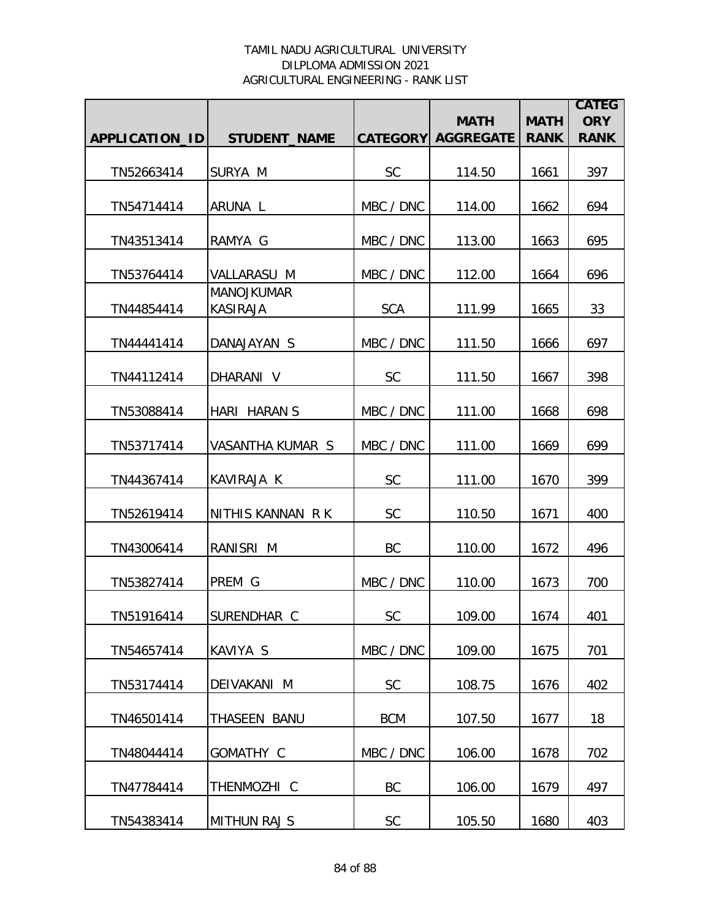|                |                                      |            |                                          |                            | <b>CATEG</b>              |
|----------------|--------------------------------------|------------|------------------------------------------|----------------------------|---------------------------|
| APPLICATION_ID | <b>STUDENT_NAME</b>                  |            | <b>MATH</b><br><b>CATEGORY AGGREGATE</b> | <b>MATH</b><br><b>RANK</b> | <b>ORY</b><br><b>RANK</b> |
|                |                                      |            |                                          |                            |                           |
| TN52663414     | SURYA M                              | <b>SC</b>  | 114.50                                   | 1661                       | 397                       |
| TN54714414     | ARUNA L                              | MBC / DNC  | 114.00                                   | 1662                       | 694                       |
| TN43513414     | RAMYA G                              | MBC / DNC  | 113.00                                   | 1663                       | 695                       |
| TN53764414     | VALLARASU M                          | MBC / DNC  | 112.00                                   | 1664                       | 696                       |
| TN44854414     | <b>MANOJKUMAR</b><br><b>KASIRAJA</b> | <b>SCA</b> | 111.99                                   | 1665                       | 33                        |
| TN44441414     | DANAJAYAN S                          | MBC / DNC  | 111.50                                   | 1666                       | 697                       |
| TN44112414     | DHARANI V                            | <b>SC</b>  | 111.50                                   | 1667                       | 398                       |
| TN53088414     | HARI HARAN S                         | MBC / DNC  | 111.00                                   | 1668                       | 698                       |
| TN53717414     | VASANTHA KUMAR S                     | MBC / DNC  | 111.00                                   | 1669                       | 699                       |
| TN44367414     | KAVIRAJA K                           | SC         | 111.00                                   | 1670                       | 399                       |
| TN52619414     | NITHIS KANNAN R K                    | <b>SC</b>  | 110.50                                   | 1671                       | 400                       |
| TN43006414     | RANISRI M                            | BC         | 110.00                                   | 1672                       | 496                       |
| TN53827414     | PREM G                               | MBC / DNC  | 110.00                                   | 1673                       | 700                       |
| TN51916414     | SURENDHAR C                          | <b>SC</b>  | 109.00                                   | 1674                       | 401                       |
| TN54657414     | KAVIYA S                             | MBC / DNC  | 109.00                                   | 1675                       | 701                       |
| TN53174414     | DEIVAKANI M                          | <b>SC</b>  | 108.75                                   | 1676                       | 402                       |
| TN46501414     | THASEEN BANU                         | <b>BCM</b> | 107.50                                   | 1677                       | 18                        |
| TN48044414     | GOMATHY C                            | MBC / DNC  | 106.00                                   | 1678                       | 702                       |
| TN47784414     | THENMOZHI C                          | BC         | 106.00                                   | 1679                       | 497                       |
| TN54383414     | <b>MITHUN RAJ S</b>                  | SC         | 105.50                                   | 1680                       | 403                       |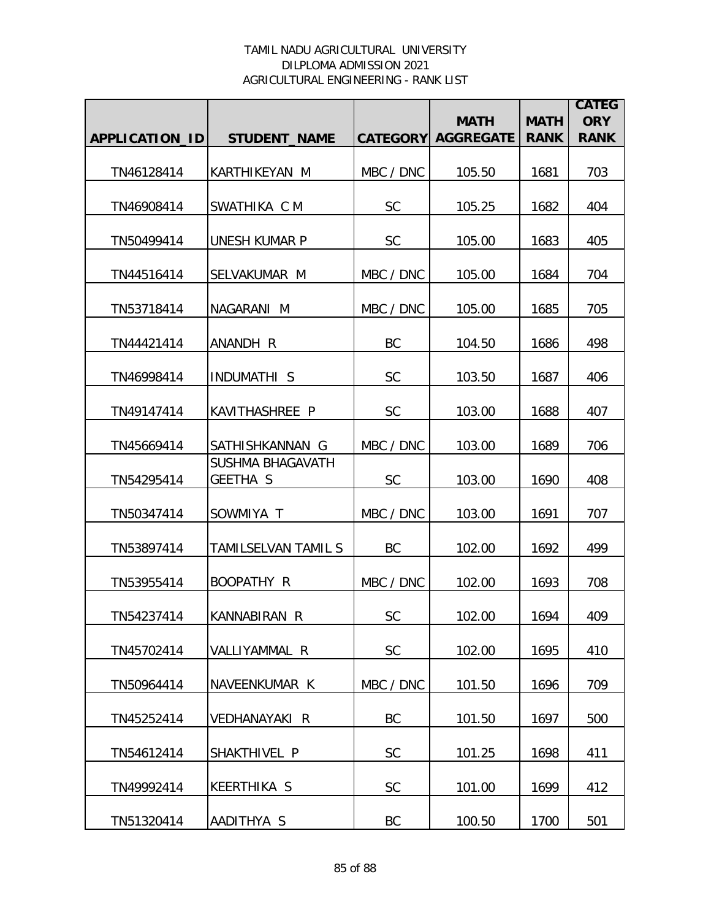|                |                              |           |                                          |                            | <b>CATEG</b>              |
|----------------|------------------------------|-----------|------------------------------------------|----------------------------|---------------------------|
| APPLICATION_ID | <b>STUDENT_NAME</b>          |           | <b>MATH</b><br><b>CATEGORY AGGREGATE</b> | <b>MATH</b><br><b>RANK</b> | <b>ORY</b><br><b>RANK</b> |
|                |                              |           |                                          |                            |                           |
| TN46128414     | <b>KARTHIKEYAN M</b>         | MBC / DNC | 105.50                                   | 1681                       | 703                       |
| TN46908414     | SWATHIKA C M                 | <b>SC</b> | 105.25                                   | 1682                       | 404                       |
| TN50499414     | <b>UNESH KUMAR P</b>         | <b>SC</b> | 105.00                                   | 1683                       | 405                       |
| TN44516414     | SELVAKUMAR M                 | MBC / DNC | 105.00                                   | 1684                       | 704                       |
| TN53718414     | NAGARANI M                   | MBC / DNC | 105.00                                   | 1685                       | 705                       |
| TN44421414     | ANANDH R                     | <b>BC</b> | 104.50                                   | 1686                       | 498                       |
| TN46998414     | <b>INDUMATHI S</b>           | <b>SC</b> | 103.50                                   | 1687                       | 406                       |
| TN49147414     | KAVITHASHREE P               | <b>SC</b> | 103.00                                   | 1688                       | 407                       |
| TN45669414     | SATHISHKANNAN G              | MBC / DNC | 103.00                                   | 1689                       | 706                       |
| TN54295414     | SUSHMA BHAGAVATH<br>GEETHA S | <b>SC</b> | 103.00                                   | 1690                       | 408                       |
| TN50347414     | SOWMIYA T                    | MBC / DNC | 103.00                                   | 1691                       | 707                       |
| TN53897414     | TAMILSELVAN TAMIL S          | BC        | 102.00                                   | 1692                       | 499                       |
| TN53955414     | BOOPATHY R                   | MBC / DNC | 102.00                                   | 1693                       | 708                       |
| TN54237414     | IKANNABIRAN R                | <b>SC</b> | 102.00                                   | 1694                       | 409                       |
| TN45702414     | VALLIYAMMAL R                | <b>SC</b> | 102.00                                   | 1695                       | 410                       |
| TN50964414     | NAVEENKUMAR K                | MBC / DNC | 101.50                                   | 1696                       | 709                       |
| TN45252414     | <b>VEDHANAYAKI R</b>         | BC        | 101.50                                   | 1697                       | 500                       |
| TN54612414     | SHAKTHIVEL P                 | SC        | 101.25                                   | 1698                       | 411                       |
| TN49992414     | <b>KEERTHIKA S</b>           | SC        | 101.00                                   | 1699                       | 412                       |
| TN51320414     | AADITHYA S                   | BC        | 100.50                                   | 1700                       | 501                       |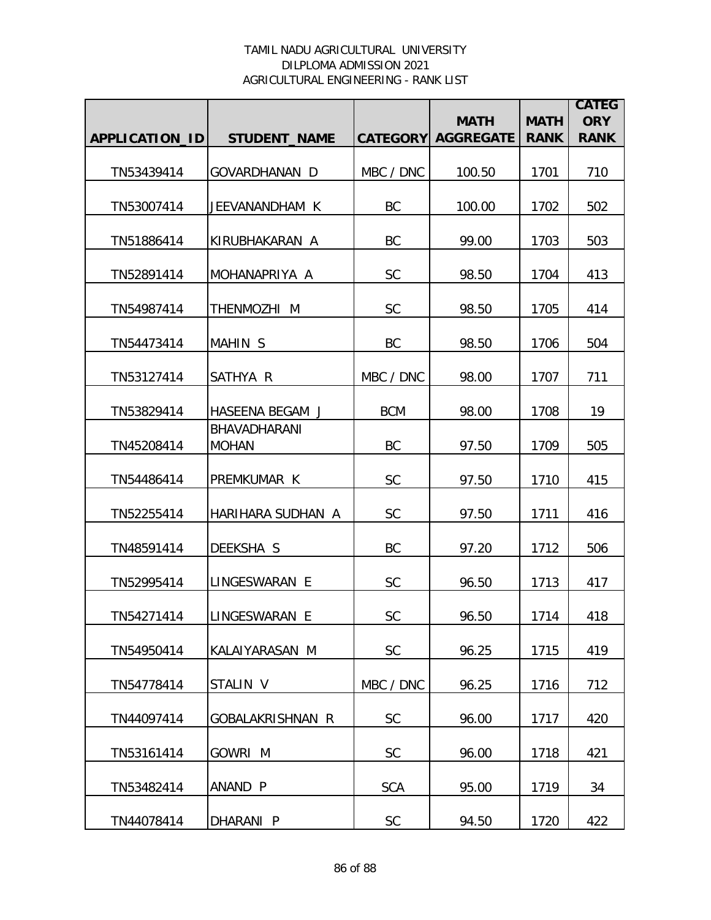|                |                                     |                 | <b>MATH</b>      | <b>MATH</b> | <b>CATEG</b><br><b>ORY</b> |
|----------------|-------------------------------------|-----------------|------------------|-------------|----------------------------|
| APPLICATION_ID | <b>STUDENT_NAME</b>                 | <b>CATEGORY</b> | <b>AGGREGATE</b> | <b>RANK</b> | <b>RANK</b>                |
| TN53439414     | GOVARDHANAN D                       | MBC / DNC       | 100.50           | 1701        | 710                        |
| TN53007414     | JEEVANANDHAM K                      | <b>BC</b>       | 100.00           | 1702        | 502                        |
| TN51886414     | KIRUBHAKARAN A                      | BC              | 99.00            | 1703        | 503                        |
| TN52891414     | MOHANAPRIYA A                       | <b>SC</b>       | 98.50            | 1704        | 413                        |
| TN54987414     | THENMOZHI M                         | <b>SC</b>       | 98.50            | 1705        | 414                        |
| TN54473414     | <b>MAHIN S</b>                      | BC              | 98.50            | 1706        | 504                        |
| TN53127414     | SATHYA R                            | MBC / DNC       | 98.00            | 1707        | 711                        |
| TN53829414     | HASEENA BEGAM J                     | <b>BCM</b>      | 98.00            | 1708        | 19                         |
| TN45208414     | <b>BHAVADHARANI</b><br><b>MOHAN</b> | BC              | 97.50            | 1709        | 505                        |
| TN54486414     | PREMKUMAR K                         | <b>SC</b>       | 97.50            | 1710        | 415                        |
| TN52255414     | HARIHARA SUDHAN A                   | <b>SC</b>       | 97.50            | 1711        | 416                        |
| TN48591414     | DEEKSHA S                           | BC              | 97.20            | 1712        | 506                        |
| TN52995414     | LINGESWARAN E                       | <b>SC</b>       | 96.50            | 1713        | 417                        |
| TN54271414     | LINGESWARAN E                       | <b>SC</b>       | 96.50            | 1714        | 418                        |
| TN54950414     | KALAIYARASAN M                      | <b>SC</b>       | 96.25            | 1715        | 419                        |
| TN54778414     | STALIN V                            | MBC / DNC       | 96.25            | 1716        | 712                        |
| TN44097414     | GOBALAKRISHNAN R                    | <b>SC</b>       | 96.00            | 1717        | 420                        |
| TN53161414     | GOWRI M                             | <b>SC</b>       | 96.00            | 1718        | 421                        |
| TN53482414     | ANAND P                             | <b>SCA</b>      | 95.00            | 1719        | 34                         |
| TN44078414     | DHARANI P                           | SC              | 94.50            | 1720        | 422                        |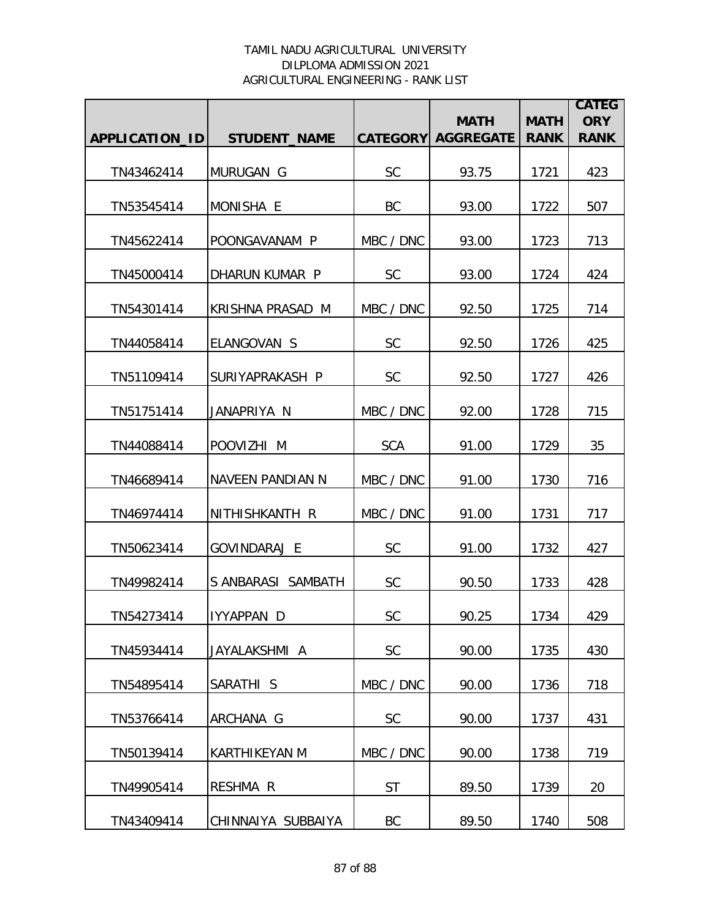|                |                      |                 | <b>MATH</b>      | <b>MATH</b> | <b>CATEG</b><br><b>ORY</b> |
|----------------|----------------------|-----------------|------------------|-------------|----------------------------|
| APPLICATION_ID | <b>STUDENT_NAME</b>  | <b>CATEGORY</b> | <b>AGGREGATE</b> | <b>RANK</b> | <b>RANK</b>                |
| TN43462414     | MURUGAN G            | <b>SC</b>       | 93.75            | 1721        | 423                        |
| TN53545414     | MONISHA E            | BC              | 93.00            | 1722        | 507                        |
| TN45622414     | POONGAVANAM P        | MBC / DNC       | 93.00            | 1723        | 713                        |
| TN45000414     | DHARUN KUMAR P       | <b>SC</b>       | 93.00            | 1724        | 424                        |
| TN54301414     | KRISHNA PRASAD M     | MBC / DNC       | 92.50            | 1725        | 714                        |
| TN44058414     | ELANGOVAN S          | <b>SC</b>       | 92.50            | 1726        | 425                        |
| TN51109414     | SURIYAPRAKASH P      | <b>SC</b>       | 92.50            | 1727        | 426                        |
| TN51751414     | JANAPRIYA N          | MBC / DNC       | 92.00            | 1728        | 715                        |
| TN44088414     | POOVIZHI M           | <b>SCA</b>      | 91.00            | 1729        | 35                         |
| TN46689414     | NAVEEN PANDIAN N     | MBC / DNC       | 91.00            | 1730        | 716                        |
| TN46974414     | NITHISHKANTH R       | MBC / DNC       | 91.00            | 1731        | 717                        |
| TN50623414     | GOVINDARAJ E         | <b>SC</b>       | 91.00            | 1732        | 427                        |
| TN49982414     | S ANBARASI SAMBATH   | <b>SC</b>       | 90.50            | 1733        | 428                        |
| TN54273414     | IYYAPPAN D           | <b>SC</b>       | 90.25            | 1734        | 429                        |
| TN45934414     | JAYALAKSHMI A        | <b>SC</b>       | 90.00            | 1735        | 430                        |
| TN54895414     | SARATHI S            | MBC / DNC       | 90.00            | 1736        | 718                        |
| TN53766414     | ARCHANA G            | <b>SC</b>       | 90.00            | 1737        | 431                        |
| TN50139414     | <b>KARTHIKEYAN M</b> | MBC / DNC       | 90.00            | 1738        | 719                        |
| TN49905414     | <b>RESHMA R</b>      | <b>ST</b>       | 89.50            | 1739        | 20                         |
| TN43409414     | CHINNAIYA SUBBAIYA   | BC              | 89.50            | 1740        | 508                        |